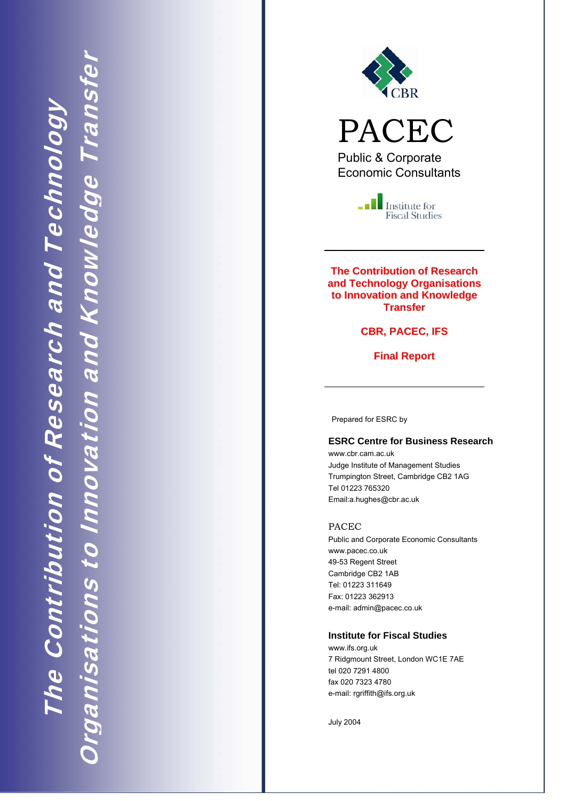

PACEC

Public & Corporate Economic Consultants

> $\blacksquare$  Institute for **Fiscal Studies**

**The Contribution of Research and Technology Organisations to Innovation and Knowledge Transfer** 

**CBR, PACEC, IFS** 

**Final Report** 

Prepared for ESRC by

#### **ESRC Centre for Business Research**

www.cbr.cam.ac.uk Judge Institute of Management Studies Trumpington Street, Cambridge CB2 1AG Tel 01223 765320 Email:a.hughes@cbr.ac.uk

#### PACEC

Public and Corporate Economic Consultants www.pacec.co.uk 49-53 Regent Street Cambridge CB2 1AB Tel: 01223 311649 Fax: 01223 362913 e-mail: admin@pacec.co.uk

#### **Institute for Fiscal Studies**

www.ifs.org.uk 7 Ridgmount Street, London WC1E 7AE tel 020 7291 4800 fax 020 7323 4780 e-mail: rgriffith@ifs.org.uk

July 2004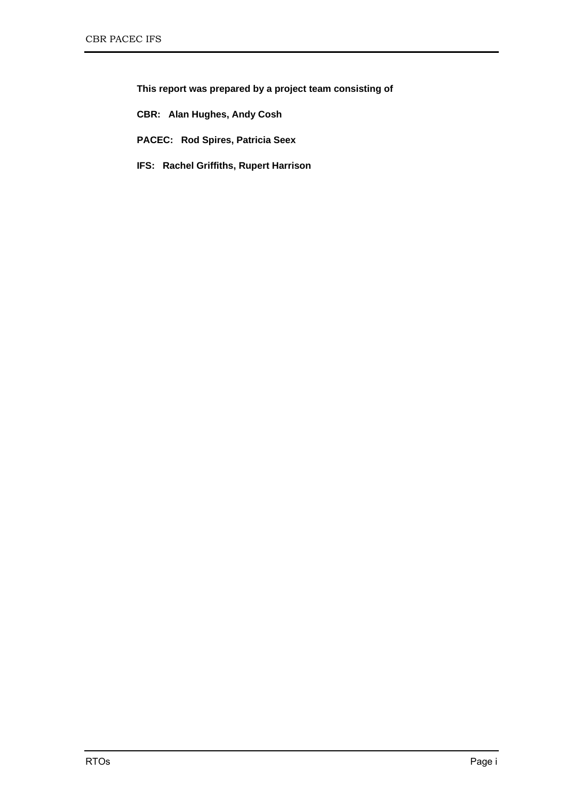**This report was prepared by a project team consisting of** 

**CBR: Alan Hughes, Andy Cosh** 

**PACEC: Rod Spires, Patricia Seex** 

**IFS: Rachel Griffiths, Rupert Harrison**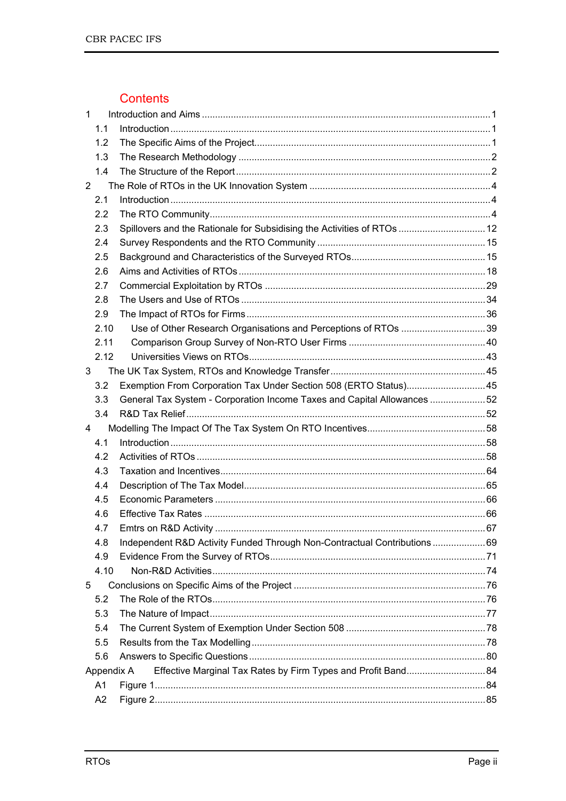# Contents

| $\mathbf 1$    |            |                                                                         |  |
|----------------|------------|-------------------------------------------------------------------------|--|
|                | 1.1        |                                                                         |  |
|                | 1.2        |                                                                         |  |
|                | 1.3        |                                                                         |  |
|                | 1.4        |                                                                         |  |
| $\overline{2}$ |            |                                                                         |  |
|                | 2.1        |                                                                         |  |
|                | 2.2        |                                                                         |  |
|                | 2.3        | Spillovers and the Rationale for Subsidising the Activities of RTOs  12 |  |
|                | 2.4        |                                                                         |  |
|                | 2.5        |                                                                         |  |
|                | 2.6        |                                                                         |  |
|                | 2.7        |                                                                         |  |
|                | 2.8        |                                                                         |  |
|                | 2.9        |                                                                         |  |
|                | 2.10       |                                                                         |  |
|                | 2.11       |                                                                         |  |
|                | 2.12       |                                                                         |  |
| 3              |            |                                                                         |  |
|                | 3.2        | Exemption From Corporation Tax Under Section 508 (ERTO Status) 45       |  |
|                | 3.3        | General Tax System - Corporation Income Taxes and Capital Allowances 52 |  |
|                | 3.4        |                                                                         |  |
| 4              |            |                                                                         |  |
|                | 4.1        |                                                                         |  |
|                | 4.2        |                                                                         |  |
|                | 4.3        |                                                                         |  |
|                | 4.4        |                                                                         |  |
|                | 4.5        |                                                                         |  |
|                | 4.6        |                                                                         |  |
|                | 4.7        |                                                                         |  |
|                | 4.8        | Independent R&D Activity Funded Through Non-Contractual Contributions69 |  |
|                | 4.9        |                                                                         |  |
|                | 4.10       |                                                                         |  |
| 5              |            |                                                                         |  |
|                | 5.2        |                                                                         |  |
|                | 5.3        |                                                                         |  |
|                | 5.4        |                                                                         |  |
|                | 5.5        |                                                                         |  |
|                | 5.6        |                                                                         |  |
|                | Appendix A |                                                                         |  |
|                | A1         |                                                                         |  |
|                | A2         |                                                                         |  |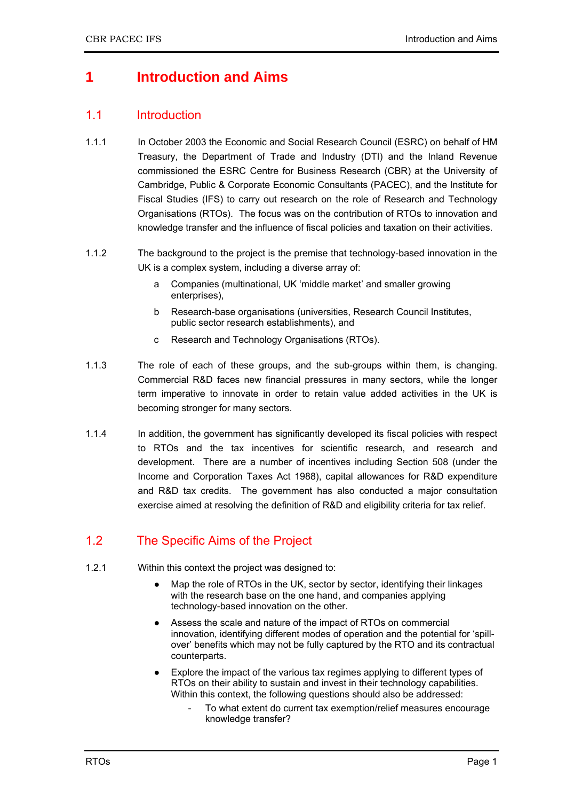# **1 Introduction and Aims**

### 1.1 Introduction

- 1.1.1 In October 2003 the Economic and Social Research Council (ESRC) on behalf of HM Treasury, the Department of Trade and Industry (DTI) and the Inland Revenue commissioned the ESRC Centre for Business Research (CBR) at the University of Cambridge, Public & Corporate Economic Consultants (PACEC), and the Institute for Fiscal Studies (IFS) to carry out research on the role of Research and Technology Organisations (RTOs). The focus was on the contribution of RTOs to innovation and knowledge transfer and the influence of fiscal policies and taxation on their activities.
- 1.1.2 The background to the project is the premise that technology-based innovation in the UK is a complex system, including a diverse array of:
	- a Companies (multinational, UK 'middle market' and smaller growing enterprises),
	- b Research-base organisations (universities, Research Council Institutes, public sector research establishments), and
	- c Research and Technology Organisations (RTOs).
- 1.1.3 The role of each of these groups, and the sub-groups within them, is changing. Commercial R&D faces new financial pressures in many sectors, while the longer term imperative to innovate in order to retain value added activities in the UK is becoming stronger for many sectors.
- 1.1.4 In addition, the government has significantly developed its fiscal policies with respect to RTOs and the tax incentives for scientific research, and research and development. There are a number of incentives including Section 508 (under the Income and Corporation Taxes Act 1988), capital allowances for R&D expenditure and R&D tax credits. The government has also conducted a major consultation exercise aimed at resolving the definition of R&D and eligibility criteria for tax relief.

# 1.2 The Specific Aims of the Project

- 1.2.1 Within this context the project was designed to:
	- Map the role of RTOs in the UK, sector by sector, identifying their linkages with the research base on the one hand, and companies applying technology-based innovation on the other.
	- Assess the scale and nature of the impact of RTOs on commercial innovation, identifying different modes of operation and the potential for 'spillover' benefits which may not be fully captured by the RTO and its contractual counterparts.
	- Explore the impact of the various tax regimes applying to different types of RTOs on their ability to sustain and invest in their technology capabilities. Within this context, the following questions should also be addressed:
		- To what extent do current tax exemption/relief measures encourage knowledge transfer?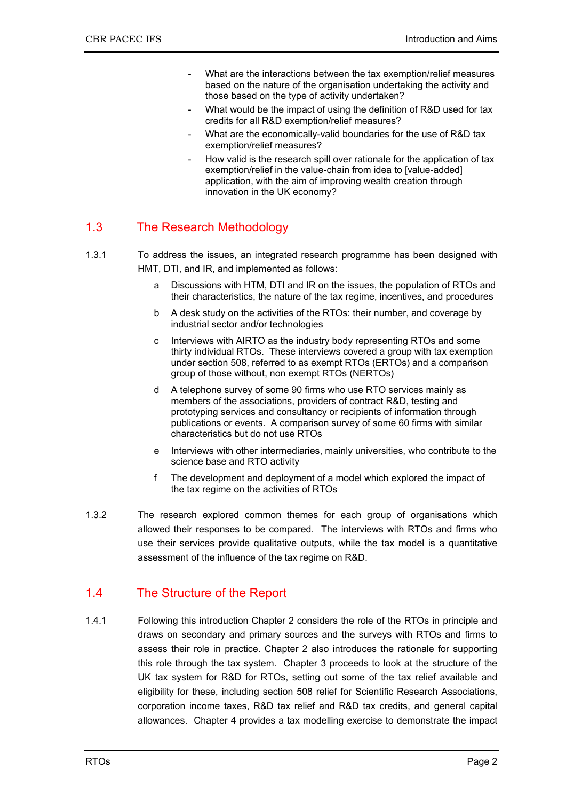- What are the interactions between the tax exemption/relief measures based on the nature of the organisation undertaking the activity and those based on the type of activity undertaken?
- What would be the impact of using the definition of R&D used for tax credits for all R&D exemption/relief measures?
- What are the economically-valid boundaries for the use of R&D tax exemption/relief measures?
- How valid is the research spill over rationale for the application of tax exemption/relief in the value-chain from idea to [value-added] application, with the aim of improving wealth creation through innovation in the UK economy?

# 1.3 The Research Methodology

- 1.3.1 To address the issues, an integrated research programme has been designed with HMT, DTI, and IR, and implemented as follows:
	- a Discussions with HTM, DTI and IR on the issues, the population of RTOs and their characteristics, the nature of the tax regime, incentives, and procedures
	- b A desk study on the activities of the RTOs: their number, and coverage by industrial sector and/or technologies
	- c Interviews with AIRTO as the industry body representing RTOs and some thirty individual RTOs. These interviews covered a group with tax exemption under section 508, referred to as exempt RTOs (ERTOs) and a comparison group of those without, non exempt RTOs (NERTOs)
	- d A telephone survey of some 90 firms who use RTO services mainly as members of the associations, providers of contract R&D, testing and prototyping services and consultancy or recipients of information through publications or events. A comparison survey of some 60 firms with similar characteristics but do not use RTOs
	- e Interviews with other intermediaries, mainly universities, who contribute to the science base and RTO activity
	- f The development and deployment of a model which explored the impact of the tax regime on the activities of RTOs
- 1.3.2 The research explored common themes for each group of organisations which allowed their responses to be compared. The interviews with RTOs and firms who use their services provide qualitative outputs, while the tax model is a quantitative assessment of the influence of the tax regime on R&D.

# 1.4 The Structure of the Report

1.4.1 Following this introduction Chapter 2 considers the role of the RTOs in principle and draws on secondary and primary sources and the surveys with RTOs and firms to assess their role in practice. Chapter 2 also introduces the rationale for supporting this role through the tax system. Chapter 3 proceeds to look at the structure of the UK tax system for R&D for RTOs, setting out some of the tax relief available and eligibility for these, including section 508 relief for Scientific Research Associations, corporation income taxes, R&D tax relief and R&D tax credits, and general capital allowances. Chapter 4 provides a tax modelling exercise to demonstrate the impact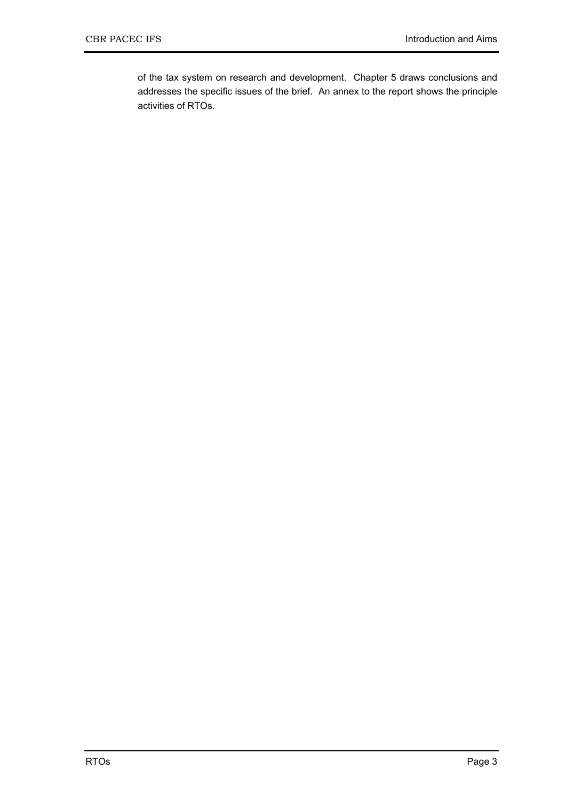of the tax system on research and development. Chapter 5 draws conclusions and addresses the specific issues of the brief. An annex to the report shows the principle activities of RTOs.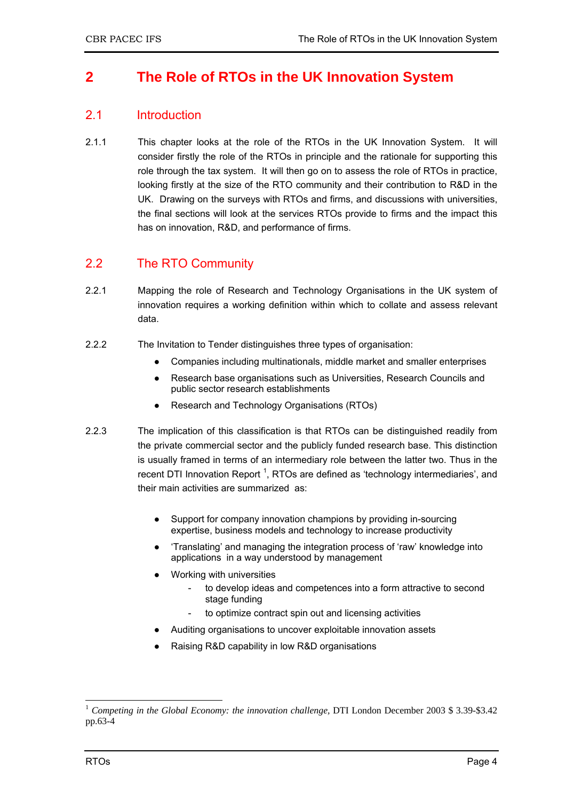# **2 The Role of RTOs in the UK Innovation System**

### 2.1 Introduction

2.1.1 This chapter looks at the role of the RTOs in the UK Innovation System. It will consider firstly the role of the RTOs in principle and the rationale for supporting this role through the tax system. It will then go on to assess the role of RTOs in practice, looking firstly at the size of the RTO community and their contribution to R&D in the UK. Drawing on the surveys with RTOs and firms, and discussions with universities, the final sections will look at the services RTOs provide to firms and the impact this has on innovation, R&D, and performance of firms.

# 2.2 The RTO Community

- 2.2.1 Mapping the role of Research and Technology Organisations in the UK system of innovation requires a working definition within which to collate and assess relevant data.
- 2.2.2 The Invitation to Tender distinguishes three types of organisation:
	- Companies including multinationals, middle market and smaller enterprises
	- Research base organisations such as Universities, Research Councils and public sector research establishments
	- Research and Technology Organisations (RTOs)
- 2.2.3 The implication of this classification is that RTOs can be distinguished readily from the private commercial sector and the publicly funded research base. This distinction is usually framed in terms of an intermediary role between the latter two. Thus in the recent DTI Innovation Report<sup>1</sup>, RTOs are defined as 'technology intermediaries', and their main activities are summarized as:
	- Support for company innovation champions by providing in-sourcing expertise, business models and technology to increase productivity
	- 'Translating' and managing the integration process of 'raw' knowledge into applications in a way understood by management
	- Working with universities
		- to develop ideas and competences into a form attractive to second stage funding
		- to optimize contract spin out and licensing activities
	- Auditing organisations to uncover exploitable innovation assets
	- Raising R&D capability in low R&D organisations

<sup>1</sup> <sup>1</sup> Competing in the Global Economy: the innovation challenge, DTI London December 2003 \$ 3.39-\$3.42 pp.63-4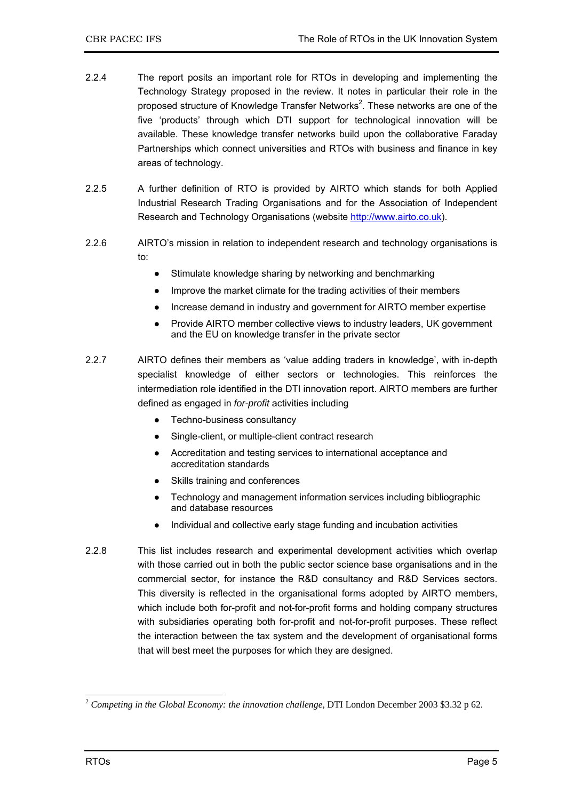- 2.2.4 The report posits an important role for RTOs in developing and implementing the Technology Strategy proposed in the review. It notes in particular their role in the proposed structure of Knowledge Transfer Networks<sup>2</sup>. These networks are one of the five 'products' through which DTI support for technological innovation will be available. These knowledge transfer networks build upon the collaborative Faraday Partnerships which connect universities and RTOs with business and finance in key areas of technology.
- 2.2.5 A further definition of RTO is provided by AIRTO which stands for both Applied Industrial Research Trading Organisations and for the Association of Independent Research and Technology Organisations (website http://www.airto.co.uk).
- 2.2.6 AIRTO's mission in relation to independent research and technology organisations is to:
	- Stimulate knowledge sharing by networking and benchmarking
	- Improve the market climate for the trading activities of their members
	- Increase demand in industry and government for AIRTO member expertise
	- Provide AIRTO member collective views to industry leaders, UK government and the EU on knowledge transfer in the private sector
- 2.2.7 AIRTO defines their members as 'value adding traders in knowledge', with in-depth specialist knowledge of either sectors or technologies. This reinforces the intermediation role identified in the DTI innovation report. AIRTO members are further defined as engaged in *for-profit* activities including
	- Techno-business consultancy
	- Single-client, or multiple-client contract research
	- Accreditation and testing services to international acceptance and accreditation standards
	- Skills training and conferences
	- Technology and management information services including bibliographic and database resources
	- Individual and collective early stage funding and incubation activities
- 2.2.8 This list includes research and experimental development activities which overlap with those carried out in both the public sector science base organisations and in the commercial sector, for instance the R&D consultancy and R&D Services sectors. This diversity is reflected in the organisational forms adopted by AIRTO members, which include both for-profit and not-for-profit forms and holding company structures with subsidiaries operating both for-profit and not-for-profit purposes. These reflect the interaction between the tax system and the development of organisational forms that will best meet the purposes for which they are designed.

1

<sup>2</sup> *Competing in the Global Economy: the innovation challenge,* DTI London December 2003 \$3.32 p 62.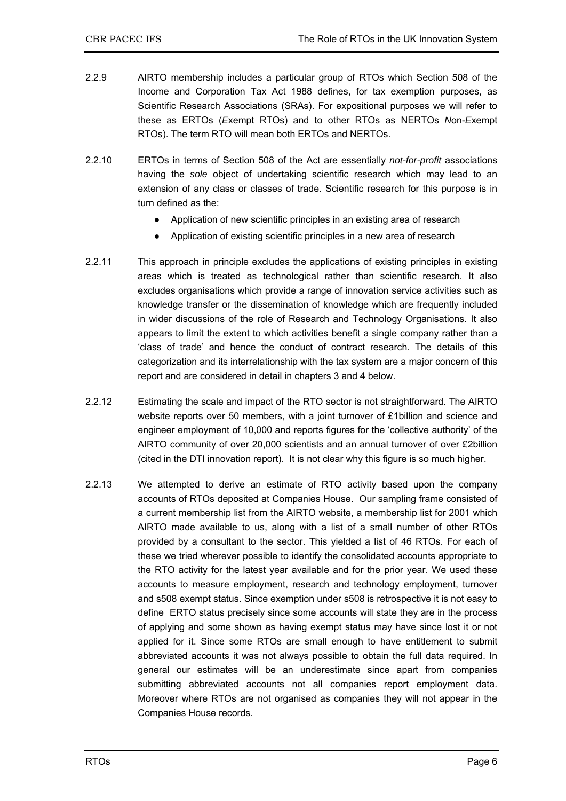- 2.2.9 AIRTO membership includes a particular group of RTOs which Section 508 of the Income and Corporation Tax Act 1988 defines, for tax exemption purposes, as Scientific Research Associations (SRAs). For expositional purposes we will refer to these as ERTOs (*E*xempt RTOs) and to other RTOs as NERTOs *N*on-*E*xempt RTOs). The term RTO will mean both ERTOs and NERTOs.
- 2.2.10 ERTOs in terms of Section 508 of the Act are essentially *not-for-profit* associations having the *sole* object of undertaking scientific research which may lead to an extension of any class or classes of trade. Scientific research for this purpose is in turn defined as the:
	- Application of new scientific principles in an existing area of research
	- Application of existing scientific principles in a new area of research
- 2.2.11 This approach in principle excludes the applications of existing principles in existing areas which is treated as technological rather than scientific research. It also excludes organisations which provide a range of innovation service activities such as knowledge transfer or the dissemination of knowledge which are frequently included in wider discussions of the role of Research and Technology Organisations. It also appears to limit the extent to which activities benefit a single company rather than a 'class of trade' and hence the conduct of contract research. The details of this categorization and its interrelationship with the tax system are a major concern of this report and are considered in detail in chapters 3 and 4 below.
- 2.2.12 Estimating the scale and impact of the RTO sector is not straightforward. The AIRTO website reports over 50 members, with a joint turnover of £1billion and science and engineer employment of 10,000 and reports figures for the 'collective authority' of the AIRTO community of over 20,000 scientists and an annual turnover of over £2billion (cited in the DTI innovation report). It is not clear why this figure is so much higher.
- 2.2.13 We attempted to derive an estimate of RTO activity based upon the company accounts of RTOs deposited at Companies House. Our sampling frame consisted of a current membership list from the AIRTO website, a membership list for 2001 which AIRTO made available to us, along with a list of a small number of other RTOs provided by a consultant to the sector. This yielded a list of 46 RTOs. For each of these we tried wherever possible to identify the consolidated accounts appropriate to the RTO activity for the latest year available and for the prior year. We used these accounts to measure employment, research and technology employment, turnover and s508 exempt status. Since exemption under s508 is retrospective it is not easy to define ERTO status precisely since some accounts will state they are in the process of applying and some shown as having exempt status may have since lost it or not applied for it. Since some RTOs are small enough to have entitlement to submit abbreviated accounts it was not always possible to obtain the full data required. In general our estimates will be an underestimate since apart from companies submitting abbreviated accounts not all companies report employment data. Moreover where RTOs are not organised as companies they will not appear in the Companies House records.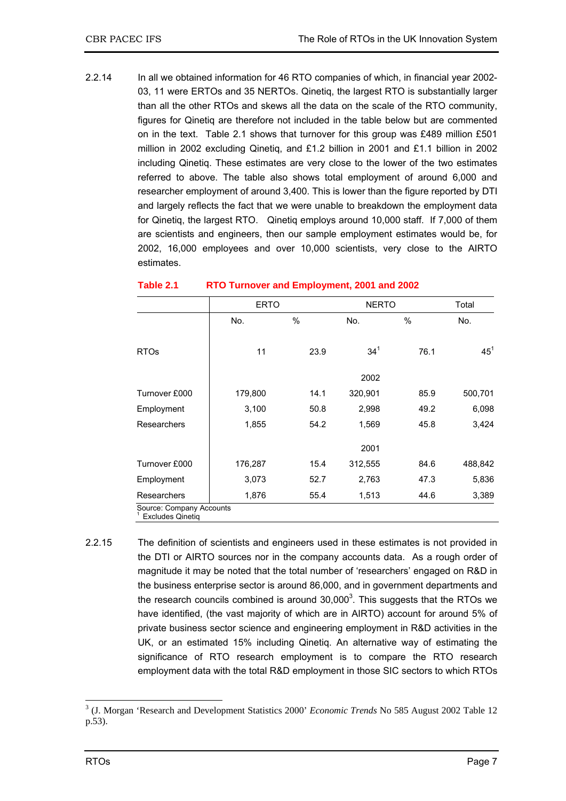2.2.14 In all we obtained information for 46 RTO companies of which, in financial year 2002- 03, 11 were ERTOs and 35 NERTOs. Qinetiq, the largest RTO is substantially larger than all the other RTOs and skews all the data on the scale of the RTO community, figures for Qinetiq are therefore not included in the table below but are commented on in the text. Table 2.1 shows that turnover for this group was £489 million £501 million in 2002 excluding Qinetiq, and £1.2 billion in 2001 and £1.1 billion in 2002 including Qinetiq. These estimates are very close to the lower of the two estimates referred to above. The table also shows total employment of around 6,000 and researcher employment of around 3,400. This is lower than the figure reported by DTI and largely reflects the fact that we were unable to breakdown the employment data for Qinetiq, the largest RTO. Qinetiq employs around 10,000 staff. If 7,000 of them are scientists and engineers, then our sample employment estimates would be, for 2002, 16,000 employees and over 10,000 scientists, very close to the AIRTO estimates.

|                                                     | <b>ERTO</b> |      | <b>NERTO</b>    |      | Total           |
|-----------------------------------------------------|-------------|------|-----------------|------|-----------------|
|                                                     | No.         | %    | No.             | %    | No.             |
| <b>RTOs</b>                                         | 11          | 23.9 | 34 <sup>1</sup> | 76.1 | 45 <sup>1</sup> |
|                                                     |             |      | 2002            |      |                 |
| Turnover £000                                       | 179,800     | 14.1 | 320,901         | 85.9 | 500,701         |
| Employment                                          | 3,100       | 50.8 | 2,998           | 49.2 | 6,098           |
| Researchers                                         | 1,855       | 54.2 | 1,569           | 45.8 | 3,424           |
|                                                     |             |      | 2001            |      |                 |
| Turnover £000                                       | 176,287     | 15.4 | 312,555         | 84.6 | 488,842         |
| Employment                                          | 3,073       | 52.7 | 2,763           | 47.3 | 5,836           |
| Researchers                                         | 1,876       | 55.4 | 1,513           | 44.6 | 3,389           |
| Source: Company Accounts<br><b>Excludes Qinetig</b> |             |      |                 |      |                 |

### **Table 2.1 RTO Turnover and Employment, 2001 and 2002**

2.2.15 The definition of scientists and engineers used in these estimates is not provided in the DTI or AIRTO sources nor in the company accounts data. As a rough order of magnitude it may be noted that the total number of 'researchers' engaged on R&D in the business enterprise sector is around 86,000, and in government departments and the research councils combined is around  $30,000^3$ . This suggests that the RTOs we have identified, (the vast majority of which are in AIRTO) account for around 5% of private business sector science and engineering employment in R&D activities in the UK, or an estimated 15% including Qinetiq. An alternative way of estimating the significance of RTO research employment is to compare the RTO research employment data with the total R&D employment in those SIC sectors to which RTOs

 3 (J. Morgan 'Research and Development Statistics 2000' *Economic Trends* No 585 August 2002 Table 12 p.53).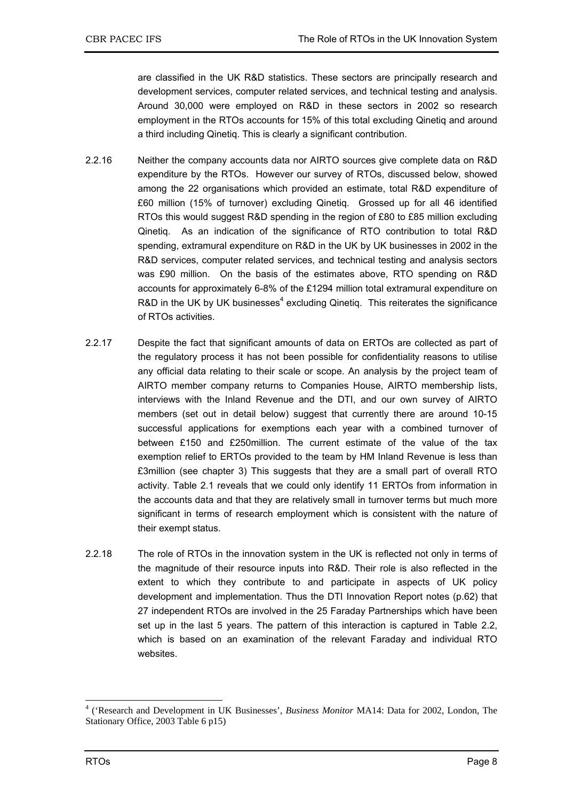are classified in the UK R&D statistics. These sectors are principally research and development services, computer related services, and technical testing and analysis. Around 30,000 were employed on R&D in these sectors in 2002 so research employment in the RTOs accounts for 15% of this total excluding Qinetiq and around a third including Qinetiq. This is clearly a significant contribution.

- 2.2.16 Neither the company accounts data nor AIRTO sources give complete data on R&D expenditure by the RTOs. However our survey of RTOs, discussed below, showed among the 22 organisations which provided an estimate, total R&D expenditure of £60 million (15% of turnover) excluding Qinetiq. Grossed up for all 46 identified RTOs this would suggest R&D spending in the region of £80 to £85 million excluding Qinetiq. As an indication of the significance of RTO contribution to total R&D spending, extramural expenditure on R&D in the UK by UK businesses in 2002 in the R&D services, computer related services, and technical testing and analysis sectors was £90 million. On the basis of the estimates above, RTO spending on R&D accounts for approximately 6-8% of the £1294 million total extramural expenditure on R&D in the UK by UK businesses $4$  excluding Qinetiq. This reiterates the significance of RTOs activities.
- 2.2.17 Despite the fact that significant amounts of data on ERTOs are collected as part of the regulatory process it has not been possible for confidentiality reasons to utilise any official data relating to their scale or scope. An analysis by the project team of AIRTO member company returns to Companies House, AIRTO membership lists, interviews with the Inland Revenue and the DTI, and our own survey of AIRTO members (set out in detail below) suggest that currently there are around 10-15 successful applications for exemptions each year with a combined turnover of between £150 and £250million. The current estimate of the value of the tax exemption relief to ERTOs provided to the team by HM Inland Revenue is less than £3million (see chapter 3) This suggests that they are a small part of overall RTO activity. Table 2.1 reveals that we could only identify 11 ERTOs from information in the accounts data and that they are relatively small in turnover terms but much more significant in terms of research employment which is consistent with the nature of their exempt status.
- 2.2.18 The role of RTOs in the innovation system in the UK is reflected not only in terms of the magnitude of their resource inputs into R&D. Their role is also reflected in the extent to which they contribute to and participate in aspects of UK policy development and implementation. Thus the DTI Innovation Report notes (p.62) that 27 independent RTOs are involved in the 25 Faraday Partnerships which have been set up in the last 5 years. The pattern of this interaction is captured in Table 2.2, which is based on an examination of the relevant Faraday and individual RTO websites.

 4 ('Research and Development in UK Businesses', *Business Monitor* MA14: Data for 2002, London, The Stationary Office, 2003 Table 6 p15)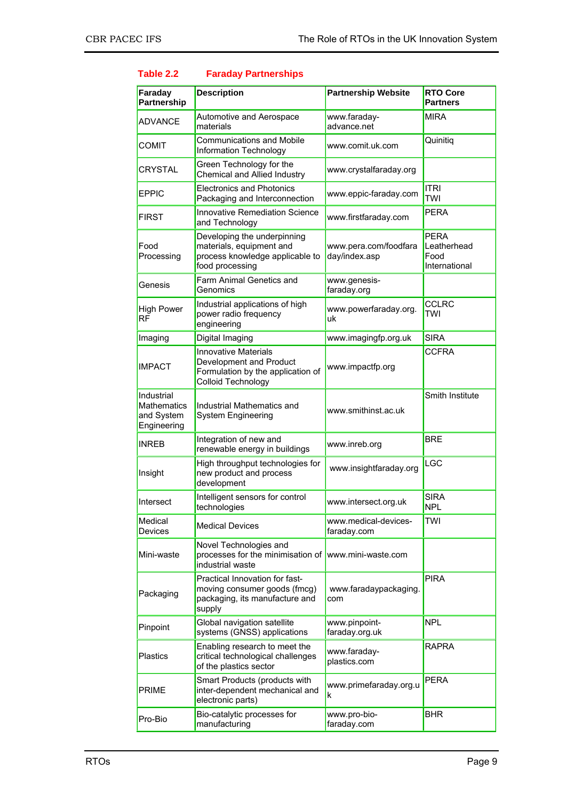| Faraday                                                | <b>Description</b>                                                                                                | <b>Partnership Website</b>             | <b>RTO Core</b>                                     |
|--------------------------------------------------------|-------------------------------------------------------------------------------------------------------------------|----------------------------------------|-----------------------------------------------------|
| Partnership                                            |                                                                                                                   |                                        | <b>Partners</b>                                     |
| <b>ADVANCE</b>                                         | Automotive and Aerospace<br>materials                                                                             | www.faraday-<br>advance.net            | <b>MIRA</b>                                         |
| <b>COMIT</b>                                           | <b>Communications and Mobile</b><br>Information Technology                                                        | www.comit.uk.com                       | Quinitiq                                            |
| <b>CRYSTAL</b>                                         | Green Technology for the<br>Chemical and Allied Industry                                                          | www.crystalfaraday.org                 |                                                     |
| <b>EPPIC</b>                                           | <b>Electronics and Photonics</b><br>Packaging and Interconnection                                                 | www.eppic-faraday.com                  | <b>ITRI</b><br>TWI                                  |
| <b>FIRST</b>                                           | <b>Innovative Remediation Science</b><br>and Technology                                                           | www.firstfaraday.com                   | <b>PERA</b>                                         |
| Food<br>Processing                                     | Developing the underpinning<br>materials, equipment and<br>process knowledge applicable to<br>food processing     | www.pera.com/foodfara<br>day/index.asp | <b>PERA</b><br>Leatherhead<br>Food<br>International |
| Genesis                                                | Farm Animal Genetics and<br>Genomics                                                                              | www.genesis-<br>faraday.org            |                                                     |
| <b>High Power</b><br><b>RF</b>                         | Industrial applications of high<br>power radio frequency<br>engineering                                           | www.powerfaraday.org.<br>uk            | <b>CCLRC</b><br><b>TWI</b>                          |
| Imaging                                                | Digital Imaging                                                                                                   | www.imagingfp.org.uk                   | <b>SIRA</b>                                         |
| <b>IMPACT</b>                                          | <b>Innovative Materials</b><br>Development and Product<br>Formulation by the application of<br>Colloid Technology | www.impactfp.org                       | <b>CCFRA</b>                                        |
| Industrial<br>Mathematics<br>and System<br>Engineering | Industrial Mathematics and<br><b>System Engineering</b>                                                           | www.smithinst.ac.uk                    | Smith Institute                                     |
| <b>INREB</b>                                           | Integration of new and<br>renewable energy in buildings                                                           | www.inreb.org                          | <b>BRE</b>                                          |
| Insight                                                | High throughput technologies for<br>new product and process<br>development                                        | www.insightfaraday.org                 | LGC                                                 |
| Intersect                                              | Intelligent sensors for control<br>technologies                                                                   | www.intersect.org.uk                   | <b>SIRA</b><br><b>NPL</b>                           |
| Medical<br>Devices                                     | <b>Medical Devices</b>                                                                                            | www.medical-devices-<br>faraday.com    | TWI                                                 |
| Mini-waste                                             | Novel Technologies and<br>processes for the minimisation of<br>industrial waste                                   | www.mini-waste.com                     |                                                     |
| Packaging                                              | Practical Innovation for fast-<br>moving consumer goods (fmcg)<br>packaging, its manufacture and<br>supply        | www.faradaypackaging.<br>com           | <b>PIRA</b>                                         |
| Pinpoint                                               | Global navigation satellite<br>systems (GNSS) applications                                                        | www.pinpoint-<br>faraday.org.uk        | <b>NPL</b>                                          |
| <b>Plastics</b>                                        | Enabling research to meet the<br>critical technological challenges<br>of the plastics sector                      | www.faraday-<br>plastics.com           | <b>RAPRA</b>                                        |
| <b>PRIME</b>                                           | Smart Products (products with<br>inter-dependent mechanical and<br>electronic parts)                              | www.primefaraday.org.u<br>ĸ            | <b>PERA</b>                                         |
| Pro-Bio                                                | Bio-catalytic processes for<br>manufacturing                                                                      | www.pro-bio-<br>faraday.com            | <b>BHR</b>                                          |

### **Table 2.2 Faraday Partnerships**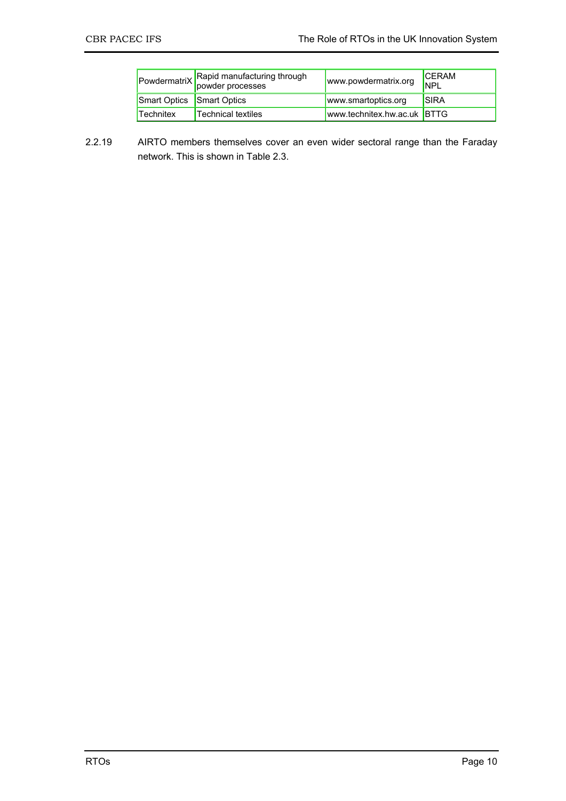|                           | PowdermatriX Rapid manufacturing through<br>powder processes | www.powdermatrix.org        | <b>ICFRAM</b><br><b>INPL</b> |
|---------------------------|--------------------------------------------------------------|-----------------------------|------------------------------|
| Smart Optics Smart Optics |                                                              | www.smartoptics.org         | <b>ISIRA</b>                 |
| Technitex                 | Technical textiles                                           | www.technitex.hw.ac.uk BTTG |                              |

2.2.19 AIRTO members themselves cover an even wider sectoral range than the Faraday network. This is shown in Table 2.3.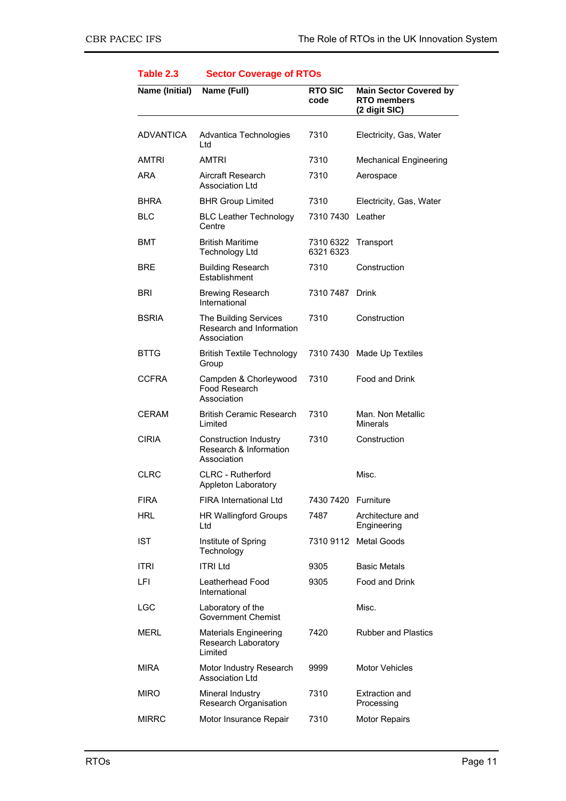| Name (Initial)   | Name (Full)                                                           | <b>RTO SIC</b><br>code | <b>Main Sector Covered by</b><br><b>RTO</b> members<br>(2 digit SIC) |
|------------------|-----------------------------------------------------------------------|------------------------|----------------------------------------------------------------------|
| <b>ADVANTICA</b> | Advantica Technologies<br>Ltd                                         | 7310                   | Electricity, Gas, Water                                              |
| AMTRI            | AMTRI                                                                 | 7310                   | <b>Mechanical Engineering</b>                                        |
| ARA              | Aircraft Research<br><b>Association Ltd</b>                           | 7310                   | Aerospace                                                            |
| <b>BHRA</b>      | <b>BHR Group Limited</b>                                              | 7310                   | Electricity, Gas, Water                                              |
| <b>BLC</b>       | <b>BLC Leather Technology</b><br>Centre                               | 7310 7430              | Leather                                                              |
| BMT              | <b>British Maritime</b><br><b>Technology Ltd</b>                      | 7310 6322<br>6321 6323 | Transport                                                            |
| BRE              | <b>Building Research</b><br>Establishment                             | 7310                   | Construction                                                         |
| <b>BRI</b>       | <b>Brewing Research</b><br>International                              | 7310 7487              | <b>Drink</b>                                                         |
| <b>BSRIA</b>     | The Building Services<br>Research and Information<br>Association      | 7310                   | Construction                                                         |
| <b>BTTG</b>      | <b>British Textile Technology</b><br>Group                            |                        | 7310 7430 Made Up Textiles                                           |
| <b>CCFRA</b>     | Campden & Chorleywood<br>Food Research<br>Association                 | 7310                   | Food and Drink                                                       |
| <b>CERAM</b>     | <b>British Ceramic Research</b><br>Limited                            | 7310                   | Man. Non Metallic<br><b>Minerals</b>                                 |
| <b>CIRIA</b>     | <b>Construction Industry</b><br>Research & Information<br>Association | 7310                   | Construction                                                         |
| <b>CLRC</b>      | <b>CLRC - Rutherford</b><br>Appleton Laboratory                       |                        | Misc.                                                                |
| FIRA             | FIRA International Ltd                                                | 7430 7420 Furniture    |                                                                      |
| HRL              | <b>HR Wallingford Groups</b><br>Ltd                                   | 7487                   | Architecture and<br>Engineering                                      |
| <b>IST</b>       | Institute of Spring<br>Technology                                     |                        | 7310 9112 Metal Goods                                                |
| <b>ITRI</b>      | <b>ITRI Ltd</b>                                                       | 9305                   | <b>Basic Metals</b>                                                  |
| LFI              | Leatherhead Food<br>International                                     | 9305                   | Food and Drink                                                       |
| LGC              | Laboratory of the<br><b>Government Chemist</b>                        |                        | Misc.                                                                |
| MERL             | <b>Materials Engineering</b><br>Research Laboratory<br>Limited        | 7420                   | <b>Rubber and Plastics</b>                                           |
| <b>MIRA</b>      | Motor Industry Research<br><b>Association Ltd</b>                     | 9999                   | <b>Motor Vehicles</b>                                                |
| <b>MIRO</b>      | Mineral Industry<br>Research Organisation                             | 7310                   | <b>Extraction and</b><br>Processing                                  |
| <b>MIRRC</b>     | Motor Insurance Repair                                                | 7310                   | <b>Motor Repairs</b>                                                 |

### **Table 2.3 Sector Coverage of RTOs**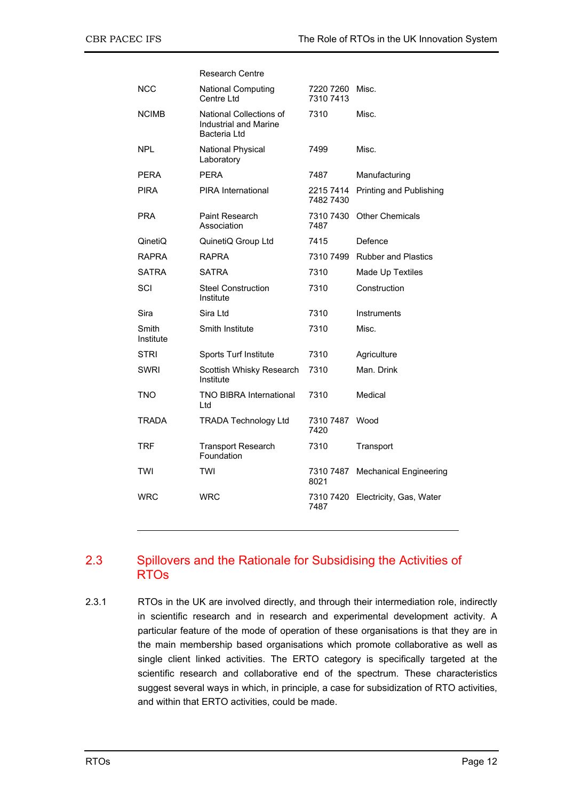|                    | Research Centre                                                         |                        |                               |
|--------------------|-------------------------------------------------------------------------|------------------------|-------------------------------|
| NCC                | <b>National Computing</b><br>Centre Ltd                                 | 7220 7260<br>7310 7413 | Misc.                         |
| <b>NCIMB</b>       | National Collections of<br><b>Industrial and Marine</b><br>Bacteria Ltd | 7310                   | Misc.                         |
| NPL                | <b>National Physical</b><br>Laboratory                                  | 7499                   | Misc.                         |
| PERA               | <b>PERA</b>                                                             | 7487                   | Manufacturing                 |
| PIRA               | <b>PIRA</b> International                                               | 2215 7414<br>7482 7430 | Printing and Publishing       |
| PRA                | Paint Research<br>Association                                           | 7310 7430<br>7487      | <b>Other Chemicals</b>        |
| QinetiQ            | QuinetiQ Group Ltd                                                      | 7415                   | Defence                       |
| RAPRA              | <b>RAPRA</b>                                                            | 7310 7499              | <b>Rubber and Plastics</b>    |
| SATRA              | <b>SATRA</b>                                                            | 7310                   | Made Up Textiles              |
| SCI                | <b>Steel Construction</b><br>Institute                                  | 7310                   | Construction                  |
| Sira               | Sira Ltd                                                                | 7310                   | Instruments                   |
| Smith<br>Institute | Smith Institute                                                         | 7310                   | Misc.                         |
| STRI               | Sports Turf Institute                                                   | 7310                   | Agriculture                   |
| SWRI               | Scottish Whisky Research<br>Institute                                   | 7310                   | Man, Drink                    |
| TNO                | <b>TNO BIBRA International</b><br>Ltd                                   | 7310                   | Medical                       |
| TRADA              | <b>TRADA Technology Ltd</b>                                             | 7310 7487<br>7420      | Wood                          |
| <b>TRF</b>         | <b>Transport Research</b><br>Foundation                                 | 7310                   | Transport                     |
| TWI                | TWI                                                                     | 7310 7487<br>8021      | <b>Mechanical Engineering</b> |
| WRC                | WRC                                                                     | 7310 7420<br>7487      | Electricity, Gas, Water       |
|                    |                                                                         |                        |                               |

### 2.3 Spillovers and the Rationale for Subsidising the Activities of RTOs

2.3.1 RTOs in the UK are involved directly, and through their intermediation role, indirectly in scientific research and in research and experimental development activity. A particular feature of the mode of operation of these organisations is that they are in the main membership based organisations which promote collaborative as well as single client linked activities. The ERTO category is specifically targeted at the scientific research and collaborative end of the spectrum. These characteristics suggest several ways in which, in principle, a case for subsidization of RTO activities, and within that ERTO activities, could be made.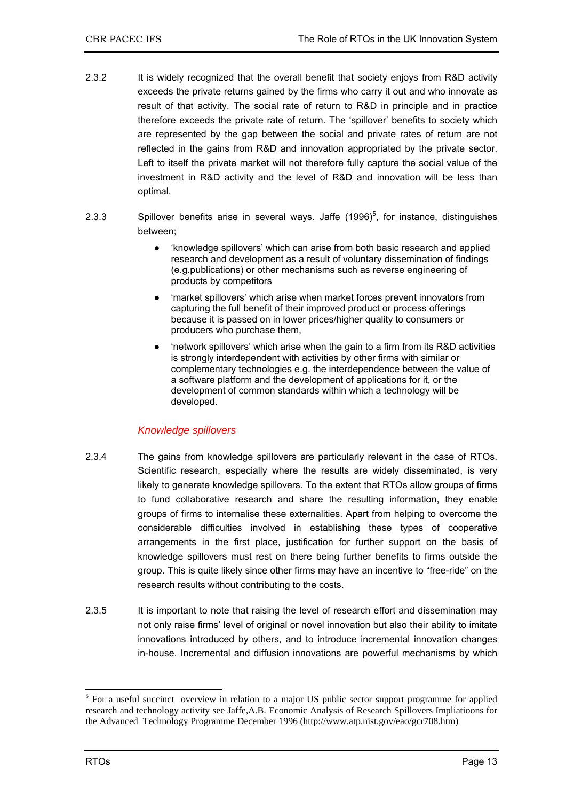- 2.3.2 It is widely recognized that the overall benefit that society enjoys from R&D activity exceeds the private returns gained by the firms who carry it out and who innovate as result of that activity. The social rate of return to R&D in principle and in practice therefore exceeds the private rate of return. The 'spillover' benefits to society which are represented by the gap between the social and private rates of return are not reflected in the gains from R&D and innovation appropriated by the private sector. Left to itself the private market will not therefore fully capture the social value of the investment in R&D activity and the level of R&D and innovation will be less than optimal.
- 2.3.3 Spillover benefits arise in several ways. Jaffe  $(1996)^5$ , for instance, distinguishes between;
	- 'knowledge spillovers' which can arise from both basic research and applied research and development as a result of voluntary dissemination of findings (e.g.publications) or other mechanisms such as reverse engineering of products by competitors
	- 'market spillovers' which arise when market forces prevent innovators from capturing the full benefit of their improved product or process offerings because it is passed on in lower prices/higher quality to consumers or producers who purchase them,
	- 'network spillovers' which arise when the gain to a firm from its R&D activities is strongly interdependent with activities by other firms with similar or complementary technologies e.g. the interdependence between the value of a software platform and the development of applications for it, or the development of common standards within which a technology will be developed.

### *Knowledge spillovers*

- 2.3.4 The gains from knowledge spillovers are particularly relevant in the case of RTOs. Scientific research, especially where the results are widely disseminated, is very likely to generate knowledge spillovers. To the extent that RTOs allow groups of firms to fund collaborative research and share the resulting information, they enable groups of firms to internalise these externalities. Apart from helping to overcome the considerable difficulties involved in establishing these types of cooperative arrangements in the first place, justification for further support on the basis of knowledge spillovers must rest on there being further benefits to firms outside the group. This is quite likely since other firms may have an incentive to "free-ride" on the research results without contributing to the costs.
- 2.3.5 It is important to note that raising the level of research effort and dissemination may not only raise firms' level of original or novel innovation but also their ability to imitate innovations introduced by others, and to introduce incremental innovation changes in-house. Incremental and diffusion innovations are powerful mechanisms by which

-

<sup>&</sup>lt;sup>5</sup> For a useful succinct overview in relation to a major US public sector support programme for applied research and technology activity see Jaffe,A.B. Economic Analysis of Research Spillovers Impliatioons for the Advanced Technology Programme December 1996 (http://www.atp.nist.gov/eao/gcr708.htm)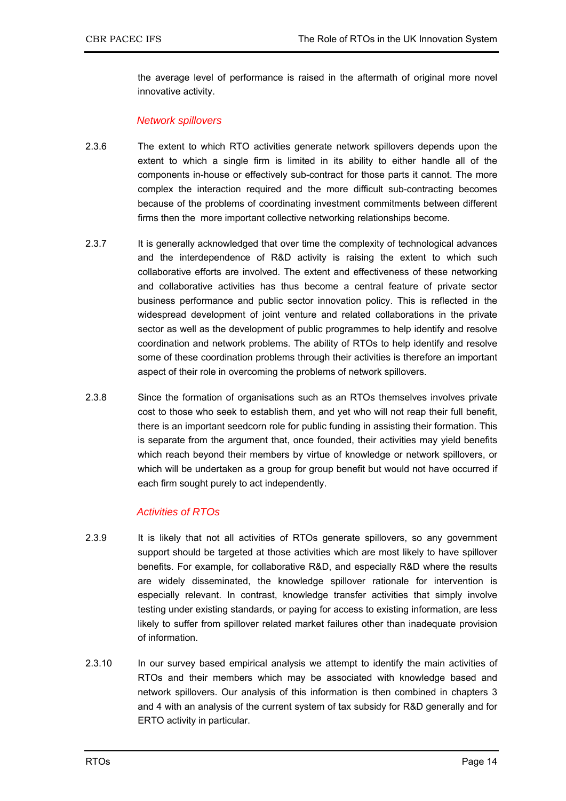the average level of performance is raised in the aftermath of original more novel innovative activity.

### *Network spillovers*

- 2.3.6 The extent to which RTO activities generate network spillovers depends upon the extent to which a single firm is limited in its ability to either handle all of the components in-house or effectively sub-contract for those parts it cannot. The more complex the interaction required and the more difficult sub-contracting becomes because of the problems of coordinating investment commitments between different firms then the more important collective networking relationships become.
- 2.3.7 It is generally acknowledged that over time the complexity of technological advances and the interdependence of R&D activity is raising the extent to which such collaborative efforts are involved. The extent and effectiveness of these networking and collaborative activities has thus become a central feature of private sector business performance and public sector innovation policy. This is reflected in the widespread development of joint venture and related collaborations in the private sector as well as the development of public programmes to help identify and resolve coordination and network problems. The ability of RTOs to help identify and resolve some of these coordination problems through their activities is therefore an important aspect of their role in overcoming the problems of network spillovers.
- 2.3.8 Since the formation of organisations such as an RTOs themselves involves private cost to those who seek to establish them, and yet who will not reap their full benefit, there is an important seedcorn role for public funding in assisting their formation. This is separate from the argument that, once founded, their activities may yield benefits which reach beyond their members by virtue of knowledge or network spillovers, or which will be undertaken as a group for group benefit but would not have occurred if each firm sought purely to act independently.

### *Activities of RTOs*

- 2.3.9 It is likely that not all activities of RTOs generate spillovers, so any government support should be targeted at those activities which are most likely to have spillover benefits. For example, for collaborative R&D, and especially R&D where the results are widely disseminated, the knowledge spillover rationale for intervention is especially relevant. In contrast, knowledge transfer activities that simply involve testing under existing standards, or paying for access to existing information, are less likely to suffer from spillover related market failures other than inadequate provision of information.
- 2.3.10 In our survey based empirical analysis we attempt to identify the main activities of RTOs and their members which may be associated with knowledge based and network spillovers. Our analysis of this information is then combined in chapters 3 and 4 with an analysis of the current system of tax subsidy for R&D generally and for ERTO activity in particular.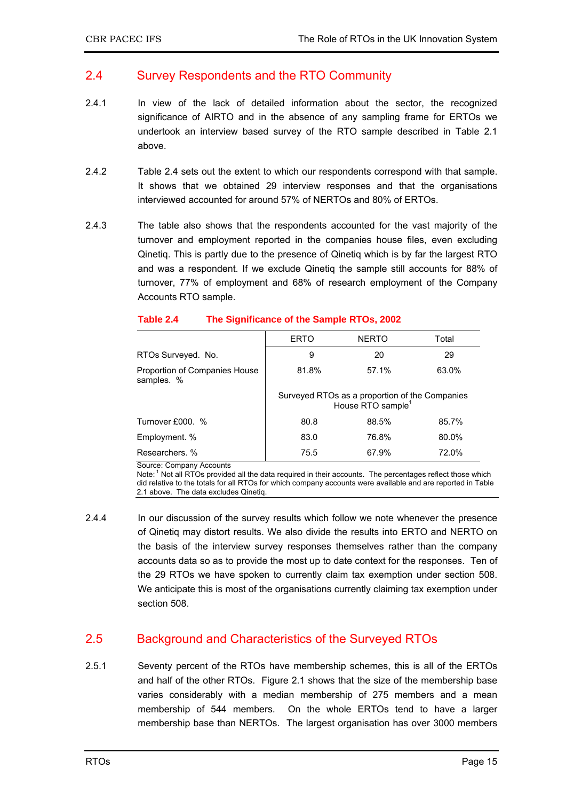### 2.4 Survey Respondents and the RTO Community

- 2.4.1 In view of the lack of detailed information about the sector, the recognized significance of AIRTO and in the absence of any sampling frame for ERTOs we undertook an interview based survey of the RTO sample described in Table 2.1 above.
- 2.4.2 Table 2.4 sets out the extent to which our respondents correspond with that sample. It shows that we obtained 29 interview responses and that the organisations interviewed accounted for around 57% of NERTOs and 80% of ERTOs.
- 2.4.3 The table also shows that the respondents accounted for the vast majority of the turnover and employment reported in the companies house files, even excluding Qinetiq. This is partly due to the presence of Qinetiq which is by far the largest RTO and was a respondent. If we exclude Qinetiq the sample still accounts for 88% of turnover, 77% of employment and 68% of research employment of the Company Accounts RTO sample.

|                                             | <b>ERTO</b>                                                                     | <b>NERTO</b> | Total |  |
|---------------------------------------------|---------------------------------------------------------------------------------|--------------|-------|--|
| RTOs Surveyed. No.                          | 9                                                                               | 20           | 29    |  |
| Proportion of Companies House<br>samples. % | 81.8%                                                                           | 57.1%        | 63.0% |  |
|                                             | Surveyed RTOs as a proportion of the Companies<br>House RTO sample <sup>1</sup> |              |       |  |
| Turnover £000. %                            | 80.8                                                                            | 88.5%        | 85.7% |  |
| Employment. %                               | 83.0                                                                            | 76.8%        | 80.0% |  |
| Researchers, %                              | 75.5                                                                            | 67.9%        | 72.0% |  |

### **Table 2.4 The Significance of the Sample RTOs, 2002**

Source: Company Accounts

Note: <sup>1</sup> Not all RTOs provided all the data required in their accounts. The percentages reflect those which did relative to the totals for all RTOs for which company accounts were available and are reported in Table 2.1 above. The data excludes Qinetiq.

2.4.4 In our discussion of the survey results which follow we note whenever the presence of Qinetiq may distort results. We also divide the results into ERTO and NERTO on the basis of the interview survey responses themselves rather than the company accounts data so as to provide the most up to date context for the responses. Ten of the 29 RTOs we have spoken to currently claim tax exemption under section 508. We anticipate this is most of the organisations currently claiming tax exemption under section 508.

# 2.5 Background and Characteristics of the Surveyed RTOs

2.5.1 Seventy percent of the RTOs have membership schemes, this is all of the ERTOs and half of the other RTOs. Figure 2.1 shows that the size of the membership base varies considerably with a median membership of 275 members and a mean membership of 544 members. On the whole ERTOs tend to have a larger membership base than NERTOs. The largest organisation has over 3000 members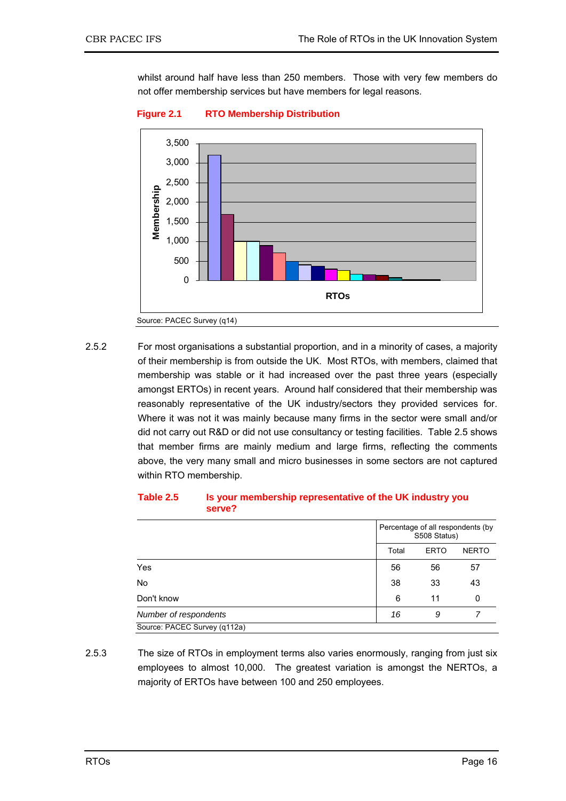whilst around half have less than 250 members. Those with very few members do not offer membership services but have members for legal reasons.



#### **Figure 2.1 RTO Membership Distribution**

2.5.2 For most organisations a substantial proportion, and in a minority of cases, a majority of their membership is from outside the UK. Most RTOs, with members, claimed that membership was stable or it had increased over the past three years (especially amongst ERTOs) in recent years. Around half considered that their membership was reasonably representative of the UK industry/sectors they provided services for. Where it was not it was mainly because many firms in the sector were small and/or did not carry out R&D or did not use consultancy or testing facilities. Table 2.5 shows that member firms are mainly medium and large firms, reflecting the comments above, the very many small and micro businesses in some sectors are not captured within RTO membership.

|                              | Percentage of all respondents (by<br>S508 Status) |              |    |  |
|------------------------------|---------------------------------------------------|--------------|----|--|
|                              | Total                                             | <b>NERTO</b> |    |  |
| Yes                          | 56                                                | 56           | 57 |  |
| No                           | 38                                                | 33           | 43 |  |
| Don't know                   | 6                                                 | 11           | 0  |  |
| Number of respondents        | 16                                                | 9            |    |  |
| Source: PACEC Survey (q112a) |                                                   |              |    |  |

#### **Table 2.5 Is your membership representative of the UK industry you serve?**

2.5.3 The size of RTOs in employment terms also varies enormously, ranging from just six employees to almost 10,000. The greatest variation is amongst the NERTOs, a majority of ERTOs have between 100 and 250 employees.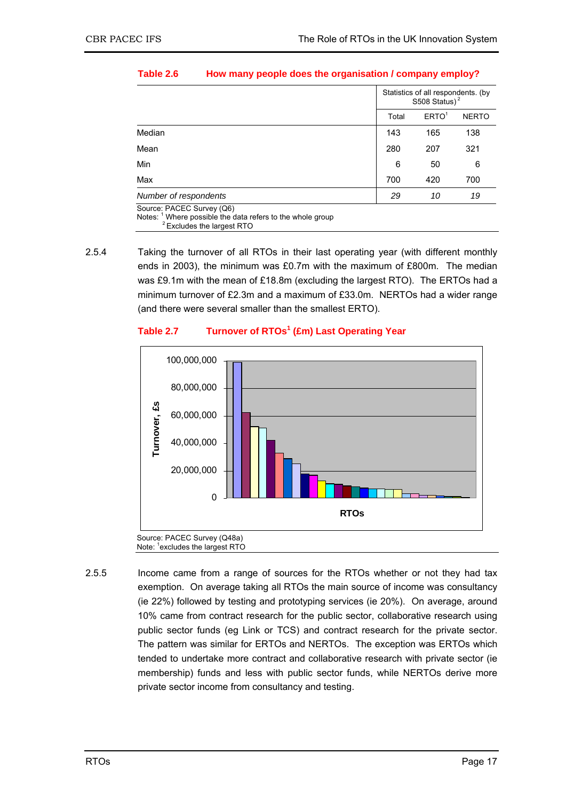|                                                                                           |       | Statistics of all respondents. (by<br>S508 Status) <sup>2</sup> |     |  |
|-------------------------------------------------------------------------------------------|-------|-----------------------------------------------------------------|-----|--|
|                                                                                           | Total | <b>NERTO</b>                                                    |     |  |
| Median                                                                                    | 143   | 165                                                             | 138 |  |
| Mean                                                                                      | 280   | 207                                                             | 321 |  |
| Min                                                                                       | 6     | 50                                                              | 6   |  |
| Max                                                                                       | 700   | 420                                                             | 700 |  |
| Number of respondents                                                                     | 29    | 10                                                              | 19  |  |
| Source: PACEC Survey (Q6)<br>Notes: $1$ Where possible the data refers to the whole group |       |                                                                 |     |  |

#### **Table 2.6 How many people does the organisation / company employ?**

Notes: 1 Where possible the data refers to the whole group 2 Excludes the largest RTO

2.5.4 Taking the turnover of all RTOs in their last operating year (with different monthly ends in 2003), the minimum was £0.7m with the maximum of £800m. The median was £9.1m with the mean of £18.8m (excluding the largest RTO). The ERTOs had a minimum turnover of £2.3m and a maximum of £33.0m. NERTOs had a wider range (and there were several smaller than the smallest ERTO).

### **Table 2.7 Turnover of RTOs<sup>1</sup> (£m) Last Operating Year**



2.5.5 Income came from a range of sources for the RTOs whether or not they had tax exemption. On average taking all RTOs the main source of income was consultancy (ie 22%) followed by testing and prototyping services (ie 20%). On average, around 10% came from contract research for the public sector, collaborative research using public sector funds (eg Link or TCS) and contract research for the private sector. The pattern was similar for ERTOs and NERTOs. The exception was ERTOs which tended to undertake more contract and collaborative research with private sector (ie membership) funds and less with public sector funds, while NERTOs derive more private sector income from consultancy and testing.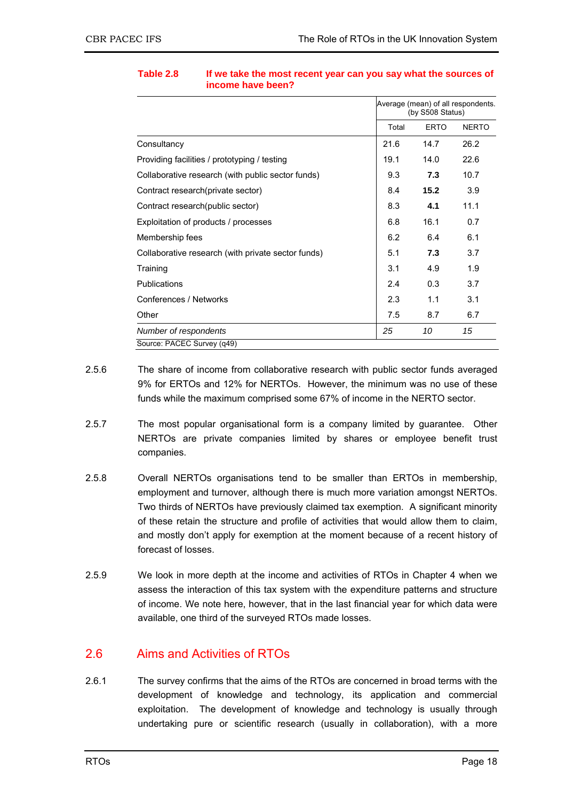|                                                    |       | Average (mean) of all respondents.<br>(by S508 Status) |              |  |
|----------------------------------------------------|-------|--------------------------------------------------------|--------------|--|
|                                                    | Total | <b>ERTO</b>                                            | <b>NERTO</b> |  |
| Consultancy                                        | 21.6  | 14.7                                                   | 26.2         |  |
| Providing facilities / prototyping / testing       | 19.1  | 14.0                                                   | 22.6         |  |
| Collaborative research (with public sector funds)  | 9.3   | 7.3                                                    | 10.7         |  |
| Contract research (private sector)                 | 8.4   | 15.2                                                   | 3.9          |  |
| Contract research(public sector)                   | 8.3   | 4.1                                                    | 11.1         |  |
| Exploitation of products / processes               | 6.8   | 16.1                                                   | 0.7          |  |
| Membership fees                                    | 6.2   | 6.4                                                    | 6.1          |  |
| Collaborative research (with private sector funds) | 5.1   | 7.3                                                    | 3.7          |  |
| Training                                           | 3.1   | 4.9                                                    | 1.9          |  |
| <b>Publications</b>                                | 2.4   | 0.3                                                    | 3.7          |  |
| Conferences / Networks                             | 2.3   | 1.1                                                    | 3.1          |  |
| Other                                              | 7.5   | 8.7                                                    | 6.7          |  |
| Number of respondents                              | 25    | 10                                                     | 15           |  |
| Source: PACEC Survey (q49)                         |       |                                                        |              |  |

### **Table 2.8 If we take the most recent year can you say what the sources of income have been?**

- 2.5.6 The share of income from collaborative research with public sector funds averaged 9% for ERTOs and 12% for NERTOs. However, the minimum was no use of these funds while the maximum comprised some 67% of income in the NERTO sector.
- 2.5.7 The most popular organisational form is a company limited by guarantee. Other NERTOs are private companies limited by shares or employee benefit trust companies.
- 2.5.8 Overall NERTOs organisations tend to be smaller than ERTOs in membership, employment and turnover, although there is much more variation amongst NERTOs. Two thirds of NERTOs have previously claimed tax exemption. A significant minority of these retain the structure and profile of activities that would allow them to claim, and mostly don't apply for exemption at the moment because of a recent history of forecast of losses.
- 2.5.9 We look in more depth at the income and activities of RTOs in Chapter 4 when we assess the interaction of this tax system with the expenditure patterns and structure of income. We note here, however, that in the last financial year for which data were available, one third of the surveyed RTOs made losses.

# 2.6 Aims and Activities of RTOs

2.6.1 The survey confirms that the aims of the RTOs are concerned in broad terms with the development of knowledge and technology, its application and commercial exploitation. The development of knowledge and technology is usually through undertaking pure or scientific research (usually in collaboration), with a more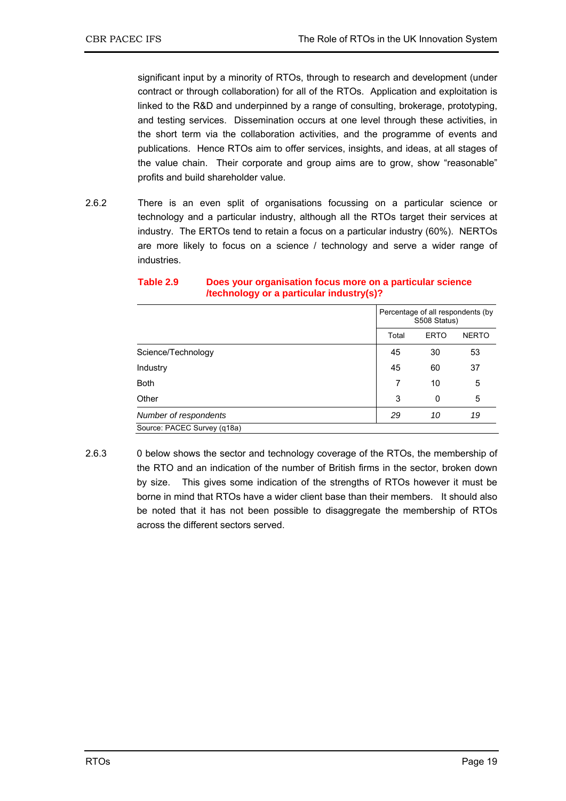significant input by a minority of RTOs, through to research and development (under contract or through collaboration) for all of the RTOs. Application and exploitation is linked to the R&D and underpinned by a range of consulting, brokerage, prototyping, and testing services. Dissemination occurs at one level through these activities, in the short term via the collaboration activities, and the programme of events and publications. Hence RTOs aim to offer services, insights, and ideas, at all stages of the value chain. Their corporate and group aims are to grow, show "reasonable" profits and build shareholder value.

2.6.2 There is an even split of organisations focussing on a particular science or technology and a particular industry, although all the RTOs target their services at industry. The ERTOs tend to retain a focus on a particular industry (60%). NERTOs are more likely to focus on a science / technology and serve a wider range of industries.

|                             |                      | Percentage of all respondents (by<br>S508 Status) |    |              |
|-----------------------------|----------------------|---------------------------------------------------|----|--------------|
|                             | Total<br><b>ERTO</b> |                                                   |    | <b>NERTO</b> |
| Science/Technology          |                      | 45                                                | 30 | 53           |
| Industry                    |                      | 45                                                | 60 | 37           |
| <b>Both</b>                 |                      | 7                                                 | 10 | 5            |
| Other                       |                      | 3                                                 | 0  | 5            |
| Number of respondents       |                      | 29                                                | 10 | 19           |
| Source: PACEC Survey (q18a) |                      |                                                   |    |              |

#### **Table 2.9 Does your organisation focus more on a particular science /technology or a particular industry(s)?**

2.6.3 0 below shows the sector and technology coverage of the RTOs, the membership of the RTO and an indication of the number of British firms in the sector, broken down by size. This gives some indication of the strengths of RTOs however it must be borne in mind that RTOs have a wider client base than their members. It should also be noted that it has not been possible to disaggregate the membership of RTOs across the different sectors served.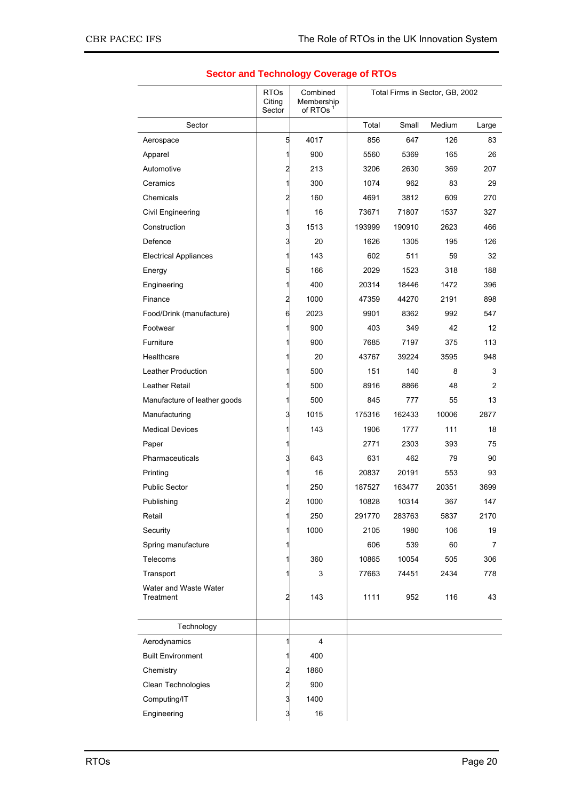|                                          | <b>RTOs</b><br>Citing<br>Sector | Combined<br>Membership<br>of RTOs | Total Firms in Sector, GB, 2002 |        |        |       |
|------------------------------------------|---------------------------------|-----------------------------------|---------------------------------|--------|--------|-------|
| Sector                                   |                                 |                                   | Total                           | Small  | Medium | Large |
| Aerospace                                | 5                               | 4017                              | 856                             | 647    | 126    | 83    |
| Apparel                                  | 1                               | 900                               | 5560                            | 5369   | 165    | 26    |
| Automotive                               | 2                               | 213                               | 3206                            | 2630   | 369    | 207   |
| Ceramics                                 | 1                               | 300                               | 1074                            | 962    | 83     | 29    |
| Chemicals                                | 2                               | 160                               | 4691                            | 3812   | 609    | 270   |
| Civil Engineering                        | 1                               | 16                                | 73671                           | 71807  | 1537   | 327   |
| Construction                             | 3                               | 1513                              | 193999                          | 190910 | 2623   | 466   |
| Defence                                  | 3                               | 20                                | 1626                            | 1305   | 195    | 126   |
| <b>Electrical Appliances</b>             | 1                               | 143                               | 602                             | 511    | 59     | 32    |
| Energy                                   | 5                               | 166                               | 2029                            | 1523   | 318    | 188   |
| Engineering                              | 1                               | 400                               | 20314                           | 18446  | 1472   | 396   |
| Finance                                  | 2                               | 1000                              | 47359                           | 44270  | 2191   | 898   |
| Food/Drink (manufacture)                 | 6                               | 2023                              | 9901                            | 8362   | 992    | 547   |
| Footwear                                 | 1                               | 900                               | 403                             | 349    | 42     | 12    |
| Furniture                                | 1                               | 900                               | 7685                            | 7197   | 375    | 113   |
| Healthcare                               | 1                               | 20                                | 43767                           | 39224  | 3595   | 948   |
| Leather Production                       | 1                               | 500                               | 151                             | 140    | 8      | 3     |
| Leather Retail                           | 1                               | 500                               | 8916                            | 8866   | 48     | 2     |
| Manufacture of leather goods             | 1                               | 500                               | 845                             | 777    | 55     | 13    |
| Manufacturing                            | 3                               | 1015                              | 175316                          | 162433 | 10006  | 2877  |
| <b>Medical Devices</b>                   | 1                               | 143                               | 1906                            | 1777   | 111    | 18    |
| Paper                                    | 1                               |                                   | 2771                            | 2303   | 393    | 75    |
| Pharmaceuticals                          | 3                               | 643                               | 631                             | 462    | 79     | 90    |
| Printing                                 | 1                               | 16                                | 20837                           | 20191  | 553    | 93    |
| <b>Public Sector</b>                     |                                 | 250                               | 187527                          | 163477 | 20351  | 3699  |
| Publishing                               | 2                               | 1000                              | 10828                           | 10314  | 367    | 147   |
| Retail                                   | 1                               | 250                               | 291770                          | 283763 | 5837   | 2170  |
| Security                                 | 1                               | 1000                              | 2105                            | 1980   | 106    | 19    |
| Spring manufacture                       | 1                               |                                   | 606                             | 539    | 60     | 7     |
| Telecoms                                 | 1                               | 360                               | 10865                           | 10054  | 505    | 306   |
| Transport                                |                                 | 3                                 | 77663                           | 74451  | 2434   | 778   |
| Water and Waste Water<br>Treatment       | 2                               | 143                               | 1111                            | 952    | 116    | 43    |
| Technology                               |                                 |                                   |                                 |        |        |       |
|                                          | 1                               | $\overline{\mathbf{4}}$           |                                 |        |        |       |
| Aerodynamics<br><b>Built Environment</b> |                                 | 400                               |                                 |        |        |       |
|                                          | 1                               |                                   |                                 |        |        |       |
| Chemistry                                | 2                               | 1860                              |                                 |        |        |       |
| Clean Technologies                       | 2                               | 900                               |                                 |        |        |       |
| Computing/IT                             | 3                               | 1400                              |                                 |        |        |       |
| Engineering                              | $\overline{3}$                  | 16                                |                                 |        |        |       |

### **Sector and Technology Coverage of RTOs**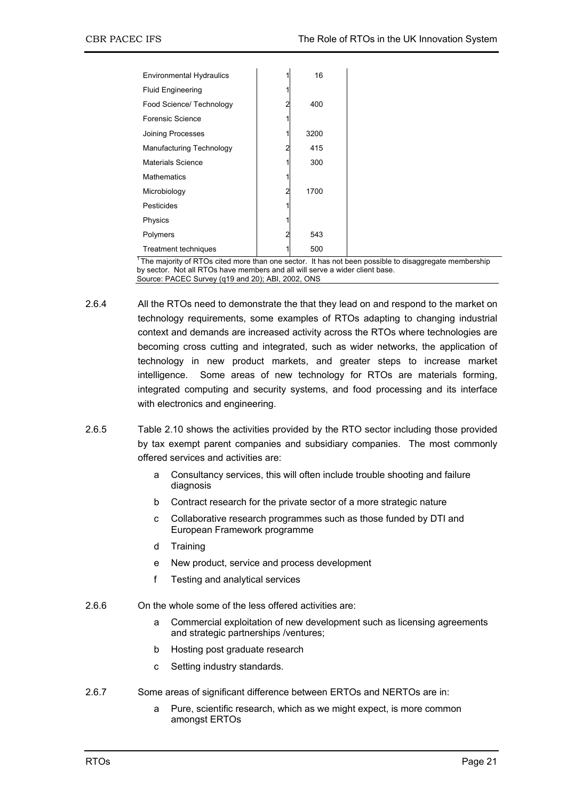| <b>Environmental Hydraulics</b> | 16   |  |
|---------------------------------|------|--|
| <b>Fluid Engineering</b>        |      |  |
| Food Science/ Technology        | 400  |  |
| Forensic Science                |      |  |
| Joining Processes               | 3200 |  |
| Manufacturing Technology        | 415  |  |
| <b>Materials Science</b>        | 300  |  |
| <b>Mathematics</b>              |      |  |
| Microbiology                    | 1700 |  |
| Pesticides                      |      |  |
| Physics                         |      |  |
| Polymers                        | 543  |  |
| Treatment techniques            | 500  |  |

<sup>1</sup> The majority of RTOs cited more than one sector. It has not been possible to disaggregate membership by sector. Not all RTOs have members and all will serve a wider client base. Source: PACEC Survey (q19 and 20); ABI, 2002, ONS

- 2.6.4 All the RTOs need to demonstrate the that they lead on and respond to the market on technology requirements, some examples of RTOs adapting to changing industrial context and demands are increased activity across the RTOs where technologies are becoming cross cutting and integrated, such as wider networks, the application of technology in new product markets, and greater steps to increase market intelligence. Some areas of new technology for RTOs are materials forming, integrated computing and security systems, and food processing and its interface with electronics and engineering.
- 2.6.5 Table 2.10 shows the activities provided by the RTO sector including those provided by tax exempt parent companies and subsidiary companies. The most commonly offered services and activities are:
	- a Consultancy services, this will often include trouble shooting and failure diagnosis
	- b Contract research for the private sector of a more strategic nature
	- c Collaborative research programmes such as those funded by DTI and European Framework programme
	- d Training
	- e New product, service and process development
	- f Testing and analytical services
- 2.6.6 On the whole some of the less offered activities are:
	- a Commercial exploitation of new development such as licensing agreements and strategic partnerships /ventures;
	- b Hosting post graduate research
	- c Setting industry standards.
- 2.6.7 Some areas of significant difference between ERTOs and NERTOs are in:
	- a Pure, scientific research, which as we might expect, is more common amongst ERTOs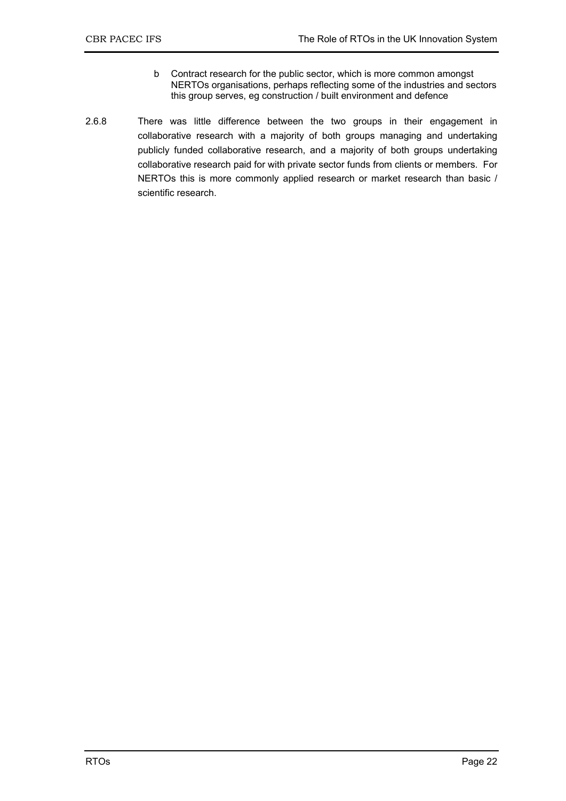- b Contract research for the public sector, which is more common amongst NERTOs organisations, perhaps reflecting some of the industries and sectors this group serves, eg construction / built environment and defence
- 2.6.8 There was little difference between the two groups in their engagement in collaborative research with a majority of both groups managing and undertaking publicly funded collaborative research, and a majority of both groups undertaking collaborative research paid for with private sector funds from clients or members. For NERTOs this is more commonly applied research or market research than basic / scientific research.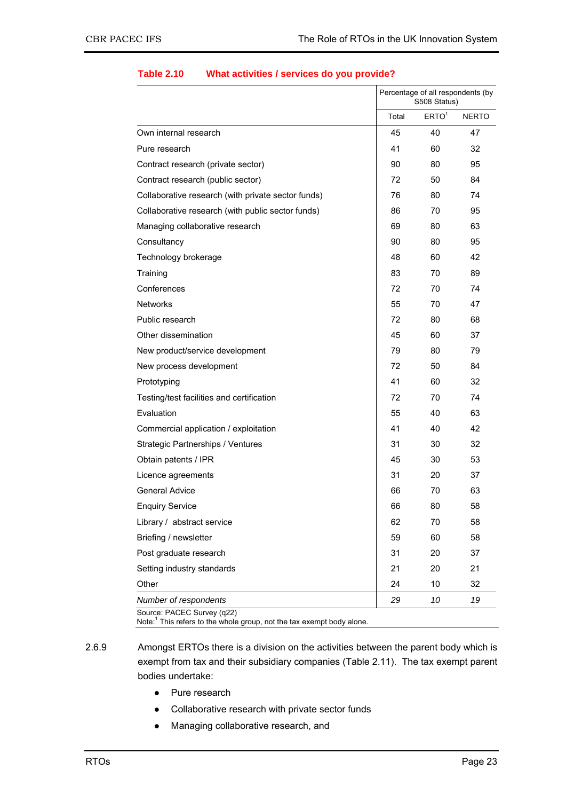|                                                    |       | Percentage of all respondents (by<br>S508 Status) |              |  |
|----------------------------------------------------|-------|---------------------------------------------------|--------------|--|
|                                                    | Total | ERTO <sup>1</sup>                                 | <b>NERTO</b> |  |
| Own internal research                              | 45    | 40                                                | 47           |  |
| Pure research                                      | 41    | 60                                                | 32           |  |
| Contract research (private sector)                 | 90    | 80                                                | 95           |  |
| Contract research (public sector)                  | 72    | 50                                                | 84           |  |
| Collaborative research (with private sector funds) | 76    | 80                                                | 74           |  |
| Collaborative research (with public sector funds)  | 86    | 70                                                | 95           |  |
| Managing collaborative research                    | 69    | 80                                                | 63           |  |
| Consultancy                                        | 90    | 80                                                | 95           |  |
| Technology brokerage                               | 48    | 60                                                | 42           |  |
| Training                                           | 83    | 70                                                | 89           |  |
| Conferences                                        | 72    | 70                                                | 74           |  |
| <b>Networks</b>                                    | 55    | 70                                                | 47           |  |
| Public research                                    | 72    | 80                                                | 68           |  |
| Other dissemination                                | 45    | 60                                                | 37           |  |
| New product/service development                    | 79    | 80                                                | 79           |  |
| New process development                            | 72    | 50                                                | 84           |  |
| Prototyping                                        | 41    | 60                                                | 32           |  |
| Testing/test facilities and certification          | 72    | 70                                                | 74           |  |
| Evaluation                                         | 55    | 40                                                | 63           |  |
| Commercial application / exploitation              | 41    | 40                                                | 42           |  |
| <b>Strategic Partnerships / Ventures</b>           | 31    | 30                                                | 32           |  |
| Obtain patents / IPR                               | 45    | 30                                                | 53           |  |
| Licence agreements                                 | 31    | 20                                                | 37           |  |
| <b>General Advice</b>                              | 66    | 70                                                | 63           |  |
| <b>Enquiry Service</b>                             | 66    | 80                                                | 58           |  |
| Library / abstract service                         | 62    | 70                                                | 58           |  |
| Briefing / newsletter                              | 59    | 60                                                | 58           |  |
| Post graduate research                             | 31    | 20                                                | 37           |  |
| Setting industry standards                         | 21    | 20                                                | 21           |  |
| Other                                              | 24    | 10                                                | 32           |  |
| Number of respondents                              | 29    | 10                                                | 19           |  |

#### **Table 2.10 What activities / services do you provide?**

Note:<sup>1</sup> This refers to the whole group, not the tax exempt body alone.

- 2.6.9 Amongst ERTOs there is a division on the activities between the parent body which is exempt from tax and their subsidiary companies (Table 2.11). The tax exempt parent bodies undertake:
	- Pure research
	- Collaborative research with private sector funds
	- Managing collaborative research, and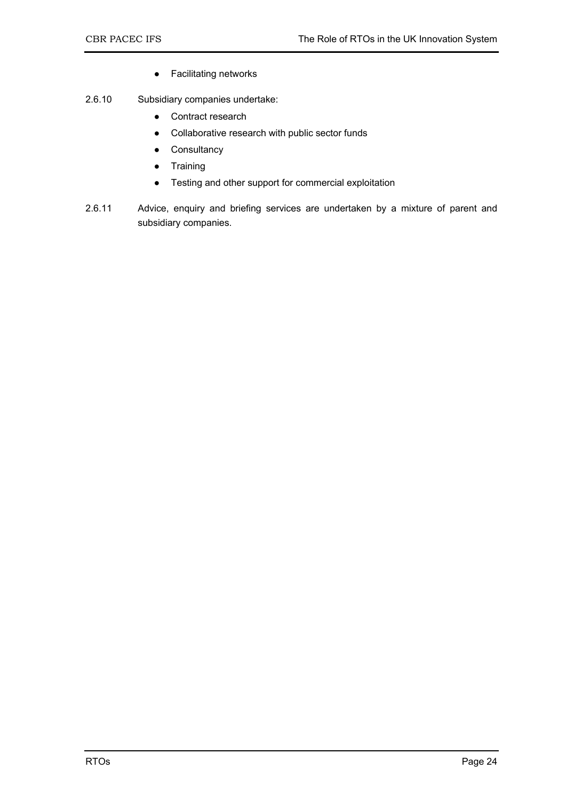- Facilitating networks
- 2.6.10 Subsidiary companies undertake:
	- Contract research
	- Collaborative research with public sector funds
	- Consultancy
	- Training
	- Testing and other support for commercial exploitation
- 2.6.11 Advice, enquiry and briefing services are undertaken by a mixture of parent and subsidiary companies.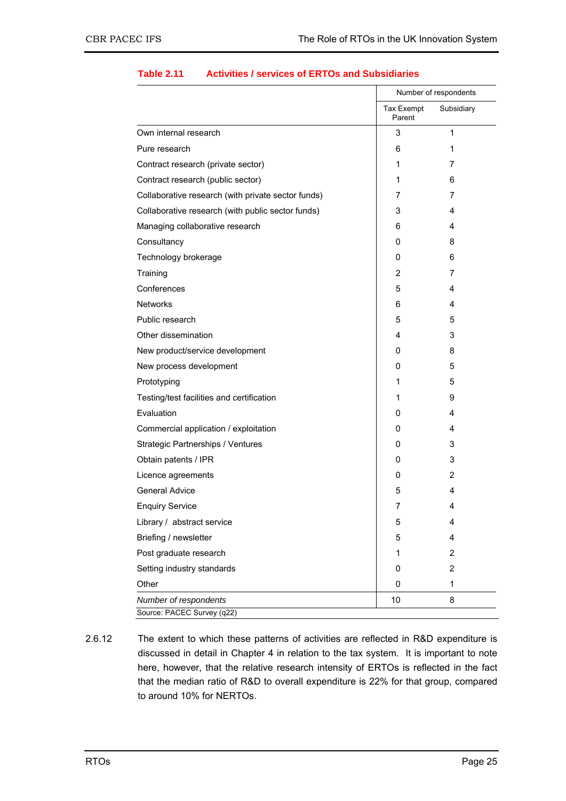| Own internal research<br>Pure research<br>Contract research (private sector)<br>Contract research (public sector)<br>Collaborative research (with private sector funds)<br>Collaborative research (with public sector funds)<br>Managing collaborative research<br>Consultancy<br>Technology brokerage<br>Training<br>Conferences<br><b>Networks</b><br>Public research<br>Other dissemination | Tax Exempt<br>Parent<br>3<br>6 | Subsidiary<br>1 |
|------------------------------------------------------------------------------------------------------------------------------------------------------------------------------------------------------------------------------------------------------------------------------------------------------------------------------------------------------------------------------------------------|--------------------------------|-----------------|
|                                                                                                                                                                                                                                                                                                                                                                                                |                                |                 |
|                                                                                                                                                                                                                                                                                                                                                                                                |                                |                 |
|                                                                                                                                                                                                                                                                                                                                                                                                |                                | 1               |
|                                                                                                                                                                                                                                                                                                                                                                                                | 1                              | 7               |
|                                                                                                                                                                                                                                                                                                                                                                                                | 1                              | 6               |
|                                                                                                                                                                                                                                                                                                                                                                                                | 7                              | 7               |
|                                                                                                                                                                                                                                                                                                                                                                                                | 3                              | 4               |
|                                                                                                                                                                                                                                                                                                                                                                                                | 6                              | 4               |
|                                                                                                                                                                                                                                                                                                                                                                                                | 0                              | 8               |
|                                                                                                                                                                                                                                                                                                                                                                                                | 0                              | 6               |
|                                                                                                                                                                                                                                                                                                                                                                                                | $\overline{2}$                 | 7               |
|                                                                                                                                                                                                                                                                                                                                                                                                | 5                              | 4               |
|                                                                                                                                                                                                                                                                                                                                                                                                | 6                              | 4               |
|                                                                                                                                                                                                                                                                                                                                                                                                | 5                              | 5               |
|                                                                                                                                                                                                                                                                                                                                                                                                | 4                              | 3               |
| New product/service development                                                                                                                                                                                                                                                                                                                                                                | 0                              | 8               |
| New process development                                                                                                                                                                                                                                                                                                                                                                        | 0                              | 5               |
| Prototyping                                                                                                                                                                                                                                                                                                                                                                                    | 1                              | 5               |
| Testing/test facilities and certification                                                                                                                                                                                                                                                                                                                                                      | 1                              | 9               |
| Evaluation                                                                                                                                                                                                                                                                                                                                                                                     | 0                              | 4               |
| Commercial application / exploitation                                                                                                                                                                                                                                                                                                                                                          | 0                              | 4               |
| <b>Strategic Partnerships / Ventures</b>                                                                                                                                                                                                                                                                                                                                                       | 0                              | 3               |
| Obtain patents / IPR                                                                                                                                                                                                                                                                                                                                                                           | 0                              | 3               |
| Licence agreements                                                                                                                                                                                                                                                                                                                                                                             | 0                              | 2               |
| <b>General Advice</b>                                                                                                                                                                                                                                                                                                                                                                          | 5                              | 4               |
| <b>Enquiry Service</b>                                                                                                                                                                                                                                                                                                                                                                         | 7                              | 4               |
| Library / abstract service                                                                                                                                                                                                                                                                                                                                                                     | 5                              | 4               |
| Briefing / newsletter                                                                                                                                                                                                                                                                                                                                                                          | 5                              | 4               |
| Post graduate research                                                                                                                                                                                                                                                                                                                                                                         | 1                              | 2               |
| Setting industry standards                                                                                                                                                                                                                                                                                                                                                                     | 0                              | 2               |
| Other                                                                                                                                                                                                                                                                                                                                                                                          |                                |                 |
| Number of respondents<br>Source: PACEC Survey (q22)                                                                                                                                                                                                                                                                                                                                            | 0                              | 1               |

### **Table 2.11 Activities / services of ERTOs and Subsidiaries**

2.6.12 The extent to which these patterns of activities are reflected in R&D expenditure is discussed in detail in Chapter 4 in relation to the tax system. It is important to note here, however, that the relative research intensity of ERTOs is reflected in the fact that the median ratio of R&D to overall expenditure is 22% for that group, compared to around 10% for NERTOs.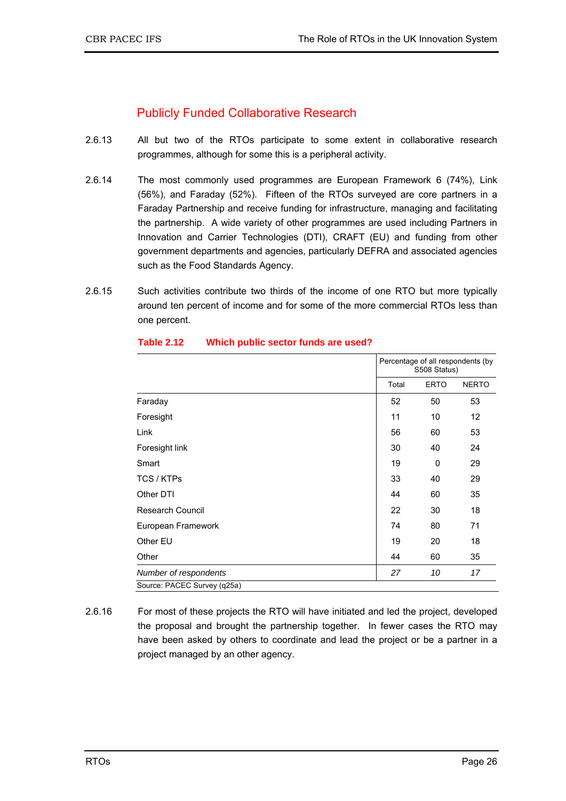# Publicly Funded Collaborative Research

- 2.6.13 All but two of the RTOs participate to some extent in collaborative research programmes, although for some this is a peripheral activity.
- 2.6.14 The most commonly used programmes are European Framework 6 (74%), Link (56%), and Faraday (52%). Fifteen of the RTOs surveyed are core partners in a Faraday Partnership and receive funding for infrastructure, managing and facilitating the partnership. A wide variety of other programmes are used including Partners in Innovation and Carrier Technologies (DTI), CRAFT (EU) and funding from other government departments and agencies, particularly DEFRA and associated agencies such as the Food Standards Agency.
- 2.6.15 Such activities contribute two thirds of the income of one RTO but more typically around ten percent of income and for some of the more commercial RTOs less than one percent.

|                             |       | Percentage of all respondents (by<br>S508 Status) |              |  |
|-----------------------------|-------|---------------------------------------------------|--------------|--|
|                             | Total | <b>ERTO</b>                                       | <b>NERTO</b> |  |
| Faraday                     | 52    | 50                                                | 53           |  |
| Foresight                   | 11    | 10                                                | 12           |  |
| Link                        | 56    | 60                                                | 53           |  |
| Foresight link              | 30    | 40                                                | 24           |  |
| Smart                       | 19    | 0                                                 | 29           |  |
| TCS / KTPs                  | 33    | 40                                                | 29           |  |
| Other DTI                   | 44    | 60                                                | 35           |  |
| <b>Research Council</b>     | 22    | 30                                                | 18           |  |
| European Framework          | 74    | 80                                                | 71           |  |
| Other EU                    | 19    | 20                                                | 18           |  |
| Other                       | 44    | 60                                                | 35           |  |
| Number of respondents       | 27    | 10                                                | 17           |  |
| Source: PACEC Survey (q25a) |       |                                                   |              |  |

### **Table 2.12 Which public sector funds are used?**

2.6.16 For most of these projects the RTO will have initiated and led the project, developed the proposal and brought the partnership together. In fewer cases the RTO may have been asked by others to coordinate and lead the project or be a partner in a project managed by an other agency.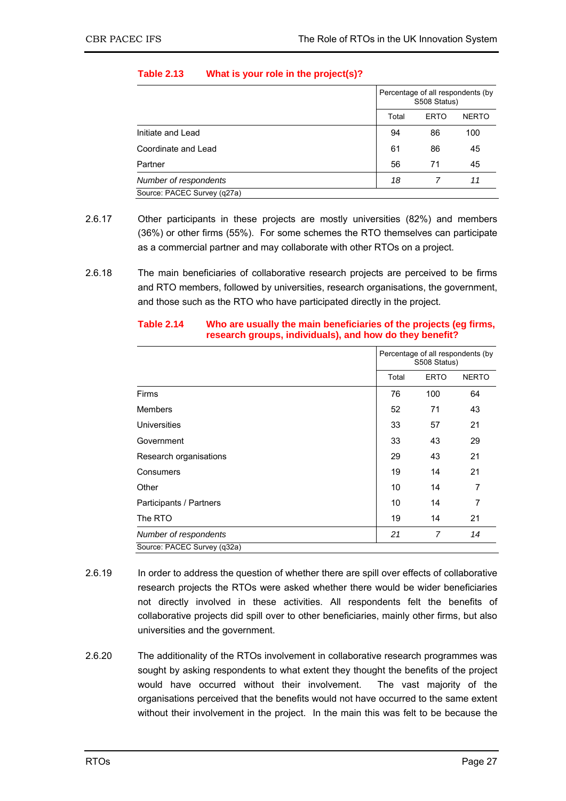|                             | Percentage of all respondents (by<br>S508 Status) |              |     |
|-----------------------------|---------------------------------------------------|--------------|-----|
|                             | Total                                             | <b>NERTO</b> |     |
| Initiate and Lead           | 94                                                | 86           | 100 |
| Coordinate and Lead         | 61                                                | 86           | 45  |
| Partner                     | 56                                                | 71           | 45  |
| Number of respondents       | 18                                                |              | 11  |
| Source: PACEC Survey (q27a) |                                                   |              |     |

### **Table 2.13 What is your role in the project(s)?**

- 2.6.17 Other participants in these projects are mostly universities (82%) and members (36%) or other firms (55%). For some schemes the RTO themselves can participate as a commercial partner and may collaborate with other RTOs on a project.
- 2.6.18 The main beneficiaries of collaborative research projects are perceived to be firms and RTO members, followed by universities, research organisations, the government, and those such as the RTO who have participated directly in the project.

|                             | Percentage of all respondents (by<br>S508 Status) |             |                |
|-----------------------------|---------------------------------------------------|-------------|----------------|
|                             | Total                                             | <b>ERTO</b> | <b>NERTO</b>   |
| Firms                       | 76                                                | 100         | 64             |
| <b>Members</b>              | 52                                                | 71          | 43             |
| Universities                | 33                                                | 57          | 21             |
| Government                  | 33                                                | 43          | 29             |
| Research organisations      | 29                                                | 43          | 21             |
| Consumers                   | 19                                                | 14          | 21             |
| Other                       | 10                                                | 14          | 7              |
| Participants / Partners     | 10                                                | 14          | $\overline{7}$ |
| The RTO                     | 19                                                | 14          | 21             |
| Number of respondents       | 21                                                | 7           | 14             |
| Source: PACEC Survey (q32a) |                                                   |             |                |

### **Table 2.14 Who are usually the main beneficiaries of the projects (eg firms, research groups, individuals), and how do they benefit?**

- 2.6.19 In order to address the question of whether there are spill over effects of collaborative research projects the RTOs were asked whether there would be wider beneficiaries not directly involved in these activities. All respondents felt the benefits of collaborative projects did spill over to other beneficiaries, mainly other firms, but also universities and the government.
- 2.6.20 The additionality of the RTOs involvement in collaborative research programmes was sought by asking respondents to what extent they thought the benefits of the project would have occurred without their involvement. The vast majority of the organisations perceived that the benefits would not have occurred to the same extent without their involvement in the project. In the main this was felt to be because the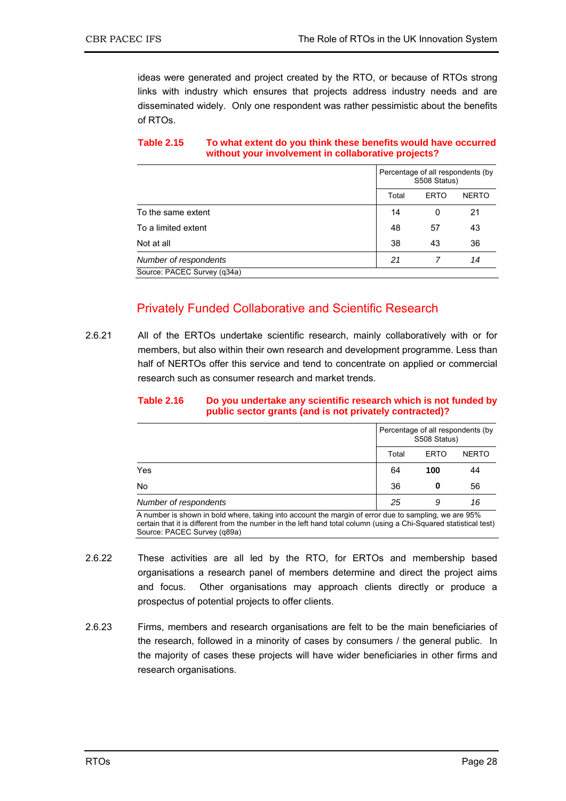ideas were generated and project created by the RTO, or because of RTOs strong links with industry which ensures that projects address industry needs and are disseminated widely. Only one respondent was rather pessimistic about the benefits of RTOs.

#### **Table 2.15 To what extent do you think these benefits would have occurred without your involvement in collaborative projects?**

|                             | Percentage of all respondents (by<br>S508 Status) |             |              |  |
|-----------------------------|---------------------------------------------------|-------------|--------------|--|
|                             | Total                                             | <b>ERTO</b> | <b>NERTO</b> |  |
| To the same extent          | 14                                                | 0           | 21           |  |
| To a limited extent         | 48                                                | 57          | 43           |  |
| Not at all                  | 38                                                | 43          | 36           |  |
| Number of respondents       | 21                                                |             | 14           |  |
| Source: PACEC Survey (q34a) |                                                   |             |              |  |

# Privately Funded Collaborative and Scientific Research

2.6.21 All of the ERTOs undertake scientific research, mainly collaboratively with or for members, but also within their own research and development programme. Less than half of NERTOs offer this service and tend to concentrate on applied or commercial research such as consumer research and market trends.

#### **Table 2.16 Do you undertake any scientific research which is not funded by public sector grants (and is not privately contracted)?**

| Yes<br>No             | Percentage of all respondents (by<br>S508 Status) |             |              |
|-----------------------|---------------------------------------------------|-------------|--------------|
|                       | Total                                             | <b>ERTO</b> | <b>NERTO</b> |
|                       | 64                                                | 100         | 44           |
|                       | 36                                                | 0           | 56           |
| Number of respondents | 25                                                | 9           | 16           |

A number is shown in bold where, taking into account the margin of error due to sampling, we are 95% certain that it is different from the number in the left hand total column (using a Chi-Squared statistical test) Source: PACEC Survey (q89a)

- 2.6.22 These activities are all led by the RTO, for ERTOs and membership based organisations a research panel of members determine and direct the project aims and focus. Other organisations may approach clients directly or produce a prospectus of potential projects to offer clients.
- 2.6.23 Firms, members and research organisations are felt to be the main beneficiaries of the research, followed in a minority of cases by consumers / the general public. In the majority of cases these projects will have wider beneficiaries in other firms and research organisations.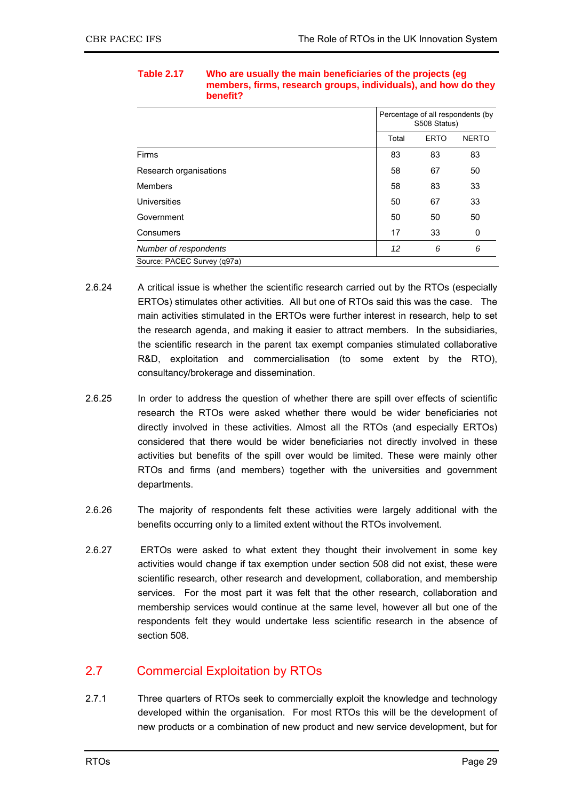|                             | Percentage of all respondents (by<br>S508 Status) |             |              |
|-----------------------------|---------------------------------------------------|-------------|--------------|
|                             | Total                                             | <b>ERTO</b> | <b>NERTO</b> |
| Firms                       | 83                                                | 83          | 83           |
| Research organisations      | 58                                                | 67          | 50           |
| Members                     | 58                                                | 83          | 33           |
| Universities                | 50                                                | 67          | 33           |
| Government                  | 50                                                | 50          | 50           |
| Consumers                   | 17                                                | 33          | 0            |
| Number of respondents       | 12                                                | 6           | 6            |
| Source: PACEC Survey (q97a) |                                                   |             |              |

#### **Table 2.17 Who are usually the main beneficiaries of the projects (eg members, firms, research groups, individuals), and how do they benefit?**

- 2.6.24 A critical issue is whether the scientific research carried out by the RTOs (especially ERTOs) stimulates other activities. All but one of RTOs said this was the case. The main activities stimulated in the ERTOs were further interest in research, help to set the research agenda, and making it easier to attract members. In the subsidiaries, the scientific research in the parent tax exempt companies stimulated collaborative R&D, exploitation and commercialisation (to some extent by the RTO), consultancy/brokerage and dissemination.
- 2.6.25 In order to address the question of whether there are spill over effects of scientific research the RTOs were asked whether there would be wider beneficiaries not directly involved in these activities. Almost all the RTOs (and especially ERTOs) considered that there would be wider beneficiaries not directly involved in these activities but benefits of the spill over would be limited. These were mainly other RTOs and firms (and members) together with the universities and government departments.
- 2.6.26 The majority of respondents felt these activities were largely additional with the benefits occurring only to a limited extent without the RTOs involvement.
- 2.6.27 ERTOs were asked to what extent they thought their involvement in some key activities would change if tax exemption under section 508 did not exist, these were scientific research, other research and development, collaboration, and membership services. For the most part it was felt that the other research, collaboration and membership services would continue at the same level, however all but one of the respondents felt they would undertake less scientific research in the absence of section 508.

# 2.7 Commercial Exploitation by RTOs

2.7.1 Three quarters of RTOs seek to commercially exploit the knowledge and technology developed within the organisation. For most RTOs this will be the development of new products or a combination of new product and new service development, but for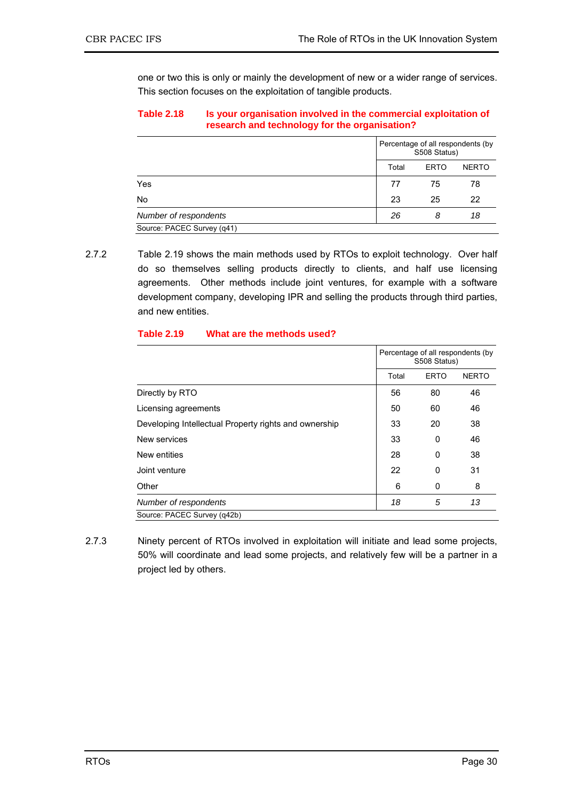one or two this is only or mainly the development of new or a wider range of services. This section focuses on the exploitation of tangible products.

#### **Table 2.18 Is your organisation involved in the commercial exploitation of research and technology for the organisation?**

|                            | Percentage of all respondents (by<br>S508 Status) |              |    |  |
|----------------------------|---------------------------------------------------|--------------|----|--|
|                            | Total                                             | <b>NERTO</b> |    |  |
| Yes                        | 77                                                | 75           | 78 |  |
| <b>No</b>                  | 23                                                | 25           | 22 |  |
| Number of respondents      | 26                                                | 8            | 18 |  |
| Source: PACEC Survey (q41) |                                                   |              |    |  |

2.7.2 Table 2.19 shows the main methods used by RTOs to exploit technology. Over half do so themselves selling products directly to clients, and half use licensing agreements. Other methods include joint ventures, for example with a software development company, developing IPR and selling the products through third parties, and new entities.

|                                                       |       | Percentage of all respondents (by<br>S508 Status) |              |  |
|-------------------------------------------------------|-------|---------------------------------------------------|--------------|--|
|                                                       | Total | <b>ERTO</b>                                       | <b>NERTO</b> |  |
| Directly by RTO                                       | 56    | 80                                                | 46           |  |
| Licensing agreements                                  | 50    | 60                                                | 46           |  |
| Developing Intellectual Property rights and ownership | 33    | 20                                                | 38           |  |
| New services                                          | 33    | 0                                                 | 46           |  |
| New entities                                          | 28    | 0                                                 | 38           |  |
| Joint venture                                         | 22    | 0                                                 | 31           |  |
| Other                                                 | 6     | 0                                                 | 8            |  |
| Number of respondents                                 | 18    | 5                                                 | 13           |  |
| Source: PACEC Survey (g42b)                           |       |                                                   |              |  |

### **Table 2.19 What are the methods used?**

2.7.3 Ninety percent of RTOs involved in exploitation will initiate and lead some projects, 50% will coordinate and lead some projects, and relatively few will be a partner in a project led by others.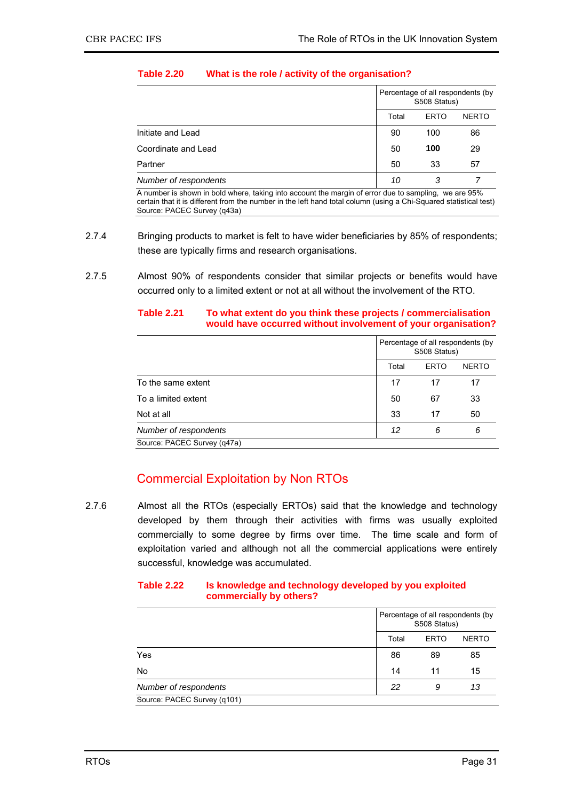|                                                            | Percentage of all respondents (by<br>S508 Status) |             |                                      |
|------------------------------------------------------------|---------------------------------------------------|-------------|--------------------------------------|
|                                                            | Total                                             | <b>ERTO</b> | <b>NERTO</b>                         |
| Initiate and Lead                                          | 90                                                | 100         | 86                                   |
| Coordinate and Lead                                        | 50                                                | 100         | 29                                   |
| Partner                                                    | 50                                                | 33          | 57                                   |
| Number of respondents                                      | 10                                                | 3           |                                      |
| .<br>$\sim$<br>$\sim$<br>$\cdot$ $\cdot$ $\cdot$<br>$\sim$ | $\blacksquare$                                    | $\cdots$    | $\mathbf{a} = \mathbf{a} \mathbf{v}$ |

### **Table 2.20 What is the role / activity of the organisation?**

A number is shown in bold where, taking into account the margin of error due to sampling, we are 95% certain that it is different from the number in the left hand total column (using a Chi-Squared statistical test) Source: PACEC Survey (q43a)

- 2.7.4 Bringing products to market is felt to have wider beneficiaries by 85% of respondents; these are typically firms and research organisations.
- 2.7.5 Almost 90% of respondents consider that similar projects or benefits would have occurred only to a limited extent or not at all without the involvement of the RTO.

| would have occurred without involvement of your organisation? |  |                                                   |             |              |
|---------------------------------------------------------------|--|---------------------------------------------------|-------------|--------------|
|                                                               |  | Percentage of all respondents (by<br>S508 Status) |             |              |
|                                                               |  | Total                                             | <b>ERTO</b> | <b>NERTO</b> |
| To the same extent                                            |  | 17                                                |             |              |
| To a limited extent                                           |  | 50                                                |             |              |

Not at all 50 and 50 and 50 and 50 and 50 and 50 and 50 and 50 and 50 and 50 and 50 and 50 and 50 and 50 and 50 *Number of respondents* 12 6 6 6 6 **6** 

# **Table 2.21 To what extent do you think these projects / commercialisation**

# Commercial Exploitation by Non RTOs

Source: PACEC Survey (q47a)

2.7.6 Almost all the RTOs (especially ERTOs) said that the knowledge and technology developed by them through their activities with firms was usually exploited commercially to some degree by firms over time. The time scale and form of exploitation varied and although not all the commercial applications were entirely successful, knowledge was accumulated.

#### **Table 2.22 Is knowledge and technology developed by you exploited commercially by others?**

|                             | Percentage of all respondents (by<br>S508 Status) |             |              |
|-----------------------------|---------------------------------------------------|-------------|--------------|
|                             | Total                                             | <b>ERTO</b> | <b>NERTO</b> |
| Yes                         | 86                                                | 89          | 85           |
| No                          | 14                                                | 11          | 15           |
| Number of respondents       | 22                                                | 9           | 13           |
| Source: PACEC Survey (q101) |                                                   |             |              |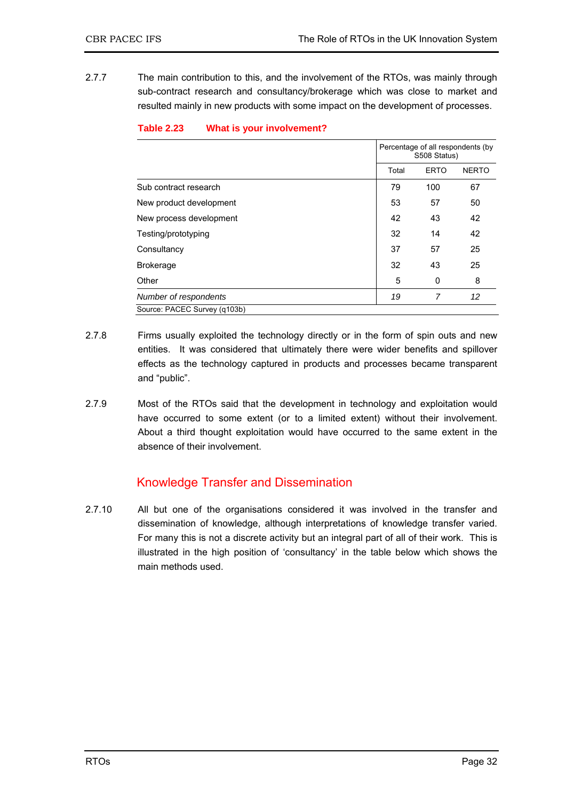2.7.7 The main contribution to this, and the involvement of the RTOs, was mainly through sub-contract research and consultancy/brokerage which was close to market and resulted mainly in new products with some impact on the development of processes.

|                              | Percentage of all respondents (by<br>S508 Status) |             |              |
|------------------------------|---------------------------------------------------|-------------|--------------|
|                              | Total                                             | <b>ERTO</b> | <b>NERTO</b> |
| Sub contract research        | 79                                                | 100         | 67           |
| New product development      | 53                                                | 57          | 50           |
| New process development      | 42                                                | 43          | 42           |
| Testing/prototyping          | 32                                                | 14          | 42           |
| Consultancy                  | 37                                                | 57          | 25           |
| <b>Brokerage</b>             | 32                                                | 43          | 25           |
| Other                        | 5                                                 | 0           | 8            |
| Number of respondents        | 19                                                | 7           | 12           |
| Source: PACEC Survey (g103b) |                                                   |             |              |

#### **Table 2.23 What is your involvement?**

- 2.7.8 Firms usually exploited the technology directly or in the form of spin outs and new entities. It was considered that ultimately there were wider benefits and spillover effects as the technology captured in products and processes became transparent and "public".
- 2.7.9 Most of the RTOs said that the development in technology and exploitation would have occurred to some extent (or to a limited extent) without their involvement. About a third thought exploitation would have occurred to the same extent in the absence of their involvement.

# Knowledge Transfer and Dissemination

2.7.10 All but one of the organisations considered it was involved in the transfer and dissemination of knowledge, although interpretations of knowledge transfer varied. For many this is not a discrete activity but an integral part of all of their work. This is illustrated in the high position of 'consultancy' in the table below which shows the main methods used.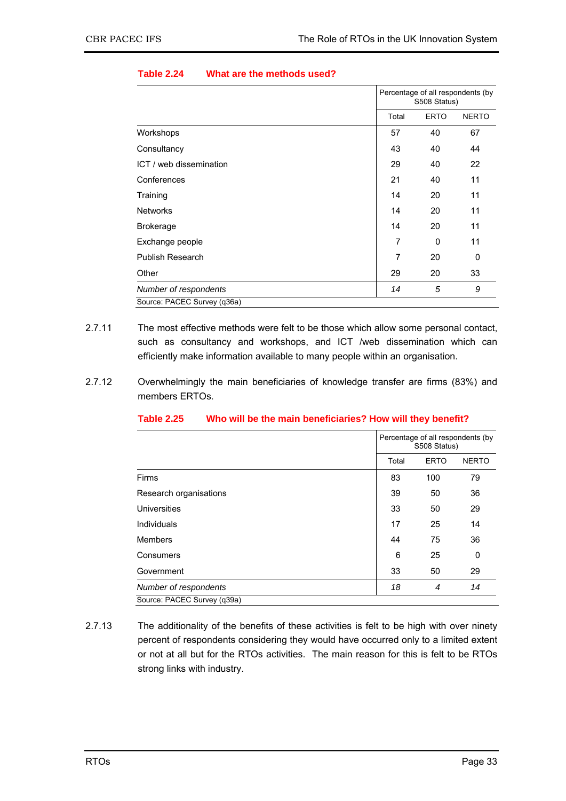|                             | Percentage of all respondents (by<br>S508 Status) |             |              |
|-----------------------------|---------------------------------------------------|-------------|--------------|
|                             | Total                                             | <b>ERTO</b> | <b>NERTO</b> |
| Workshops                   | 57                                                | 40          | 67           |
| Consultancy                 | 43                                                | 40          | 44           |
| ICT / web dissemination     | 29                                                | 40          | 22           |
| Conferences                 | 21                                                | 40          | 11           |
| Training                    | 14                                                | 20          | 11           |
| <b>Networks</b>             | 14                                                | 20          | 11           |
| <b>Brokerage</b>            | 14                                                | 20          | 11           |
| Exchange people             | 7                                                 | 0           | 11           |
| <b>Publish Research</b>     | 7                                                 | 20          | 0            |
| Other                       | 29                                                | 20          | 33           |
| Number of respondents       | 14                                                | 5           | 9            |
| Source: PACEC Survey (q36a) |                                                   |             |              |

#### **Table 2.24 What are the methods used?**

- 2.7.11 The most effective methods were felt to be those which allow some personal contact, such as consultancy and workshops, and ICT /web dissemination which can efficiently make information available to many people within an organisation.
- 2.7.12 Overwhelmingly the main beneficiaries of knowledge transfer are firms (83%) and members ERTOs.

|                             | Percentage of all respondents (by<br>S508 Status) |             |              |
|-----------------------------|---------------------------------------------------|-------------|--------------|
|                             | Total                                             | <b>ERTO</b> | <b>NERTO</b> |
| <b>Firms</b>                | 83                                                | 100         | 79           |
| Research organisations      | 39                                                | 50          | 36           |
| Universities                | 33                                                | 50          | 29           |
| Individuals                 | 17                                                | 25          | 14           |
| <b>Members</b>              | 44                                                | 75          | 36           |
| Consumers                   | 6                                                 | 25          | 0            |
| Government                  | 33                                                | 50          | 29           |
| Number of respondents       | 18                                                | 4           | 14           |
| Source: PACEC Survey (q39a) |                                                   |             |              |

#### **Table 2.25 Who will be the main beneficiaries? How will they benefit?**

2.7.13 The additionality of the benefits of these activities is felt to be high with over ninety percent of respondents considering they would have occurred only to a limited extent or not at all but for the RTOs activities. The main reason for this is felt to be RTOs strong links with industry.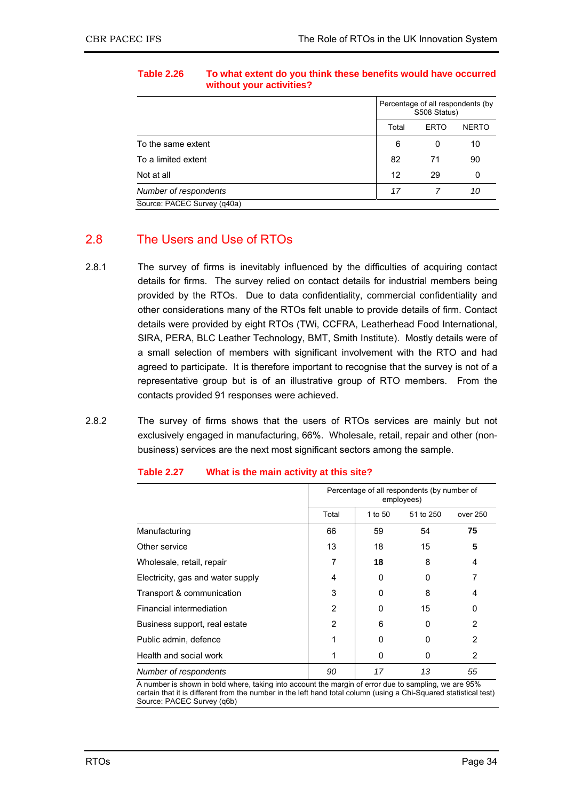|                             | Percentage of all respondents (by<br>S508 Status) |             |              |
|-----------------------------|---------------------------------------------------|-------------|--------------|
|                             | Total                                             | <b>ERTO</b> | <b>NERTO</b> |
| To the same extent          | 6                                                 | 0           | 10           |
| To a limited extent         | 82                                                | 71          | 90           |
| Not at all                  | 12                                                | 29          | 0            |
| Number of respondents       | 17                                                |             | 10           |
| Source: PACEC Survey (q40a) |                                                   |             |              |

### **Table 2.26 To what extent do you think these benefits would have occurred without your activities?**

# 2.8 The Users and Use of RTOs

- 2.8.1 The survey of firms is inevitably influenced by the difficulties of acquiring contact details for firms. The survey relied on contact details for industrial members being provided by the RTOs. Due to data confidentiality, commercial confidentiality and other considerations many of the RTOs felt unable to provide details of firm. Contact details were provided by eight RTOs (TWi, CCFRA, Leatherhead Food International, SIRA, PERA, BLC Leather Technology, BMT, Smith Institute). Mostly details were of a small selection of members with significant involvement with the RTO and had agreed to participate. It is therefore important to recognise that the survey is not of a representative group but is of an illustrative group of RTO members. From the contacts provided 91 responses were achieved.
- 2.8.2 The survey of firms shows that the users of RTOs services are mainly but not exclusively engaged in manufacturing, 66%. Wholesale, retail, repair and other (nonbusiness) services are the next most significant sectors among the sample.

|                                   | Percentage of all respondents (by number of<br>employees) |         |           |          |
|-----------------------------------|-----------------------------------------------------------|---------|-----------|----------|
|                                   | Total                                                     | 1 to 50 | 51 to 250 | over 250 |
| Manufacturing                     | 66                                                        | 59      | 54        | 75       |
| Other service                     | 13                                                        | 18      | 15        | 5        |
| Wholesale, retail, repair         |                                                           | 18      | 8         | 4        |
| Electricity, gas and water supply | 4                                                         | 0       | 0         |          |
| Transport & communication         | 3                                                         | 0       | 8         | 4        |
| Financial intermediation          | 2                                                         | 0       | 15        | 0        |
| Business support, real estate     | 2                                                         | 6       | 0         | 2        |
| Public admin, defence             |                                                           | 0       | $\Omega$  | 2        |
| Health and social work            |                                                           | 0       | 0         | 2        |
| Number of respondents             | 90                                                        | 17      | 13        | 55       |

#### **Table 2.27 What is the main activity at this site?**

A number is shown in bold where, taking into account the margin of error due to sampling, we are 95% certain that it is different from the number in the left hand total column (using a Chi-Squared statistical test) Source: PACEC Survey (q6b)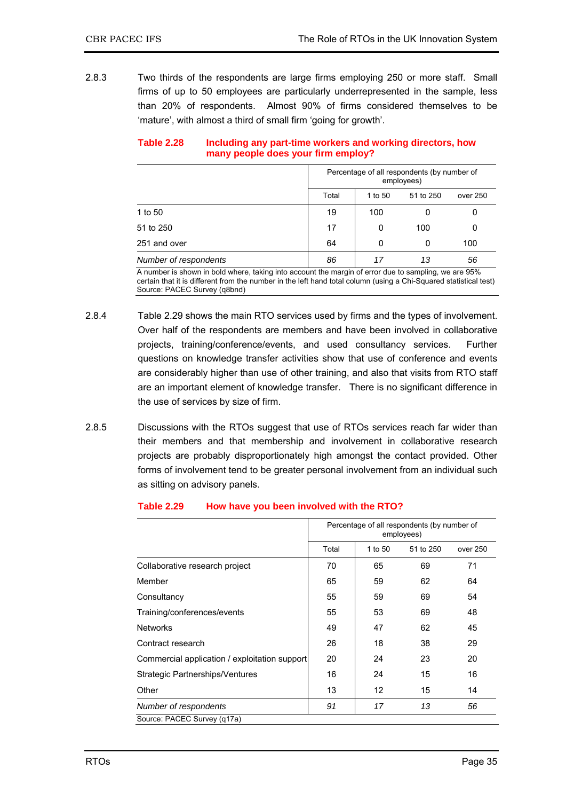2.8.3 Two thirds of the respondents are large firms employing 250 or more staff. Small firms of up to 50 employees are particularly underrepresented in the sample, less than 20% of respondents. Almost 90% of firms considered themselves to be 'mature', with almost a third of small firm 'going for growth'.

| Table 2.28 | Including any part-time workers and working directors, how |
|------------|------------------------------------------------------------|
|            | many people does your firm employ?                         |

|                       |       | Percentage of all respondents (by number of<br>employees) |           |          |  |
|-----------------------|-------|-----------------------------------------------------------|-----------|----------|--|
|                       | Total | 1 to 50                                                   | 51 to 250 | over 250 |  |
| 1 to 50               | 19    | 100                                                       |           | 0        |  |
| 51 to 250             | 17    | 0                                                         | 100       | 0        |  |
| 251 and over          | 64    | 0                                                         | 0         | 100      |  |
| Number of respondents | 86    | 17                                                        | 13        | 56       |  |

A number is shown in bold where, taking into account the margin of error due to sampling, we are 95% certain that it is different from the number in the left hand total column (using a Chi-Squared statistical test) Source: PACEC Survey (q8bnd)

- 2.8.4 Table 2.29 shows the main RTO services used by firms and the types of involvement. Over half of the respondents are members and have been involved in collaborative projects, training/conference/events, and used consultancy services. Further questions on knowledge transfer activities show that use of conference and events are considerably higher than use of other training, and also that visits from RTO staff are an important element of knowledge transfer. There is no significant difference in the use of services by size of firm.
- 2.8.5 Discussions with the RTOs suggest that use of RTOs services reach far wider than their members and that membership and involvement in collaborative research projects are probably disproportionately high amongst the contact provided. Other forms of involvement tend to be greater personal involvement from an individual such as sitting on advisory panels.

| <b>Table 2.29</b> | How have you been involved with the RTO? |  |  |
|-------------------|------------------------------------------|--|--|
|-------------------|------------------------------------------|--|--|

|                                               | Percentage of all respondents (by number of<br>employees) |         |           |          |
|-----------------------------------------------|-----------------------------------------------------------|---------|-----------|----------|
|                                               | Total                                                     | 1 to 50 | 51 to 250 | over 250 |
| Collaborative research project                | 70                                                        | 65      | 69        | 71       |
| Member                                        | 65                                                        | 59      | 62        | 64       |
| Consultancy                                   | 55                                                        | 59      | 69        | 54       |
| Training/conferences/events                   | 55                                                        | 53      | 69        | 48       |
| <b>Networks</b>                               | 49                                                        | 47      | 62        | 45       |
| Contract research                             | 26                                                        | 18      | 38        | 29       |
| Commercial application / exploitation support | 20                                                        | 24      | 23        | 20       |
| Strategic Partnerships/Ventures               | 16                                                        | 24      | 15        | 16       |
| Other                                         | 13                                                        | 12      | 15        | 14       |
| Number of respondents                         | 91                                                        | 17      | 13        | 56       |
| Source: PACEC Survey (q17a)                   |                                                           |         |           |          |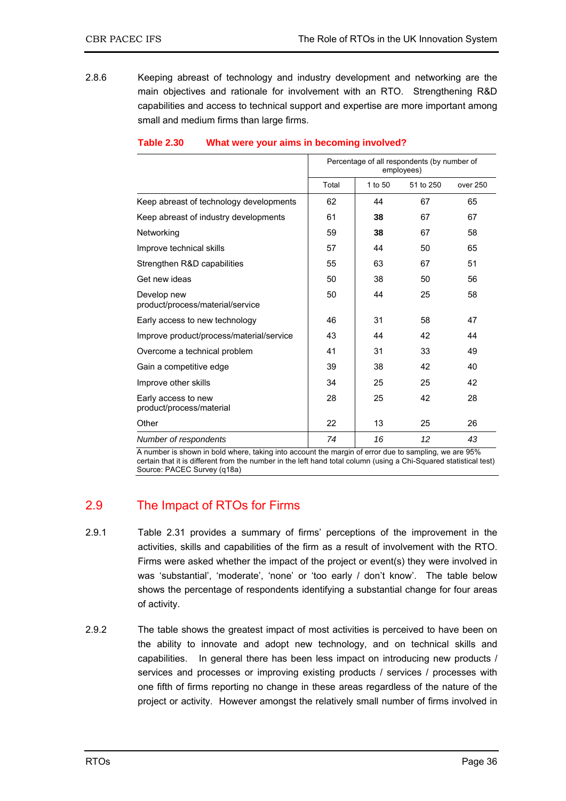2.8.6 Keeping abreast of technology and industry development and networking are the main objectives and rationale for involvement with an RTO. Strengthening R&D capabilities and access to technical support and expertise are more important among small and medium firms than large firms.

|                                                 | Percentage of all respondents (by number of<br>employees) |         |           |          |
|-------------------------------------------------|-----------------------------------------------------------|---------|-----------|----------|
|                                                 | Total                                                     | 1 to 50 | 51 to 250 | over 250 |
| Keep abreast of technology developments         | 62                                                        | 44      | 67        | 65       |
| Keep abreast of industry developments           | 61                                                        | 38      | 67        | 67       |
| Networking                                      | 59                                                        | 38      | 67        | 58       |
| Improve technical skills                        | 57                                                        | 44      | 50        | 65       |
| Strengthen R&D capabilities                     | 55                                                        | 63      | 67        | 51       |
| Get new ideas                                   | 50                                                        | 38      | 50        | 56       |
| Develop new<br>product/process/material/service | 50                                                        | 44      | 25        | 58       |
| Early access to new technology                  | 46                                                        | 31      | 58        | 47       |
| Improve product/process/material/service        | 43                                                        | 44      | 42        | 44       |
| Overcome a technical problem                    | 41                                                        | 31      | 33        | 49       |
| Gain a competitive edge                         | 39                                                        | 38      | 42        | 40       |
| Improve other skills                            | 34                                                        | 25      | 25        | 42       |
| Early access to new<br>product/process/material | 28                                                        | 25      | 42        | 28       |
| Other                                           | 22                                                        | 13      | 25        | 26       |
| Number of respondents                           | 74                                                        | 16      | 12        | 43       |

### **Table 2.30 What were your aims in becoming involved?**

A number is shown in bold where, taking into account the margin of error due to sampling, we are 95% certain that it is different from the number in the left hand total column (using a Chi-Squared statistical test) Source: PACEC Survey (q18a)

# 2.9 The Impact of RTOs for Firms

- 2.9.1 Table 2.31 provides a summary of firms' perceptions of the improvement in the activities, skills and capabilities of the firm as a result of involvement with the RTO. Firms were asked whether the impact of the project or event(s) they were involved in was 'substantial', 'moderate', 'none' or 'too early / don't know'. The table below shows the percentage of respondents identifying a substantial change for four areas of activity.
- 2.9.2 The table shows the greatest impact of most activities is perceived to have been on the ability to innovate and adopt new technology, and on technical skills and capabilities. In general there has been less impact on introducing new products / services and processes or improving existing products / services / processes with one fifth of firms reporting no change in these areas regardless of the nature of the project or activity. However amongst the relatively small number of firms involved in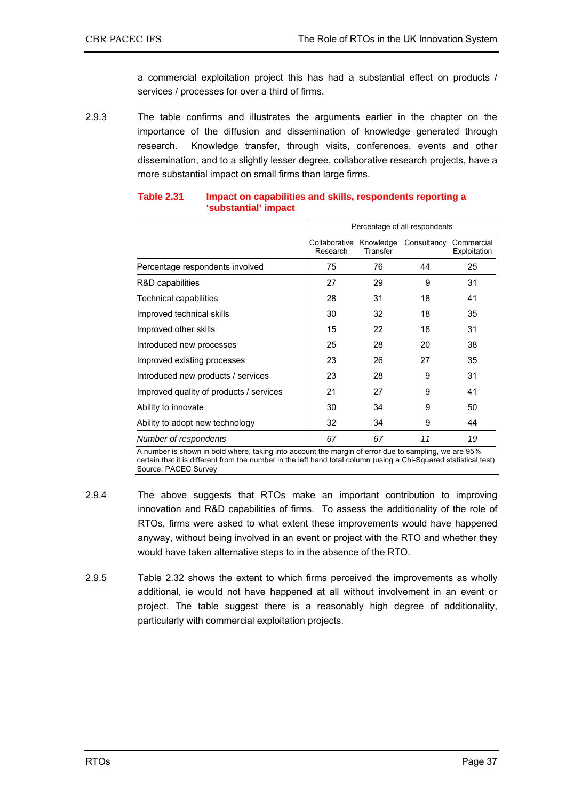a commercial exploitation project this has had a substantial effect on products / services / processes for over a third of firms.

2.9.3 The table confirms and illustrates the arguments earlier in the chapter on the importance of the diffusion and dissemination of knowledge generated through research. Knowledge transfer, through visits, conferences, events and other dissemination, and to a slightly lesser degree, collaborative research projects, have a more substantial impact on small firms than large firms.

|                                         |                                     |          | Percentage of all respondents |                            |
|-----------------------------------------|-------------------------------------|----------|-------------------------------|----------------------------|
|                                         | Collaborative Knowledge<br>Research | Transfer | Consultancy                   | Commercial<br>Exploitation |
| Percentage respondents involved         | 75                                  | 76       | 44                            | 25                         |
| R&D capabilities                        | 27                                  | 29       | 9                             | 31                         |
| <b>Technical capabilities</b>           | 28                                  | 31       | 18                            | 41                         |
| Improved technical skills               | 30                                  | 32       | 18                            | 35                         |
| Improved other skills                   | 15                                  | 22       | 18                            | 31                         |
| Introduced new processes                | 25                                  | 28       | 20                            | 38                         |
| Improved existing processes             | 23                                  | 26       | 27                            | 35                         |
| Introduced new products / services      | 23                                  | 28       | 9                             | 31                         |
| Improved quality of products / services | 21                                  | 27       | 9                             | 41                         |
| Ability to innovate                     | 30                                  | 34       | 9                             | 50                         |
| Ability to adopt new technology         | 32                                  | 34       | 9                             | 44                         |
| Number of respondents                   | 67                                  | 67       | 11                            | 19                         |

#### **Table 2.31 Impact on capabilities and skills, respondents reporting a 'substantial' impact**

A number is shown in bold where, taking into account the margin of error due to sampling, we are 95% certain that it is different from the number in the left hand total column (using a Chi-Squared statistical test) Source: PACEC Survey

- 2.9.4 The above suggests that RTOs make an important contribution to improving innovation and R&D capabilities of firms. To assess the additionality of the role of RTOs, firms were asked to what extent these improvements would have happened anyway, without being involved in an event or project with the RTO and whether they would have taken alternative steps to in the absence of the RTO.
- 2.9.5 Table 2.32 shows the extent to which firms perceived the improvements as wholly additional, ie would not have happened at all without involvement in an event or project. The table suggest there is a reasonably high degree of additionality, particularly with commercial exploitation projects.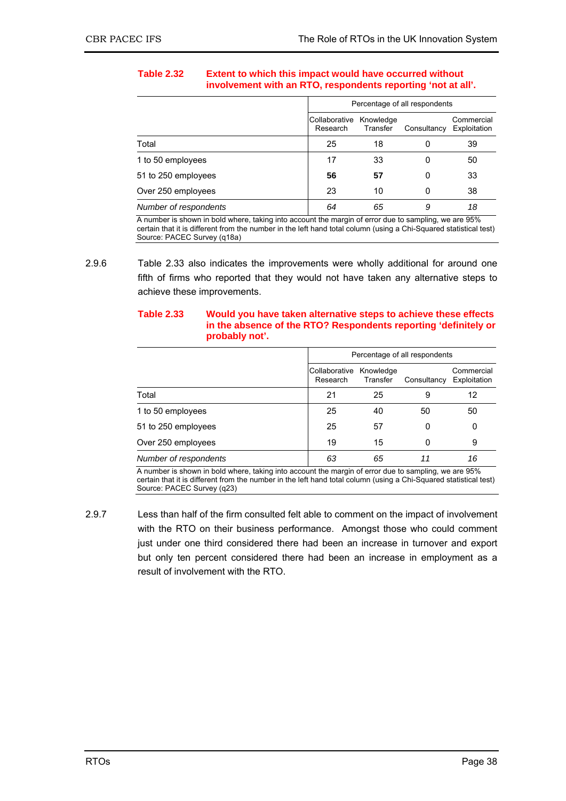### **Table 2.32 Extent to which this impact would have occurred without involvement with an RTO, respondents reporting 'not at all'.**

|                       |                           | Percentage of all respondents |             |                            |  |
|-----------------------|---------------------------|-------------------------------|-------------|----------------------------|--|
|                       | Collaborative<br>Research | Knowledge<br>Transfer         | Consultancy | Commercial<br>Exploitation |  |
| Total                 | 25                        | 18                            | 0           | 39                         |  |
| 1 to 50 employees     | 17                        | 33                            | 0           | 50                         |  |
| 51 to 250 employees   | 56                        | 57                            | 0           | 33                         |  |
| Over 250 employees    | 23                        | 10                            | 0           | 38                         |  |
| Number of respondents | 64                        | 65                            | 9           | 18                         |  |

A number is shown in bold where, taking into account the margin of error due to sampling, we are 95% certain that it is different from the number in the left hand total column (using a Chi-Squared statistical test) Source: PACEC Survey (q18a)

#### **Table 2.33 Would you have taken alternative steps to achieve these effects in the absence of the RTO? Respondents reporting 'definitely or probably not'.**

|                       |                           | Percentage of all respondents |             |                            |  |
|-----------------------|---------------------------|-------------------------------|-------------|----------------------------|--|
|                       | Collaborative<br>Research | Knowledge<br>Transfer         | Consultancy | Commercial<br>Exploitation |  |
| Total                 | 21                        | 25                            | 9           | 12                         |  |
| 1 to 50 employees     | 25                        | 40                            | 50          | 50                         |  |
| 51 to 250 employees   | 25                        | 57                            | 0           | 0                          |  |
| Over 250 employees    | 19                        | 15                            | 0           | 9                          |  |
| Number of respondents | 63                        | 65                            | 11          | 16                         |  |

A number is shown in bold where, taking into account the margin of error due to sampling, we are 95% certain that it is different from the number in the left hand total column (using a Chi-Squared statistical test) Source: PACEC Survey (q23)

2.9.7 Less than half of the firm consulted felt able to comment on the impact of involvement with the RTO on their business performance. Amongst those who could comment just under one third considered there had been an increase in turnover and export but only ten percent considered there had been an increase in employment as a result of involvement with the RTO.

<sup>2.9.6</sup> Table 2.33 also indicates the improvements were wholly additional for around one fifth of firms who reported that they would not have taken any alternative steps to achieve these improvements.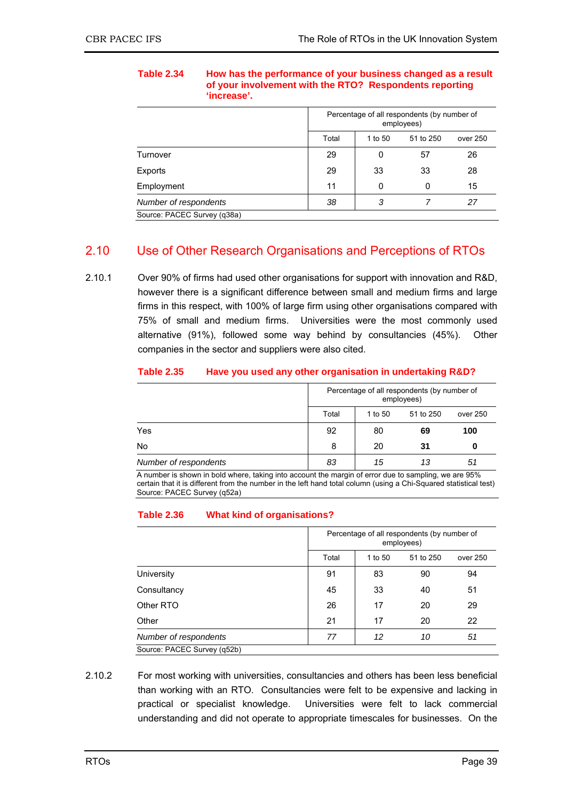|       | Percentage of all respondents (by number of<br>employees) |           |          |  |
|-------|-----------------------------------------------------------|-----------|----------|--|
| Total | 1 to 50                                                   | 51 to 250 | over 250 |  |
| 29    | 0                                                         | 57        | 26       |  |
| 29    | 33                                                        | 33        | 28       |  |
| 11    | 0                                                         | 0         | 15       |  |
| 38    | 3                                                         |           | 27       |  |
|       |                                                           |           |          |  |

**Table 2.34 How has the performance of your business changed as a result of your involvement with the RTO? Respondents reporting 'increase'.** 

Source: PACEC Survey (q38a)

# 2.10 Use of Other Research Organisations and Perceptions of RTOs

2.10.1 Over 90% of firms had used other organisations for support with innovation and R&D, however there is a significant difference between small and medium firms and large firms in this respect, with 100% of large firm using other organisations compared with 75% of small and medium firms. Universities were the most commonly used alternative (91%), followed some way behind by consultancies (45%). Other companies in the sector and suppliers were also cited.

| <b>Table 2.35</b> | Have you used any other organisation in undertaking R&D? |
|-------------------|----------------------------------------------------------|
|-------------------|----------------------------------------------------------|

|                       | Percentage of all respondents (by number of<br>employees) |         |           |          |  |
|-----------------------|-----------------------------------------------------------|---------|-----------|----------|--|
|                       | Total                                                     | 1 to 50 | 51 to 250 | over 250 |  |
| Yes                   | 92                                                        | 80      | 69        | 100      |  |
| No                    | 8                                                         | 20      | 31        | 0        |  |
| Number of respondents | 83                                                        | 15      | 13        | 51       |  |

A number is shown in bold where, taking into account the margin of error due to sampling, we are 95% certain that it is different from the number in the left hand total column (using a Chi-Squared statistical test) Source: PACEC Survey (q52a)

### **Table 2.36 What kind of organisations?**

|                             |       | Percentage of all respondents (by number of<br>employees) |           |          |  |  |
|-----------------------------|-------|-----------------------------------------------------------|-----------|----------|--|--|
|                             | Total | 1 to 50                                                   | 51 to 250 | over 250 |  |  |
| University                  | 91    | 83                                                        | 90        | 94       |  |  |
| Consultancy                 | 45    | 33                                                        | 40        | 51       |  |  |
| Other RTO                   | 26    | 17                                                        | 20        | 29       |  |  |
| Other                       | 21    | 17                                                        | 20        | 22       |  |  |
| Number of respondents       | 77    | 12                                                        | 10        | 51       |  |  |
| Source: PACEC Survey (q52b) |       |                                                           |           |          |  |  |

2.10.2 For most working with universities, consultancies and others has been less beneficial than working with an RTO. Consultancies were felt to be expensive and lacking in practical or specialist knowledge. Universities were felt to lack commercial understanding and did not operate to appropriate timescales for businesses. On the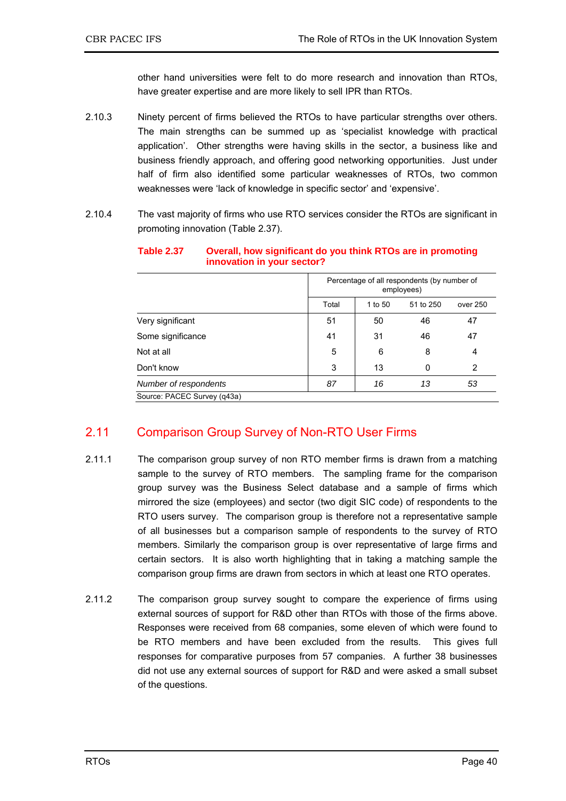other hand universities were felt to do more research and innovation than RTOs, have greater expertise and are more likely to sell IPR than RTOs.

- 2.10.3 Ninety percent of firms believed the RTOs to have particular strengths over others. The main strengths can be summed up as 'specialist knowledge with practical application'. Other strengths were having skills in the sector, a business like and business friendly approach, and offering good networking opportunities. Just under half of firm also identified some particular weaknesses of RTOs, two common weaknesses were 'lack of knowledge in specific sector' and 'expensive'.
- 2.10.4 The vast majority of firms who use RTO services consider the RTOs are significant in promoting innovation (Table 2.37).

|                             | Percentage of all respondents (by number of<br>employees) |         |           |          |  |
|-----------------------------|-----------------------------------------------------------|---------|-----------|----------|--|
|                             | Total                                                     | 1 to 50 | 51 to 250 | over 250 |  |
| Very significant            | 51                                                        | 50      | 46        | 47       |  |
| Some significance           | 41                                                        | 31      | 46        | 47       |  |
| Not at all                  | 5                                                         | 6       | 8         | 4        |  |
| Don't know                  | 3                                                         | 13      | 0         | 2        |  |
| Number of respondents       | 87                                                        | 16      | 13        | 53       |  |
| Source: PACEC Survey (q43a) |                                                           |         |           |          |  |

#### **Table 2.37 Overall, how significant do you think RTOs are in promoting innovation in your sector?**

# 2.11 Comparison Group Survey of Non-RTO User Firms

- 2.11.1 The comparison group survey of non RTO member firms is drawn from a matching sample to the survey of RTO members. The sampling frame for the comparison group survey was the Business Select database and a sample of firms which mirrored the size (employees) and sector (two digit SIC code) of respondents to the RTO users survey. The comparison group is therefore not a representative sample of all businesses but a comparison sample of respondents to the survey of RTO members. Similarly the comparison group is over representative of large firms and certain sectors. It is also worth highlighting that in taking a matching sample the comparison group firms are drawn from sectors in which at least one RTO operates.
- 2.11.2 The comparison group survey sought to compare the experience of firms using external sources of support for R&D other than RTOs with those of the firms above. Responses were received from 68 companies, some eleven of which were found to be RTO members and have been excluded from the results. This gives full responses for comparative purposes from 57 companies. A further 38 businesses did not use any external sources of support for R&D and were asked a small subset of the questions.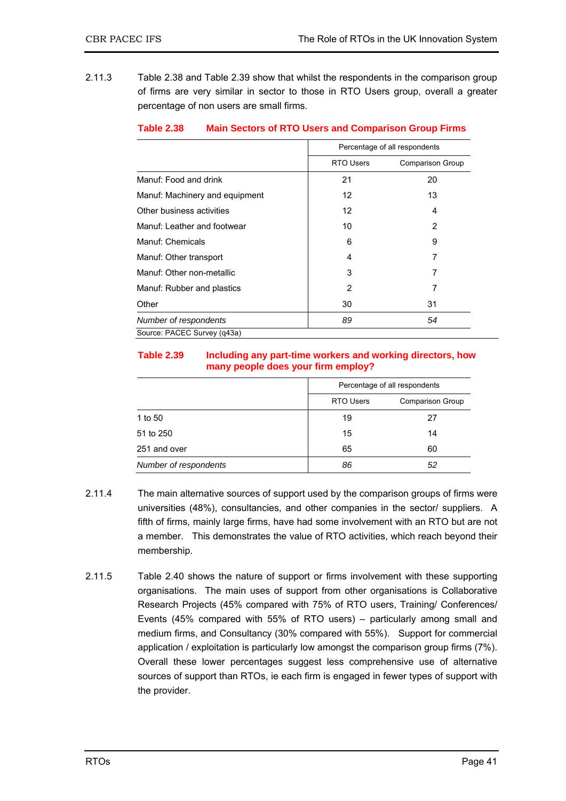2.11.3 Table 2.38 and Table 2.39 show that whilst the respondents in the comparison group of firms are very similar in sector to those in RTO Users group, overall a greater percentage of non users are small firms.

|                                |                  | Percentage of all respondents |
|--------------------------------|------------------|-------------------------------|
|                                | <b>RTO Users</b> | <b>Comparison Group</b>       |
| Manuf: Food and drink          | 21               | 20                            |
| Manuf: Machinery and equipment | 12               | 13                            |
| Other business activities      | 12               | 4                             |
| Manuf: Leather and footwear    | 10               | $\overline{2}$                |
| Manuf: Chemicals               | 6                | 9                             |
| Manuf: Other transport         | 4                | 7                             |
| Manuf: Other non-metallic      | 3                | 7                             |
| Manuf: Rubber and plastics     | $\overline{2}$   | 7                             |
| Other                          | 30               | 31                            |
| Number of respondents          | 89               | 54                            |
| Source: PACEC Survey (q43a)    |                  |                               |

#### **Table 2.38 Main Sectors of RTO Users and Comparison Group Firms**

#### **Table 2.39 Including any part-time workers and working directors, how many people does your firm employ?**

|                       | Percentage of all respondents |                         |  |
|-----------------------|-------------------------------|-------------------------|--|
|                       | <b>RTO Users</b>              | <b>Comparison Group</b> |  |
| 1 to 50               | 19                            | 27                      |  |
| 51 to 250             | 15                            | 14                      |  |
| 251 and over          | 65                            | 60                      |  |
| Number of respondents | 86                            | 52                      |  |

- 2.11.4 The main alternative sources of support used by the comparison groups of firms were universities (48%), consultancies, and other companies in the sector/ suppliers. A fifth of firms, mainly large firms, have had some involvement with an RTO but are not a member. This demonstrates the value of RTO activities, which reach beyond their membership.
- 2.11.5 Table 2.40 shows the nature of support or firms involvement with these supporting organisations. The main uses of support from other organisations is Collaborative Research Projects (45% compared with 75% of RTO users, Training/ Conferences/ Events (45% compared with 55% of RTO users) – particularly among small and medium firms, and Consultancy (30% compared with 55%). Support for commercial application / exploitation is particularly low amongst the comparison group firms (7%). Overall these lower percentages suggest less comprehensive use of alternative sources of support than RTOs, ie each firm is engaged in fewer types of support with the provider.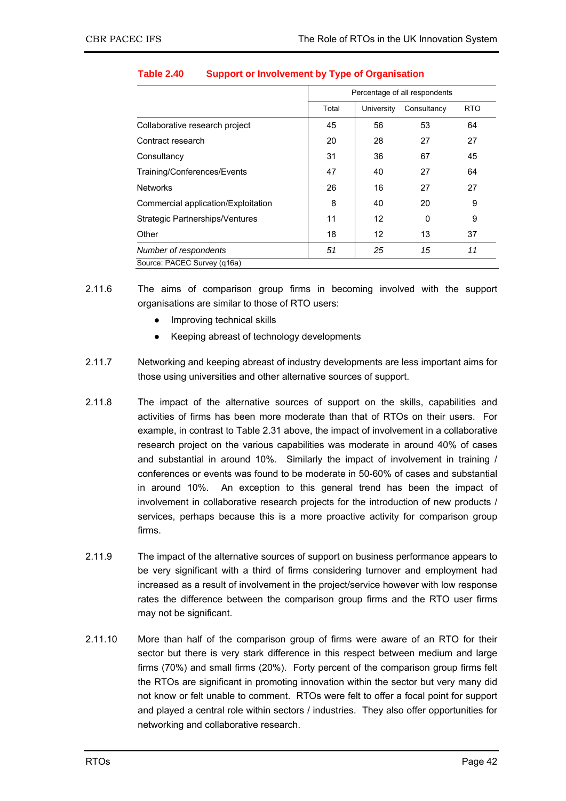|                                     |       | Percentage of all respondents |             |            |  |  |
|-------------------------------------|-------|-------------------------------|-------------|------------|--|--|
|                                     | Total | University                    | Consultancy | <b>RTO</b> |  |  |
| Collaborative research project      | 45    | 56                            | 53          | 64         |  |  |
| Contract research                   | 20    | 28                            | 27          | 27         |  |  |
| Consultancy                         | 31    | 36                            | 67          | 45         |  |  |
| Training/Conferences/Events         | 47    | 40                            | 27          | 64         |  |  |
| <b>Networks</b>                     | 26    | 16                            | 27          | 27         |  |  |
| Commercial application/Exploitation | 8     | 40                            | 20          | 9          |  |  |
| Strategic Partnerships/Ventures     | 11    | 12                            | 0           | 9          |  |  |
| Other                               | 18    | 12                            | 13          | 37         |  |  |
| Number of respondents               | 51    | 25                            | 15          | 11         |  |  |
| Source: PACEC Survey (g16a)         |       |                               |             |            |  |  |

### **Table 2.40 Support or Involvement by Type of Organisation**

- 2.11.6 The aims of comparison group firms in becoming involved with the support organisations are similar to those of RTO users:
	- Improving technical skills
	- Keeping abreast of technology developments
- 2.11.7 Networking and keeping abreast of industry developments are less important aims for those using universities and other alternative sources of support.
- 2.11.8 The impact of the alternative sources of support on the skills, capabilities and activities of firms has been more moderate than that of RTOs on their users. For example, in contrast to Table 2.31 above, the impact of involvement in a collaborative research project on the various capabilities was moderate in around 40% of cases and substantial in around 10%. Similarly the impact of involvement in training / conferences or events was found to be moderate in 50-60% of cases and substantial in around 10%. An exception to this general trend has been the impact of involvement in collaborative research projects for the introduction of new products / services, perhaps because this is a more proactive activity for comparison group firms.
- 2.11.9 The impact of the alternative sources of support on business performance appears to be very significant with a third of firms considering turnover and employment had increased as a result of involvement in the project/service however with low response rates the difference between the comparison group firms and the RTO user firms may not be significant.
- 2.11.10 More than half of the comparison group of firms were aware of an RTO for their sector but there is very stark difference in this respect between medium and large firms (70%) and small firms (20%). Forty percent of the comparison group firms felt the RTOs are significant in promoting innovation within the sector but very many did not know or felt unable to comment. RTOs were felt to offer a focal point for support and played a central role within sectors / industries. They also offer opportunities for networking and collaborative research.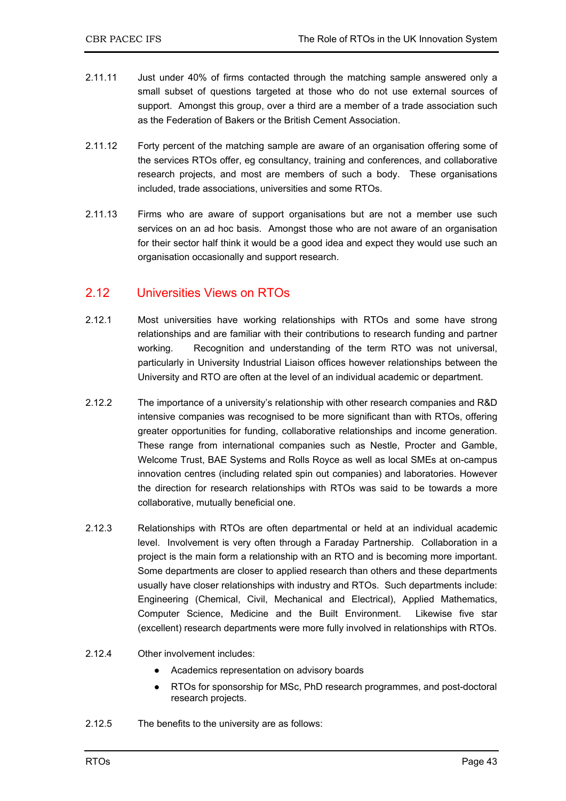- 2.11.11 Just under 40% of firms contacted through the matching sample answered only a small subset of questions targeted at those who do not use external sources of support. Amongst this group, over a third are a member of a trade association such as the Federation of Bakers or the British Cement Association.
- 2.11.12 Forty percent of the matching sample are aware of an organisation offering some of the services RTOs offer, eg consultancy, training and conferences, and collaborative research projects, and most are members of such a body. These organisations included, trade associations, universities and some RTOs.
- 2.11.13 Firms who are aware of support organisations but are not a member use such services on an ad hoc basis. Amongst those who are not aware of an organisation for their sector half think it would be a good idea and expect they would use such an organisation occasionally and support research.

# 2.12 Universities Views on RTOs

- 2.12.1 Most universities have working relationships with RTOs and some have strong relationships and are familiar with their contributions to research funding and partner working. Recognition and understanding of the term RTO was not universal, particularly in University Industrial Liaison offices however relationships between the University and RTO are often at the level of an individual academic or department.
- 2.12.2 The importance of a university's relationship with other research companies and R&D intensive companies was recognised to be more significant than with RTOs, offering greater opportunities for funding, collaborative relationships and income generation. These range from international companies such as Nestle, Procter and Gamble, Welcome Trust, BAE Systems and Rolls Royce as well as local SMEs at on-campus innovation centres (including related spin out companies) and laboratories. However the direction for research relationships with RTOs was said to be towards a more collaborative, mutually beneficial one.
- 2.12.3 Relationships with RTOs are often departmental or held at an individual academic level. Involvement is very often through a Faraday Partnership. Collaboration in a project is the main form a relationship with an RTO and is becoming more important. Some departments are closer to applied research than others and these departments usually have closer relationships with industry and RTOs. Such departments include: Engineering (Chemical, Civil, Mechanical and Electrical), Applied Mathematics, Computer Science, Medicine and the Built Environment. Likewise five star (excellent) research departments were more fully involved in relationships with RTOs.
- 2.12.4 Other involvement includes:
	- Academics representation on advisory boards
	- RTOs for sponsorship for MSc, PhD research programmes, and post-doctoral research projects.
- 2.12.5 The benefits to the university are as follows: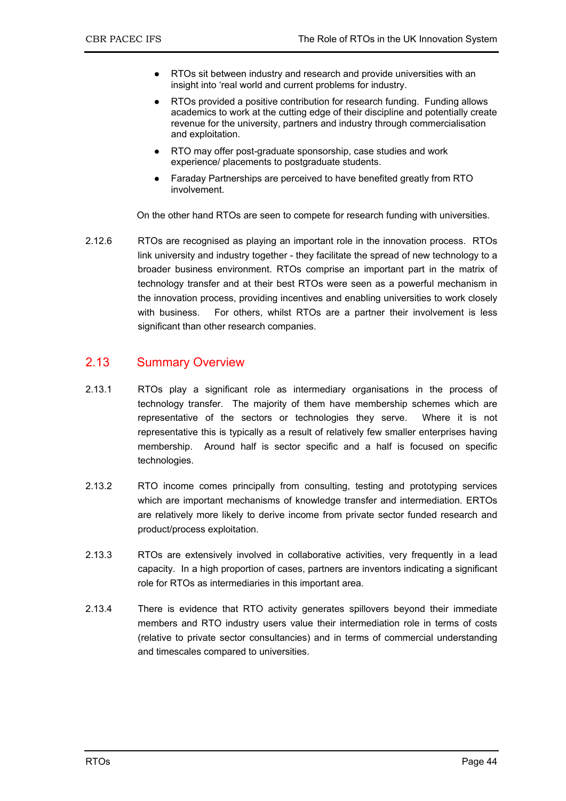- RTOs sit between industry and research and provide universities with an insight into 'real world and current problems for industry.
- RTOs provided a positive contribution for research funding. Funding allows academics to work at the cutting edge of their discipline and potentially create revenue for the university, partners and industry through commercialisation and exploitation.
- RTO may offer post-graduate sponsorship, case studies and work experience/ placements to postgraduate students.
- Faraday Partnerships are perceived to have benefited greatly from RTO involvement.

On the other hand RTOs are seen to compete for research funding with universities.

2.12.6 RTOs are recognised as playing an important role in the innovation process. RTOs link university and industry together - they facilitate the spread of new technology to a broader business environment. RTOs comprise an important part in the matrix of technology transfer and at their best RTOs were seen as a powerful mechanism in the innovation process, providing incentives and enabling universities to work closely with business. For others, whilst RTOs are a partner their involvement is less significant than other research companies.

### 2.13 Summary Overview

- 2.13.1 RTOs play a significant role as intermediary organisations in the process of technology transfer. The majority of them have membership schemes which are representative of the sectors or technologies they serve. Where it is not representative this is typically as a result of relatively few smaller enterprises having membership. Around half is sector specific and a half is focused on specific technologies.
- 2.13.2 RTO income comes principally from consulting, testing and prototyping services which are important mechanisms of knowledge transfer and intermediation. ERTOs are relatively more likely to derive income from private sector funded research and product/process exploitation.
- 2.13.3 RTOs are extensively involved in collaborative activities, very frequently in a lead capacity. In a high proportion of cases, partners are inventors indicating a significant role for RTOs as intermediaries in this important area.
- 2.13.4 There is evidence that RTO activity generates spillovers beyond their immediate members and RTO industry users value their intermediation role in terms of costs (relative to private sector consultancies) and in terms of commercial understanding and timescales compared to universities.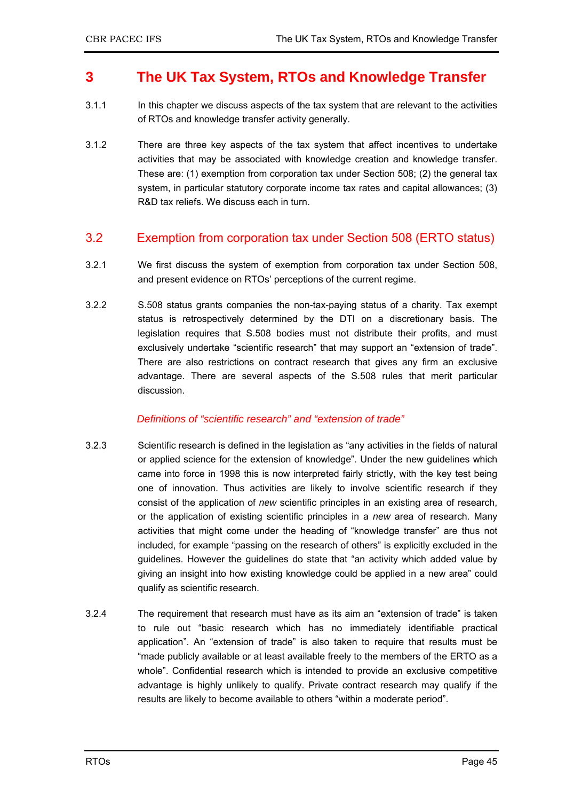# **3 The UK Tax System, RTOs and Knowledge Transfer**

- 3.1.1 In this chapter we discuss aspects of the tax system that are relevant to the activities of RTOs and knowledge transfer activity generally.
- 3.1.2 There are three key aspects of the tax system that affect incentives to undertake activities that may be associated with knowledge creation and knowledge transfer. These are: (1) exemption from corporation tax under Section 508; (2) the general tax system, in particular statutory corporate income tax rates and capital allowances; (3) R&D tax reliefs. We discuss each in turn.

### 3.2 Exemption from corporation tax under Section 508 (ERTO status)

- 3.2.1 We first discuss the system of exemption from corporation tax under Section 508, and present evidence on RTOs' perceptions of the current regime.
- 3.2.2 S.508 status grants companies the non-tax-paying status of a charity. Tax exempt status is retrospectively determined by the DTI on a discretionary basis. The legislation requires that S.508 bodies must not distribute their profits, and must exclusively undertake "scientific research" that may support an "extension of trade". There are also restrictions on contract research that gives any firm an exclusive advantage. There are several aspects of the S.508 rules that merit particular discussion.

### *Definitions of "scientific research" and "extension of trade"*

- 3.2.3 Scientific research is defined in the legislation as "any activities in the fields of natural or applied science for the extension of knowledge". Under the new guidelines which came into force in 1998 this is now interpreted fairly strictly, with the key test being one of innovation. Thus activities are likely to involve scientific research if they consist of the application of *new* scientific principles in an existing area of research, or the application of existing scientific principles in a *new* area of research. Many activities that might come under the heading of "knowledge transfer" are thus not included, for example "passing on the research of others" is explicitly excluded in the guidelines. However the guidelines do state that "an activity which added value by giving an insight into how existing knowledge could be applied in a new area" could qualify as scientific research.
- 3.2.4 The requirement that research must have as its aim an "extension of trade" is taken to rule out "basic research which has no immediately identifiable practical application". An "extension of trade" is also taken to require that results must be "made publicly available or at least available freely to the members of the ERTO as a whole". Confidential research which is intended to provide an exclusive competitive advantage is highly unlikely to qualify. Private contract research may qualify if the results are likely to become available to others "within a moderate period".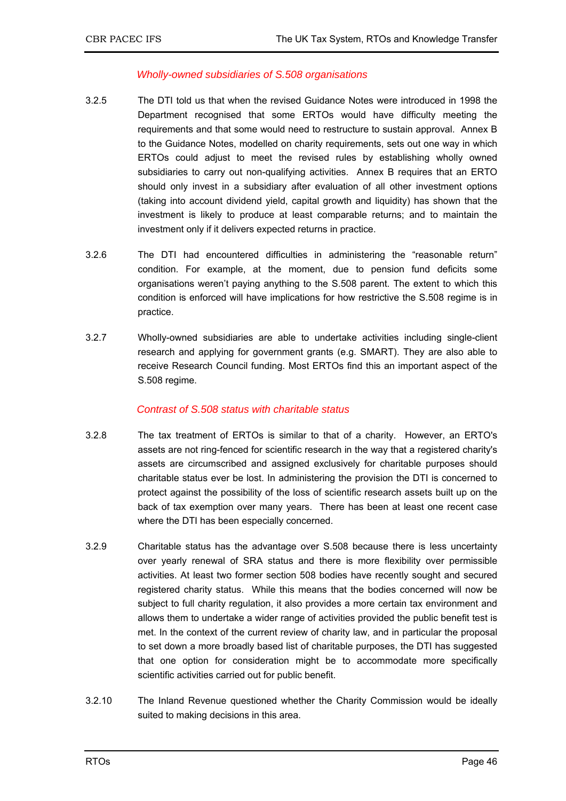### *Wholly-owned subsidiaries of S.508 organisations*

- 3.2.5 The DTI told us that when the revised Guidance Notes were introduced in 1998 the Department recognised that some ERTOs would have difficulty meeting the requirements and that some would need to restructure to sustain approval. Annex B to the Guidance Notes, modelled on charity requirements, sets out one way in which ERTOs could adjust to meet the revised rules by establishing wholly owned subsidiaries to carry out non-qualifying activities. Annex B requires that an ERTO should only invest in a subsidiary after evaluation of all other investment options (taking into account dividend yield, capital growth and liquidity) has shown that the investment is likely to produce at least comparable returns; and to maintain the investment only if it delivers expected returns in practice.
- 3.2.6 The DTI had encountered difficulties in administering the "reasonable return" condition. For example, at the moment, due to pension fund deficits some organisations weren't paying anything to the S.508 parent. The extent to which this condition is enforced will have implications for how restrictive the S.508 regime is in practice.
- 3.2.7 Wholly-owned subsidiaries are able to undertake activities including single-client research and applying for government grants (e.g. SMART). They are also able to receive Research Council funding. Most ERTOs find this an important aspect of the S.508 regime.

### *Contrast of S.508 status with charitable status*

- 3.2.8 The tax treatment of ERTOs is similar to that of a charity. However, an ERTO's assets are not ring-fenced for scientific research in the way that a registered charity's assets are circumscribed and assigned exclusively for charitable purposes should charitable status ever be lost. In administering the provision the DTI is concerned to protect against the possibility of the loss of scientific research assets built up on the back of tax exemption over many years. There has been at least one recent case where the DTI has been especially concerned.
- 3.2.9 Charitable status has the advantage over S.508 because there is less uncertainty over yearly renewal of SRA status and there is more flexibility over permissible activities. At least two former section 508 bodies have recently sought and secured registered charity status. While this means that the bodies concerned will now be subject to full charity regulation, it also provides a more certain tax environment and allows them to undertake a wider range of activities provided the public benefit test is met. In the context of the current review of charity law, and in particular the proposal to set down a more broadly based list of charitable purposes, the DTI has suggested that one option for consideration might be to accommodate more specifically scientific activities carried out for public benefit.
- 3.2.10 The Inland Revenue questioned whether the Charity Commission would be ideally suited to making decisions in this area.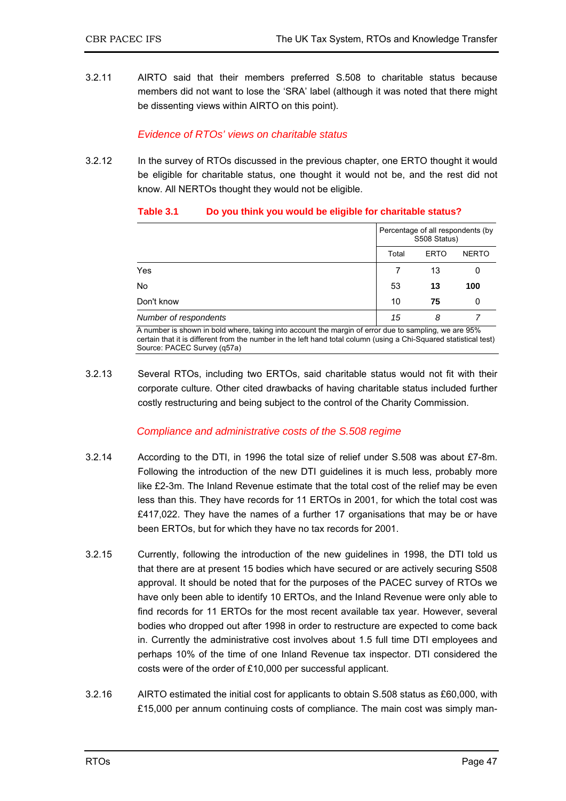3.2.11 AIRTO said that their members preferred S.508 to charitable status because members did not want to lose the 'SRA' label (although it was noted that there might be dissenting views within AIRTO on this point).

### *Evidence of RTOs' views on charitable status*

3.2.12 In the survey of RTOs discussed in the previous chapter, one ERTO thought it would be eligible for charitable status, one thought it would not be, and the rest did not know. All NERTOs thought they would not be eligible.

| Table 3.1 |  |  | Do you think you would be eligible for charitable status? |
|-----------|--|--|-----------------------------------------------------------|
|           |  |  |                                                           |

|                       | Percentage of all respondents (by<br>S508 Status) |              |     |
|-----------------------|---------------------------------------------------|--------------|-----|
|                       | Total                                             | <b>NERTO</b> |     |
| Yes                   |                                                   | 13           | 0   |
| No                    | 53                                                | 13           | 100 |
| Don't know            | 10                                                | 75           | 0   |
| Number of respondents | 15                                                | 8            |     |

A number is shown in bold where, taking into account the margin of error due to sampling, we are 95% certain that it is different from the number in the left hand total column (using a Chi-Squared statistical test) Source: PACEC Survey (q57a)

3.2.13 Several RTOs, including two ERTOs, said charitable status would not fit with their corporate culture. Other cited drawbacks of having charitable status included further costly restructuring and being subject to the control of the Charity Commission.

### *Compliance and administrative costs of the S.508 regime*

- 3.2.14 According to the DTI, in 1996 the total size of relief under S.508 was about £7-8m. Following the introduction of the new DTI guidelines it is much less, probably more like £2-3m. The Inland Revenue estimate that the total cost of the relief may be even less than this. They have records for 11 ERTOs in 2001, for which the total cost was £417,022. They have the names of a further 17 organisations that may be or have been ERTOs, but for which they have no tax records for 2001.
- 3.2.15 Currently, following the introduction of the new guidelines in 1998, the DTI told us that there are at present 15 bodies which have secured or are actively securing S508 approval. It should be noted that for the purposes of the PACEC survey of RTOs we have only been able to identify 10 ERTOs, and the Inland Revenue were only able to find records for 11 ERTOs for the most recent available tax year. However, several bodies who dropped out after 1998 in order to restructure are expected to come back in. Currently the administrative cost involves about 1.5 full time DTI employees and perhaps 10% of the time of one Inland Revenue tax inspector. DTI considered the costs were of the order of £10,000 per successful applicant.
- 3.2.16 AIRTO estimated the initial cost for applicants to obtain S.508 status as £60,000, with £15,000 per annum continuing costs of compliance. The main cost was simply man-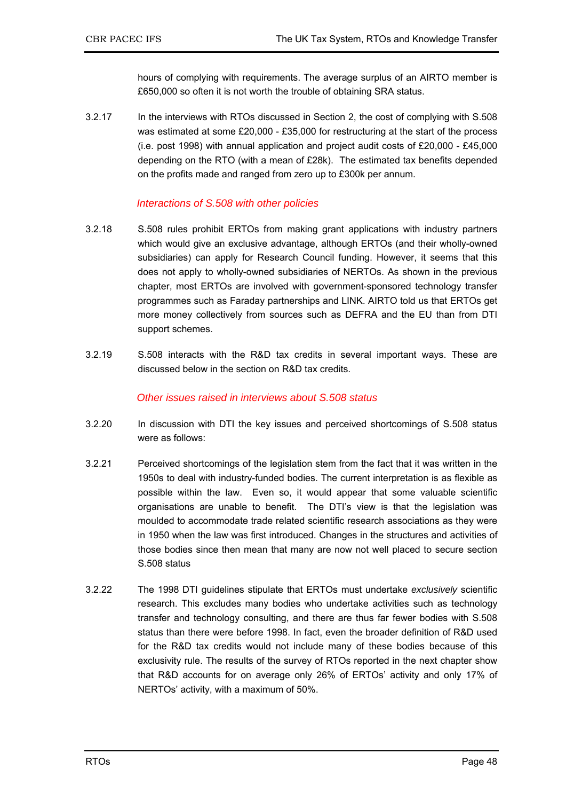hours of complying with requirements. The average surplus of an AIRTO member is £650,000 so often it is not worth the trouble of obtaining SRA status.

3.2.17 In the interviews with RTOs discussed in Section 2, the cost of complying with S.508 was estimated at some £20,000 - £35,000 for restructuring at the start of the process (i.e. post 1998) with annual application and project audit costs of  $£20,000 - £45,000$ depending on the RTO (with a mean of £28k). The estimated tax benefits depended on the profits made and ranged from zero up to £300k per annum.

### *Interactions of S.508 with other policies*

- 3.2.18 S.508 rules prohibit ERTOs from making grant applications with industry partners which would give an exclusive advantage, although ERTOs (and their wholly-owned subsidiaries) can apply for Research Council funding. However, it seems that this does not apply to wholly-owned subsidiaries of NERTOs. As shown in the previous chapter, most ERTOs are involved with government-sponsored technology transfer programmes such as Faraday partnerships and LINK. AIRTO told us that ERTOs get more money collectively from sources such as DEFRA and the EU than from DTI support schemes.
- 3.2.19 S.508 interacts with the R&D tax credits in several important ways. These are discussed below in the section on R&D tax credits.

### *Other issues raised in interviews about S.508 status*

- 3.2.20 In discussion with DTI the key issues and perceived shortcomings of S.508 status were as follows:
- 3.2.21 Perceived shortcomings of the legislation stem from the fact that it was written in the 1950s to deal with industry-funded bodies. The current interpretation is as flexible as possible within the law. Even so, it would appear that some valuable scientific organisations are unable to benefit. The DTI's view is that the legislation was moulded to accommodate trade related scientific research associations as they were in 1950 when the law was first introduced. Changes in the structures and activities of those bodies since then mean that many are now not well placed to secure section S.508 status
- 3.2.22 The 1998 DTI guidelines stipulate that ERTOs must undertake *exclusively* scientific research. This excludes many bodies who undertake activities such as technology transfer and technology consulting, and there are thus far fewer bodies with S.508 status than there were before 1998. In fact, even the broader definition of R&D used for the R&D tax credits would not include many of these bodies because of this exclusivity rule. The results of the survey of RTOs reported in the next chapter show that R&D accounts for on average only 26% of ERTOs' activity and only 17% of NERTOs' activity, with a maximum of 50%.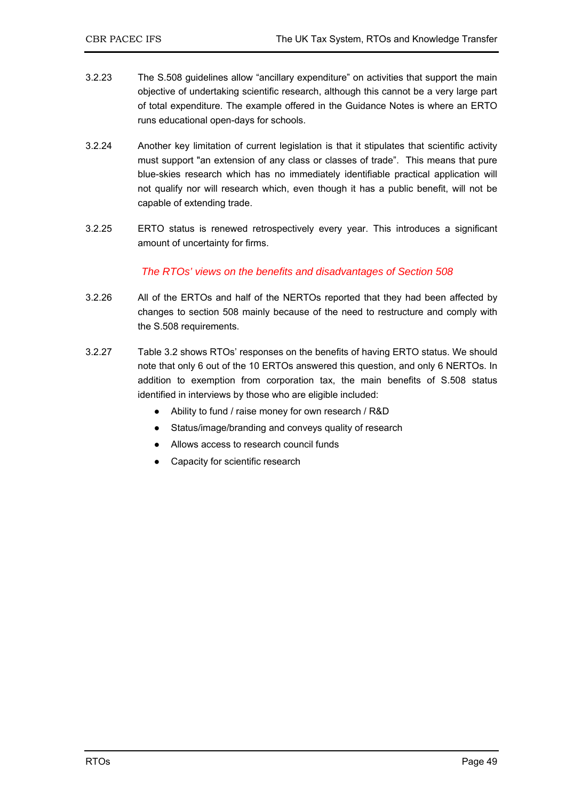- 3.2.23 The S.508 guidelines allow "ancillary expenditure" on activities that support the main objective of undertaking scientific research, although this cannot be a very large part of total expenditure. The example offered in the Guidance Notes is where an ERTO runs educational open-days for schools.
- 3.2.24 Another key limitation of current legislation is that it stipulates that scientific activity must support "an extension of any class or classes of trade". This means that pure blue-skies research which has no immediately identifiable practical application will not qualify nor will research which, even though it has a public benefit, will not be capable of extending trade.
- 3.2.25 ERTO status is renewed retrospectively every year. This introduces a significant amount of uncertainty for firms.

### *The RTOs' views on the benefits and disadvantages of Section 508*

- 3.2.26 All of the ERTOs and half of the NERTOs reported that they had been affected by changes to section 508 mainly because of the need to restructure and comply with the S.508 requirements.
- 3.2.27 Table 3.2 shows RTOs' responses on the benefits of having ERTO status. We should note that only 6 out of the 10 ERTOs answered this question, and only 6 NERTOs. In addition to exemption from corporation tax, the main benefits of S.508 status identified in interviews by those who are eligible included:
	- Ability to fund / raise money for own research / R&D
	- Status/image/branding and conveys quality of research
	- Allows access to research council funds
	- Capacity for scientific research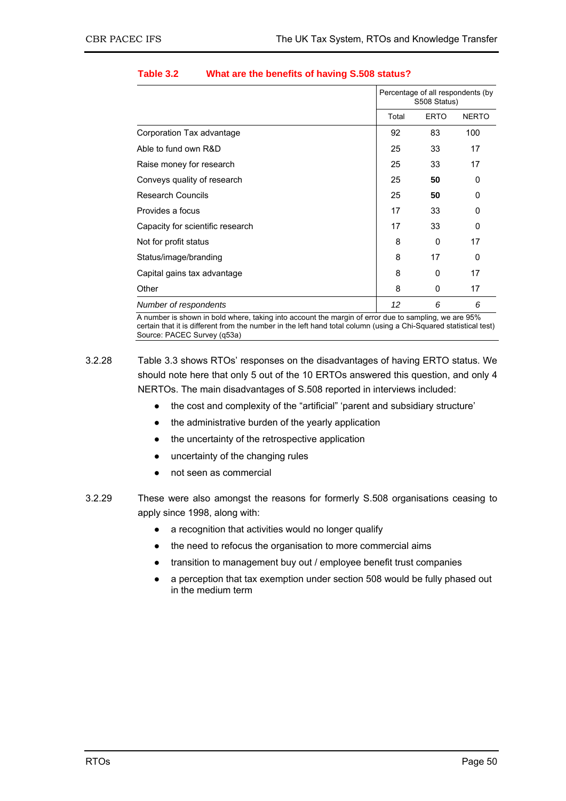|                                  | Percentage of all respondents (by<br>S508 Status) |             |              |
|----------------------------------|---------------------------------------------------|-------------|--------------|
|                                  | Total                                             | <b>ERTO</b> | <b>NERTO</b> |
| Corporation Tax advantage        | 92                                                | 83          | 100          |
| Able to fund own R&D             | 25                                                | 33          | 17           |
| Raise money for research         | 25                                                | 33          | 17           |
| Conveys quality of research      | 25                                                | 50          | 0            |
| <b>Research Councils</b>         | 25                                                | 50          | 0            |
| Provides a focus                 | 17                                                | 33          | 0            |
| Capacity for scientific research | 17                                                | 33          | 0            |
| Not for profit status            | 8                                                 | 0           | 17           |
| Status/image/branding            | 8                                                 | 17          | 0            |
| Capital gains tax advantage      | 8                                                 | 0           | 17           |
| Other                            | 8                                                 | 0           | 17           |
| Number of respondents            | 12                                                | 6           | 6            |

### **Table 3.2 What are the benefits of having S.508 status?**

A number is shown in bold where, taking into account the margin of error due to sampling, we are 95% certain that it is different from the number in the left hand total column (using a Chi-Squared statistical test) Source: PACEC Survey (q53a)

3.2.28 Table 3.3 shows RTOs' responses on the disadvantages of having ERTO status. We should note here that only 5 out of the 10 ERTOs answered this question, and only 4 NERTOs. The main disadvantages of S.508 reported in interviews included:

- the cost and complexity of the "artificial" 'parent and subsidiary structure'
- the administrative burden of the yearly application
- the uncertainty of the retrospective application
- uncertainty of the changing rules
- not seen as commercial
- 3.2.29 These were also amongst the reasons for formerly S.508 organisations ceasing to apply since 1998, along with:
	- a recognition that activities would no longer qualify
	- the need to refocus the organisation to more commercial aims
	- transition to management buy out / employee benefit trust companies
	- a perception that tax exemption under section 508 would be fully phased out in the medium term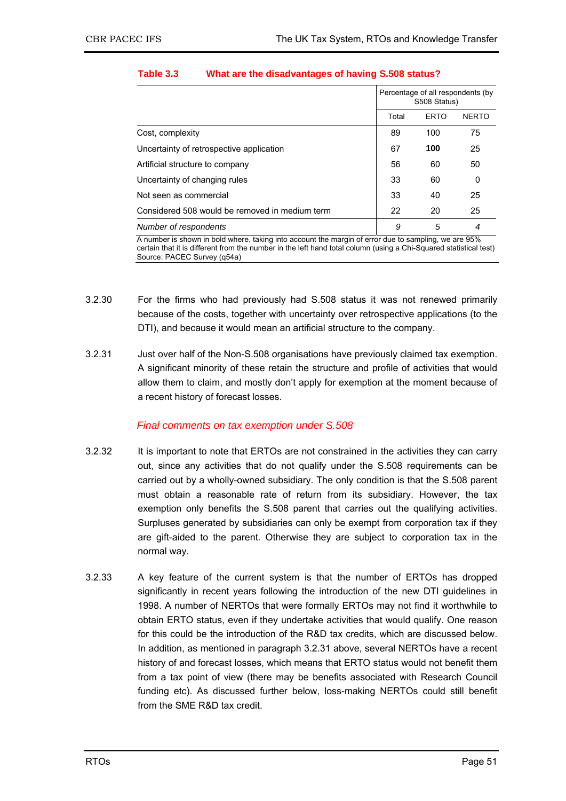|                                                | Percentage of all respondents (by<br>S508 Status) |             |              |
|------------------------------------------------|---------------------------------------------------|-------------|--------------|
|                                                | Total                                             | <b>ERTO</b> | <b>NERTO</b> |
| Cost, complexity                               | 89                                                | 100         | 75           |
| Uncertainty of retrospective application       | 67                                                | 100         | 25           |
| Artificial structure to company                | 56                                                | 60          | 50           |
| Uncertainty of changing rules                  | 33                                                | 60          | 0            |
| Not seen as commercial                         | 33                                                | 40          | 25           |
| Considered 508 would be removed in medium term | 22                                                | 20          | 25           |
| Number of respondents                          | 9                                                 | 5           | 4            |

### **Table 3.3 What are the disadvantages of having S.508 status?**

A number is shown in bold where, taking into account the margin of error due to sampling, we are 95% certain that it is different from the number in the left hand total column (using a Chi-Squared statistical test) Source: PACEC Survey (q54a)

- 3.2.30 For the firms who had previously had S.508 status it was not renewed primarily because of the costs, together with uncertainty over retrospective applications (to the DTI), and because it would mean an artificial structure to the company.
- 3.2.31 Just over half of the Non-S.508 organisations have previously claimed tax exemption. A significant minority of these retain the structure and profile of activities that would allow them to claim, and mostly don't apply for exemption at the moment because of a recent history of forecast losses.

### *Final comments on tax exemption under S.508*

- 3.2.32 It is important to note that ERTOs are not constrained in the activities they can carry out, since any activities that do not qualify under the S.508 requirements can be carried out by a wholly-owned subsidiary. The only condition is that the S.508 parent must obtain a reasonable rate of return from its subsidiary. However, the tax exemption only benefits the S.508 parent that carries out the qualifying activities. Surpluses generated by subsidiaries can only be exempt from corporation tax if they are gift-aided to the parent. Otherwise they are subject to corporation tax in the normal way.
- 3.2.33 A key feature of the current system is that the number of ERTOs has dropped significantly in recent years following the introduction of the new DTI guidelines in 1998. A number of NERTOs that were formally ERTOs may not find it worthwhile to obtain ERTO status, even if they undertake activities that would qualify. One reason for this could be the introduction of the R&D tax credits, which are discussed below. In addition, as mentioned in paragraph 3.2.31 above, several NERTOs have a recent history of and forecast losses, which means that ERTO status would not benefit them from a tax point of view (there may be benefits associated with Research Council funding etc). As discussed further below, loss-making NERTOs could still benefit from the SME R&D tax credit.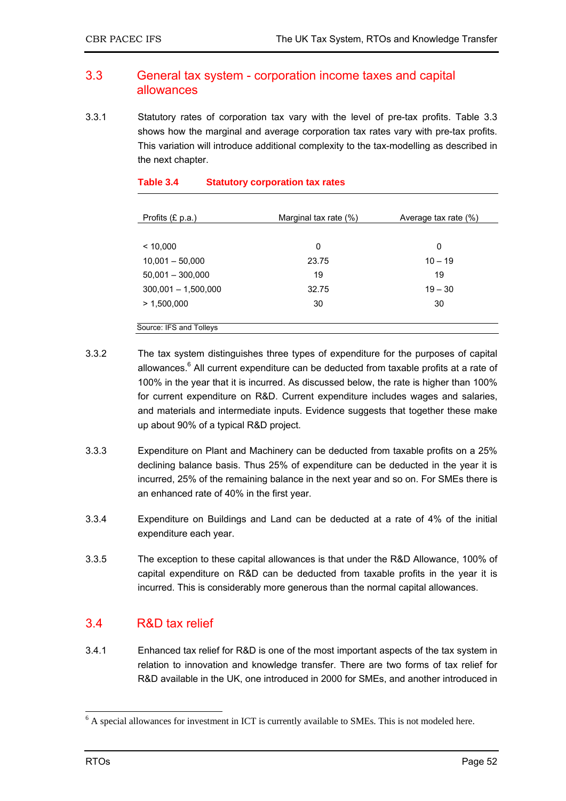### 3.3 General tax system - corporation income taxes and capital allowances

3.3.1 Statutory rates of corporation tax vary with the level of pre-tax profits. Table 3.3 shows how the marginal and average corporation tax rates vary with pre-tax profits. This variation will introduce additional complexity to the tax-modelling as described in the next chapter.

| Profits (£ p.a.)        | Marginal tax rate (%) | Average tax rate (%) |
|-------------------------|-----------------------|----------------------|
|                         |                       |                      |
| < 10,000                | 0                     | 0                    |
| $10,001 - 50,000$       | 23.75                 | $10 - 19$            |
| $50,001 - 300,000$      | 19                    | 19                   |
| $300,001 - 1,500,000$   | 32.75                 | $19 - 30$            |
| > 1,500,000             | 30                    | 30                   |
|                         |                       |                      |
| Source: IFS and Tolleys |                       |                      |

### **Table 3.4 Statutory corporation tax rates**

- 3.3.2 The tax system distinguishes three types of expenditure for the purposes of capital allowances.<sup>6</sup> All current expenditure can be deducted from taxable profits at a rate of 100% in the year that it is incurred. As discussed below, the rate is higher than 100% for current expenditure on R&D. Current expenditure includes wages and salaries, and materials and intermediate inputs. Evidence suggests that together these make up about 90% of a typical R&D project.
- 3.3.3 Expenditure on Plant and Machinery can be deducted from taxable profits on a 25% declining balance basis. Thus 25% of expenditure can be deducted in the year it is incurred, 25% of the remaining balance in the next year and so on. For SMEs there is an enhanced rate of 40% in the first year.
- 3.3.4 Expenditure on Buildings and Land can be deducted at a rate of 4% of the initial expenditure each year.
- 3.3.5 The exception to these capital allowances is that under the R&D Allowance, 100% of capital expenditure on R&D can be deducted from taxable profits in the year it is incurred. This is considerably more generous than the normal capital allowances.

## 3.4 R&D tax relief

3.4.1 Enhanced tax relief for R&D is one of the most important aspects of the tax system in relation to innovation and knowledge transfer. There are two forms of tax relief for R&D available in the UK, one introduced in 2000 for SMEs, and another introduced in

<sup>&</sup>lt;sup>6</sup> A special allowances for investment in ICT is currently available to SMEs. This is not modeled here.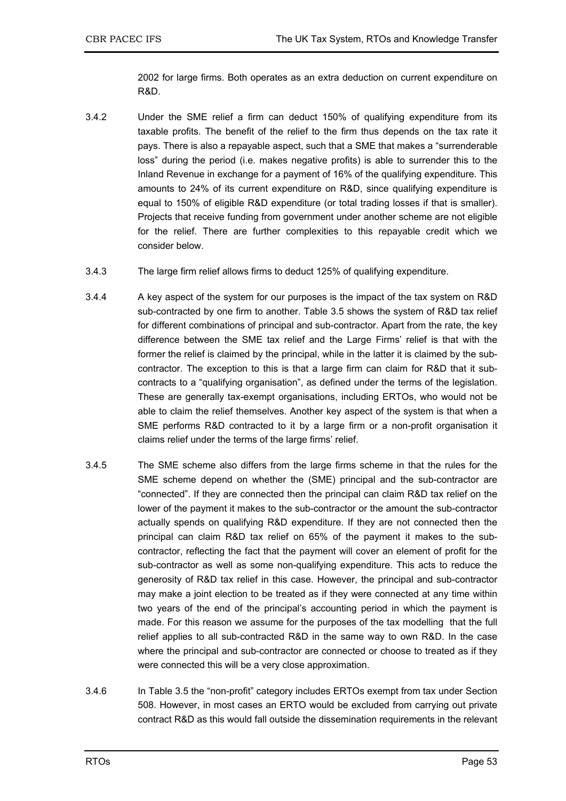2002 for large firms. Both operates as an extra deduction on current expenditure on R&D.

- 3.4.2 Under the SME relief a firm can deduct 150% of qualifying expenditure from its taxable profits. The benefit of the relief to the firm thus depends on the tax rate it pays. There is also a repayable aspect, such that a SME that makes a "surrenderable loss" during the period (i.e. makes negative profits) is able to surrender this to the Inland Revenue in exchange for a payment of 16% of the qualifying expenditure. This amounts to 24% of its current expenditure on R&D, since qualifying expenditure is equal to 150% of eligible R&D expenditure (or total trading losses if that is smaller). Projects that receive funding from government under another scheme are not eligible for the relief. There are further complexities to this repayable credit which we consider below.
- 3.4.3 The large firm relief allows firms to deduct 125% of qualifying expenditure.
- 3.4.4 A key aspect of the system for our purposes is the impact of the tax system on R&D sub-contracted by one firm to another. Table 3.5 shows the system of R&D tax relief for different combinations of principal and sub-contractor. Apart from the rate, the key difference between the SME tax relief and the Large Firms' relief is that with the former the relief is claimed by the principal, while in the latter it is claimed by the subcontractor. The exception to this is that a large firm can claim for R&D that it subcontracts to a "qualifying organisation", as defined under the terms of the legislation. These are generally tax-exempt organisations, including ERTOs, who would not be able to claim the relief themselves. Another key aspect of the system is that when a SME performs R&D contracted to it by a large firm or a non-profit organisation it claims relief under the terms of the large firms' relief.
- 3.4.5 The SME scheme also differs from the large firms scheme in that the rules for the SME scheme depend on whether the (SME) principal and the sub-contractor are "connected". If they are connected then the principal can claim R&D tax relief on the lower of the payment it makes to the sub-contractor or the amount the sub-contractor actually spends on qualifying R&D expenditure. If they are not connected then the principal can claim R&D tax relief on 65% of the payment it makes to the subcontractor, reflecting the fact that the payment will cover an element of profit for the sub-contractor as well as some non-qualifying expenditure. This acts to reduce the generosity of R&D tax relief in this case. However, the principal and sub-contractor may make a joint election to be treated as if they were connected at any time within two years of the end of the principal's accounting period in which the payment is made. For this reason we assume for the purposes of the tax modelling that the full relief applies to all sub-contracted R&D in the same way to own R&D. In the case where the principal and sub-contractor are connected or choose to treated as if they were connected this will be a very close approximation.
- 3.4.6 In Table 3.5 the "non-profit" category includes ERTOs exempt from tax under Section 508. However, in most cases an ERTO would be excluded from carrying out private contract R&D as this would fall outside the dissemination requirements in the relevant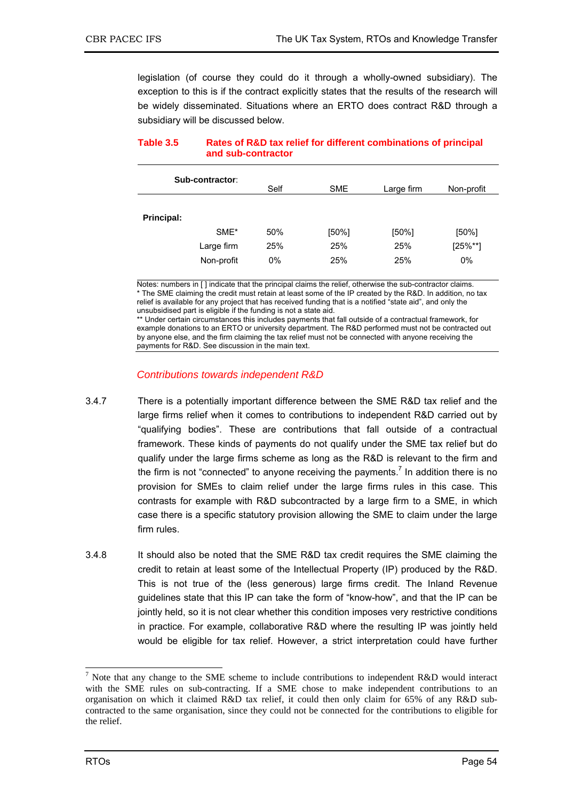legislation (of course they could do it through a wholly-owned subsidiary). The exception to this is if the contract explicitly states that the results of the research will be widely disseminated. Situations where an ERTO does contract R&D through a subsidiary will be discussed below.

**Table 3.5 Rates of R&D tax relief for different combinations of principal and sub-contractor** 

|            | Sub-contractor: | Self  | <b>SME</b> | Large firm | Non-profit    |
|------------|-----------------|-------|------------|------------|---------------|
| Principal: |                 |       |            |            |               |
|            | SME*            | 50%   | $[50\%]$   | $[50\%]$   | [50%]         |
|            | Large firm      | 25%   | 25%        | 25%        | $[25\%^{**}]$ |
|            | Non-profit      | $0\%$ | 25%        | 25%        | 0%            |

Notes: numbers in [ ] indicate that the principal claims the relief, otherwise the sub-contractor claims. The SME claiming the credit must retain at least some of the IP created by the R&D. In addition, no tax relief is available for any project that has received funding that is a notified "state aid", and only the unsubsidised part is eligible if the funding is not a state aid.

\*\* Under certain circumstances this includes payments that fall outside of a contractual framework, for example donations to an ERTO or university department. The R&D performed must not be contracted out by anyone else, and the firm claiming the tax relief must not be connected with anyone receiving the payments for R&D. See discussion in the main text.

### *Contributions towards independent R&D*

- 3.4.7 There is a potentially important difference between the SME R&D tax relief and the large firms relief when it comes to contributions to independent R&D carried out by "qualifying bodies". These are contributions that fall outside of a contractual framework. These kinds of payments do not qualify under the SME tax relief but do qualify under the large firms scheme as long as the R&D is relevant to the firm and the firm is not "connected" to anyone receiving the payments.<sup>7</sup> In addition there is no provision for SMEs to claim relief under the large firms rules in this case. This contrasts for example with R&D subcontracted by a large firm to a SME, in which case there is a specific statutory provision allowing the SME to claim under the large firm rules.
- 3.4.8 It should also be noted that the SME R&D tax credit requires the SME claiming the credit to retain at least some of the Intellectual Property (IP) produced by the R&D. This is not true of the (less generous) large firms credit. The Inland Revenue guidelines state that this IP can take the form of "know-how", and that the IP can be jointly held, so it is not clear whether this condition imposes very restrictive conditions in practice. For example, collaborative R&D where the resulting IP was jointly held would be eligible for tax relief. However, a strict interpretation could have further

 $\overline{a}$  Note that any change to the SME scheme to include contributions to independent R&D would interact with the SME rules on sub-contracting. If a SME chose to make independent contributions to an organisation on which it claimed R&D tax relief, it could then only claim for 65% of any R&D subcontracted to the same organisation, since they could not be connected for the contributions to eligible for the relief.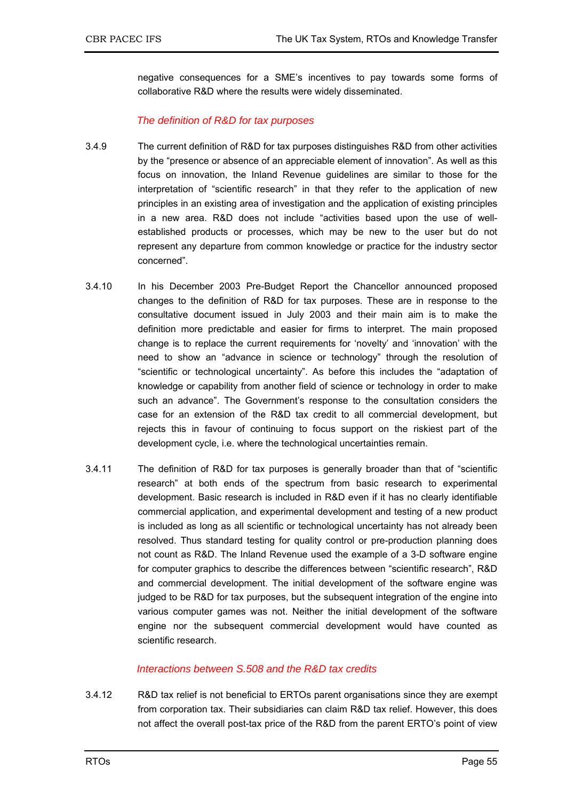negative consequences for a SME's incentives to pay towards some forms of collaborative R&D where the results were widely disseminated.

### *The definition of R&D for tax purposes*

- 3.4.9 The current definition of R&D for tax purposes distinguishes R&D from other activities by the "presence or absence of an appreciable element of innovation". As well as this focus on innovation, the Inland Revenue guidelines are similar to those for the interpretation of "scientific research" in that they refer to the application of new principles in an existing area of investigation and the application of existing principles in a new area. R&D does not include "activities based upon the use of wellestablished products or processes, which may be new to the user but do not represent any departure from common knowledge or practice for the industry sector concerned".
- 3.4.10 In his December 2003 Pre-Budget Report the Chancellor announced proposed changes to the definition of R&D for tax purposes. These are in response to the consultative document issued in July 2003 and their main aim is to make the definition more predictable and easier for firms to interpret. The main proposed change is to replace the current requirements for 'novelty' and 'innovation' with the need to show an "advance in science or technology" through the resolution of "scientific or technological uncertainty". As before this includes the "adaptation of knowledge or capability from another field of science or technology in order to make such an advance". The Government's response to the consultation considers the case for an extension of the R&D tax credit to all commercial development, but rejects this in favour of continuing to focus support on the riskiest part of the development cycle, i.e. where the technological uncertainties remain.
- 3.4.11 The definition of R&D for tax purposes is generally broader than that of "scientific research" at both ends of the spectrum from basic research to experimental development. Basic research is included in R&D even if it has no clearly identifiable commercial application, and experimental development and testing of a new product is included as long as all scientific or technological uncertainty has not already been resolved. Thus standard testing for quality control or pre-production planning does not count as R&D. The Inland Revenue used the example of a 3-D software engine for computer graphics to describe the differences between "scientific research", R&D and commercial development. The initial development of the software engine was judged to be R&D for tax purposes, but the subsequent integration of the engine into various computer games was not. Neither the initial development of the software engine nor the subsequent commercial development would have counted as scientific research.

### *Interactions between S.508 and the R&D tax credits*

3.4.12 R&D tax relief is not beneficial to ERTOs parent organisations since they are exempt from corporation tax. Their subsidiaries can claim R&D tax relief. However, this does not affect the overall post-tax price of the R&D from the parent ERTO's point of view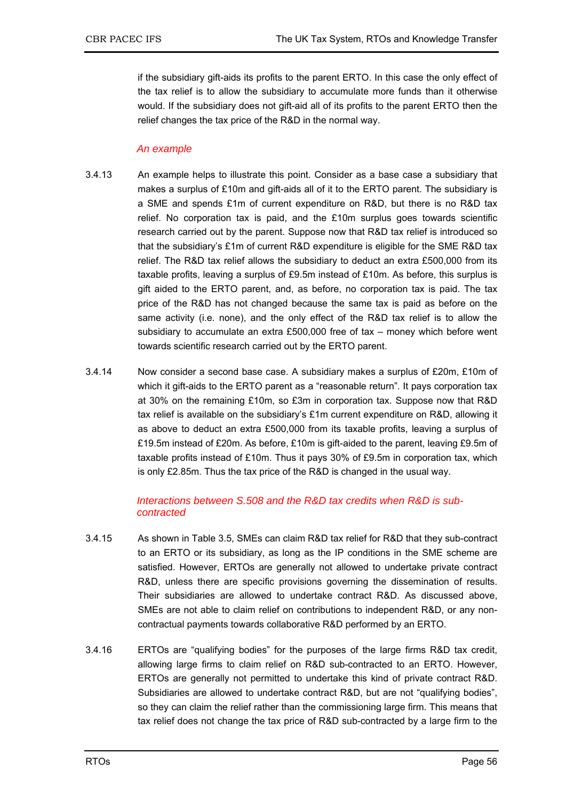if the subsidiary gift-aids its profits to the parent ERTO. In this case the only effect of the tax relief is to allow the subsidiary to accumulate more funds than it otherwise would. If the subsidiary does not gift-aid all of its profits to the parent ERTO then the relief changes the tax price of the R&D in the normal way.

### *An example*

- 3.4.13 An example helps to illustrate this point. Consider as a base case a subsidiary that makes a surplus of £10m and gift-aids all of it to the ERTO parent. The subsidiary is a SME and spends £1m of current expenditure on R&D, but there is no R&D tax relief. No corporation tax is paid, and the £10m surplus goes towards scientific research carried out by the parent. Suppose now that R&D tax relief is introduced so that the subsidiary's £1m of current R&D expenditure is eligible for the SME R&D tax relief. The R&D tax relief allows the subsidiary to deduct an extra £500,000 from its taxable profits, leaving a surplus of £9.5m instead of £10m. As before, this surplus is gift aided to the ERTO parent, and, as before, no corporation tax is paid. The tax price of the R&D has not changed because the same tax is paid as before on the same activity (i.e. none), and the only effect of the R&D tax relief is to allow the subsidiary to accumulate an extra £500,000 free of tax – money which before went towards scientific research carried out by the ERTO parent.
- 3.4.14 Now consider a second base case. A subsidiary makes a surplus of £20m, £10m of which it gift-aids to the ERTO parent as a "reasonable return". It pays corporation tax at 30% on the remaining £10m, so £3m in corporation tax. Suppose now that R&D tax relief is available on the subsidiary's £1m current expenditure on R&D, allowing it as above to deduct an extra £500,000 from its taxable profits, leaving a surplus of £19.5m instead of £20m. As before, £10m is gift-aided to the parent, leaving £9.5m of taxable profits instead of £10m. Thus it pays 30% of £9.5m in corporation tax, which is only £2.85m. Thus the tax price of the R&D is changed in the usual way.

### *Interactions between S.508 and the R&D tax credits when R&D is subcontracted*

- 3.4.15 As shown in Table 3.5, SMEs can claim R&D tax relief for R&D that they sub-contract to an ERTO or its subsidiary, as long as the IP conditions in the SME scheme are satisfied. However, ERTOs are generally not allowed to undertake private contract R&D, unless there are specific provisions governing the dissemination of results. Their subsidiaries are allowed to undertake contract R&D. As discussed above, SMEs are not able to claim relief on contributions to independent R&D, or any noncontractual payments towards collaborative R&D performed by an ERTO.
- 3.4.16 ERTOs are "qualifying bodies" for the purposes of the large firms R&D tax credit, allowing large firms to claim relief on R&D sub-contracted to an ERTO. However, ERTOs are generally not permitted to undertake this kind of private contract R&D. Subsidiaries are allowed to undertake contract R&D, but are not "qualifying bodies", so they can claim the relief rather than the commissioning large firm. This means that tax relief does not change the tax price of R&D sub-contracted by a large firm to the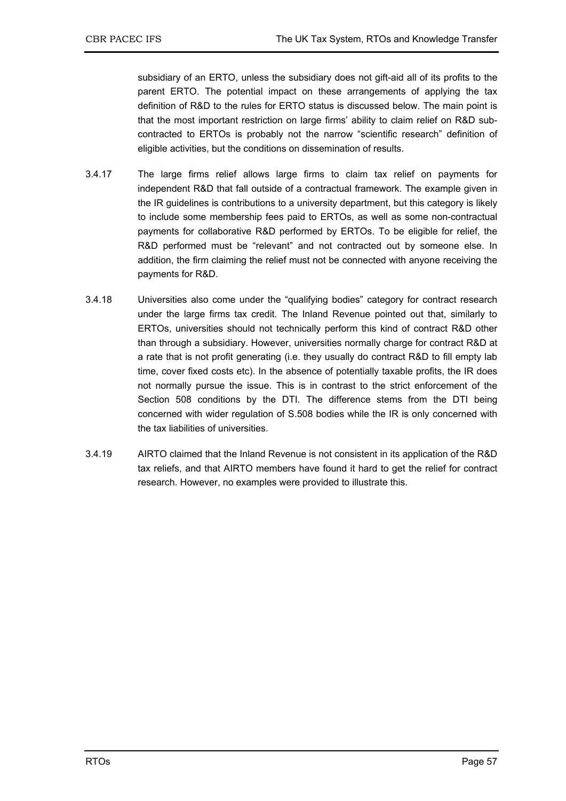subsidiary of an ERTO, unless the subsidiary does not gift-aid all of its profits to the parent ERTO. The potential impact on these arrangements of applying the tax definition of R&D to the rules for ERTO status is discussed below. The main point is that the most important restriction on large firms' ability to claim relief on R&D subcontracted to ERTOs is probably not the narrow "scientific research" definition of eligible activities, but the conditions on dissemination of results.

- 3.4.17 The large firms relief allows large firms to claim tax relief on payments for independent R&D that fall outside of a contractual framework. The example given in the IR guidelines is contributions to a university department, but this category is likely to include some membership fees paid to ERTOs, as well as some non-contractual payments for collaborative R&D performed by ERTOs. To be eligible for relief, the R&D performed must be "relevant" and not contracted out by someone else. In addition, the firm claiming the relief must not be connected with anyone receiving the payments for R&D.
- 3.4.18 Universities also come under the "qualifying bodies" category for contract research under the large firms tax credit. The Inland Revenue pointed out that, similarly to ERTOs, universities should not technically perform this kind of contract R&D other than through a subsidiary. However, universities normally charge for contract R&D at a rate that is not profit generating (i.e. they usually do contract R&D to fill empty lab time, cover fixed costs etc). In the absence of potentially taxable profits, the IR does not normally pursue the issue. This is in contrast to the strict enforcement of the Section 508 conditions by the DTI. The difference stems from the DTI being concerned with wider regulation of S.508 bodies while the IR is only concerned with the tax liabilities of universities.
- 3.4.19 AIRTO claimed that the Inland Revenue is not consistent in its application of the R&D tax reliefs, and that AIRTO members have found it hard to get the relief for contract research. However, no examples were provided to illustrate this.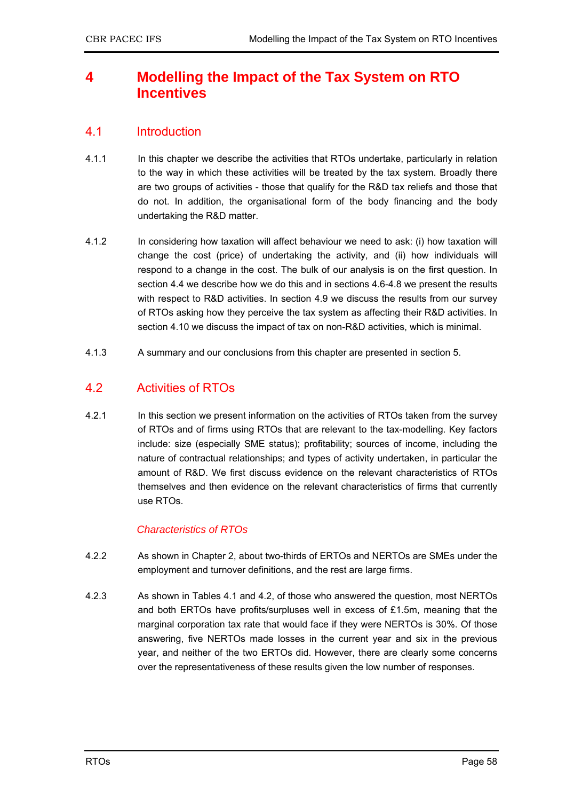# **4 Modelling the Impact of the Tax System on RTO Incentives**

# 4.1 Introduction

- 4.1.1 In this chapter we describe the activities that RTOs undertake, particularly in relation to the way in which these activities will be treated by the tax system. Broadly there are two groups of activities - those that qualify for the R&D tax reliefs and those that do not. In addition, the organisational form of the body financing and the body undertaking the R&D matter.
- 4.1.2 In considering how taxation will affect behaviour we need to ask: (i) how taxation will change the cost (price) of undertaking the activity, and (ii) how individuals will respond to a change in the cost. The bulk of our analysis is on the first question. In section 4.4 we describe how we do this and in sections 4.6-4.8 we present the results with respect to R&D activities. In section 4.9 we discuss the results from our survey of RTOs asking how they perceive the tax system as affecting their R&D activities. In section 4.10 we discuss the impact of tax on non-R&D activities, which is minimal.
- 4.1.3 A summary and our conclusions from this chapter are presented in section 5.

# 4.2 Activities of RTOs

4.2.1 In this section we present information on the activities of RTOs taken from the survey of RTOs and of firms using RTOs that are relevant to the tax-modelling. Key factors include: size (especially SME status); profitability; sources of income, including the nature of contractual relationships; and types of activity undertaken, in particular the amount of R&D. We first discuss evidence on the relevant characteristics of RTOs themselves and then evidence on the relevant characteristics of firms that currently use RTOs.

### *Characteristics of RTOs*

- 4.2.2 As shown in Chapter 2, about two-thirds of ERTOs and NERTOs are SMEs under the employment and turnover definitions, and the rest are large firms.
- 4.2.3 As shown in Tables 4.1 and 4.2, of those who answered the question, most NERTOs and both ERTOs have profits/surpluses well in excess of £1.5m, meaning that the marginal corporation tax rate that would face if they were NERTOs is 30%. Of those answering, five NERTOs made losses in the current year and six in the previous year, and neither of the two ERTOs did. However, there are clearly some concerns over the representativeness of these results given the low number of responses.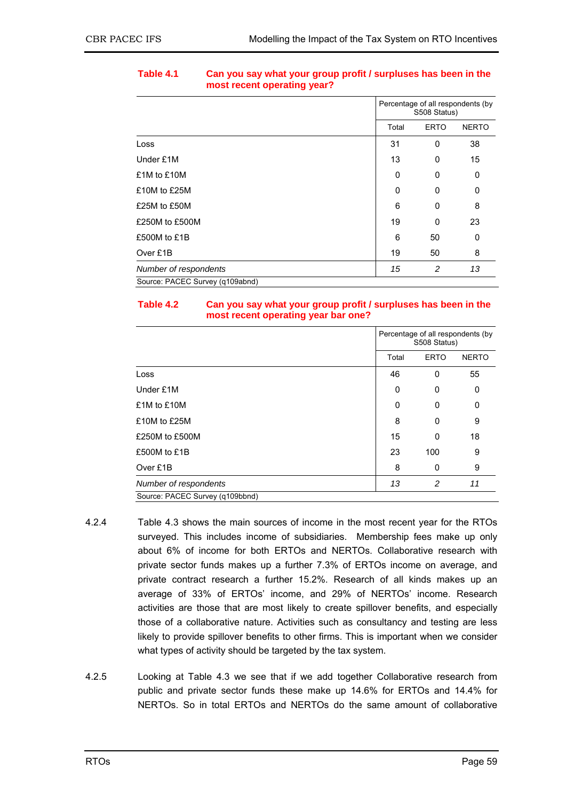|                                 | Percentage of all respondents (by<br>S508 Status) |                |              |
|---------------------------------|---------------------------------------------------|----------------|--------------|
|                                 | Total                                             | <b>ERTO</b>    | <b>NERTO</b> |
| Loss                            | 31                                                | 0              | 38           |
| Under £1M                       | 13                                                | 0              | 15           |
| £1M to £10M                     | 0                                                 | 0              | 0            |
| £10M to £25M                    | 0                                                 | 0              | 0            |
| £25M to £50M                    | 6                                                 | 0              | 8            |
| £250M to £500M                  | 19                                                | 0              | 23           |
| £500M to £1B                    | 6                                                 | 50             | 0            |
| Over £1B                        | 19                                                | 50             | 8            |
| Number of respondents           | 15                                                | $\overline{c}$ | 13           |
| Source: PACEC Survey (q109abnd) |                                                   |                |              |

### **Table 4.1 Can you say what your group profit / surpluses has been in the most recent operating year?**

### **Table 4.2 Can you say what your group profit / surpluses has been in the most recent operating year bar one?**

|                                 | Percentage of all respondents (by<br>S508 Status) |             |              |
|---------------------------------|---------------------------------------------------|-------------|--------------|
|                                 | Total                                             | <b>ERTO</b> | <b>NERTO</b> |
| Loss                            | 46                                                | 0           | 55           |
| Under £1M                       | 0                                                 | 0           | 0            |
| £1M to £10M                     | 0                                                 | 0           | 0            |
| £10M to £25M                    | 8                                                 | 0           | 9            |
| £250M to £500M                  | 15                                                | $\mathbf 0$ | 18           |
| £500M to £1B                    | 23                                                | 100         | 9            |
| Over £1B                        | 8                                                 | 0           | 9            |
| Number of respondents           | 13                                                | 2           | 11           |
| Source: PACEC Survey (q109bbnd) |                                                   |             |              |

- 4.2.4 Table 4.3 shows the main sources of income in the most recent year for the RTOs surveyed. This includes income of subsidiaries. Membership fees make up only about 6% of income for both ERTOs and NERTOs. Collaborative research with private sector funds makes up a further 7.3% of ERTOs income on average, and private contract research a further 15.2%. Research of all kinds makes up an average of 33% of ERTOs' income, and 29% of NERTOs' income. Research activities are those that are most likely to create spillover benefits, and especially those of a collaborative nature. Activities such as consultancy and testing are less likely to provide spillover benefits to other firms. This is important when we consider what types of activity should be targeted by the tax system.
- 4.2.5 Looking at Table 4.3 we see that if we add together Collaborative research from public and private sector funds these make up 14.6% for ERTOs and 14.4% for NERTOs. So in total ERTOs and NERTOs do the same amount of collaborative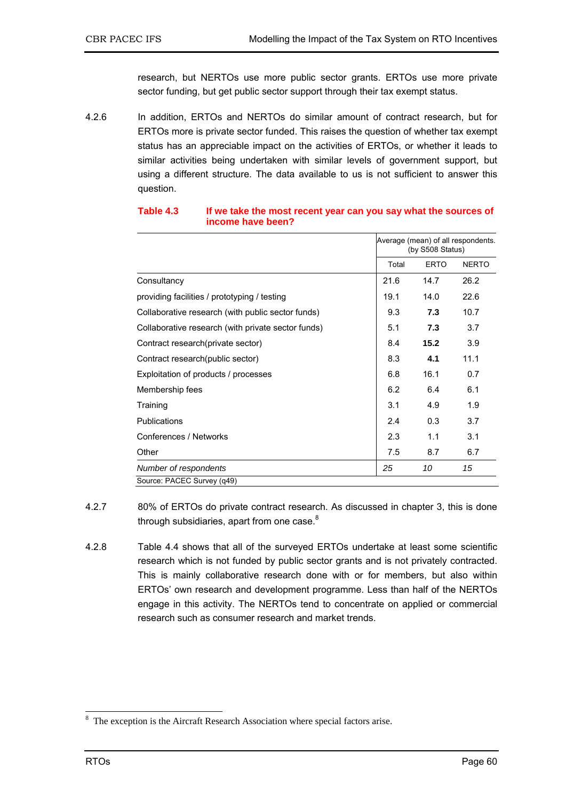research, but NERTOs use more public sector grants. ERTOs use more private sector funding, but get public sector support through their tax exempt status.

4.2.6 In addition, ERTOs and NERTOs do similar amount of contract research, but for ERTOs more is private sector funded. This raises the question of whether tax exempt status has an appreciable impact on the activities of ERTOs, or whether it leads to similar activities being undertaken with similar levels of government support, but using a different structure. The data available to us is not sufficient to answer this question.

|                                                    |       | Average (mean) of all respondents.<br>(by S508 Status) |              |  |
|----------------------------------------------------|-------|--------------------------------------------------------|--------------|--|
|                                                    | Total | <b>ERTO</b>                                            | <b>NERTO</b> |  |
| Consultancy                                        | 21.6  | 14.7                                                   | 26.2         |  |
| providing facilities / prototyping / testing       | 19.1  | 14.0                                                   | 22.6         |  |
| Collaborative research (with public sector funds)  | 9.3   | 7.3                                                    | 10.7         |  |
| Collaborative research (with private sector funds) | 5.1   | 7.3                                                    | 3.7          |  |
| Contract research (private sector)                 | 8.4   | 15.2                                                   | 3.9          |  |
| Contract research (public sector)                  | 8.3   | 4.1                                                    | 11.1         |  |
| Exploitation of products / processes               | 6.8   | 16.1                                                   | 0.7          |  |
| Membership fees                                    | 6.2   | 6.4                                                    | 6.1          |  |
| Training                                           | 3.1   | 4.9                                                    | 1.9          |  |
| <b>Publications</b>                                | 2.4   | 0.3                                                    | 3.7          |  |
| Conferences / Networks                             | 2.3   | 1.1                                                    | 3.1          |  |
| Other                                              | 7.5   | 8.7                                                    | 6.7          |  |
| Number of respondents                              | 25    | 10                                                     | 15           |  |
| Source: PACEC Survey (q49)                         |       |                                                        |              |  |

#### **Table 4.3 If we take the most recent year can you say what the sources of income have been?**

- 4.2.7 80% of ERTOs do private contract research. As discussed in chapter 3, this is done through subsidiaries, apart from one case. $8<sup>8</sup>$
- 4.2.8 Table 4.4 shows that all of the surveyed ERTOs undertake at least some scientific research which is not funded by public sector grants and is not privately contracted. This is mainly collaborative research done with or for members, but also within ERTOs' own research and development programme. Less than half of the NERTOs engage in this activity. The NERTOs tend to concentrate on applied or commercial research such as consumer research and market trends.

<sup>&</sup>lt;sup>8</sup> The exception is the Aircraft Research Association where special factors arise.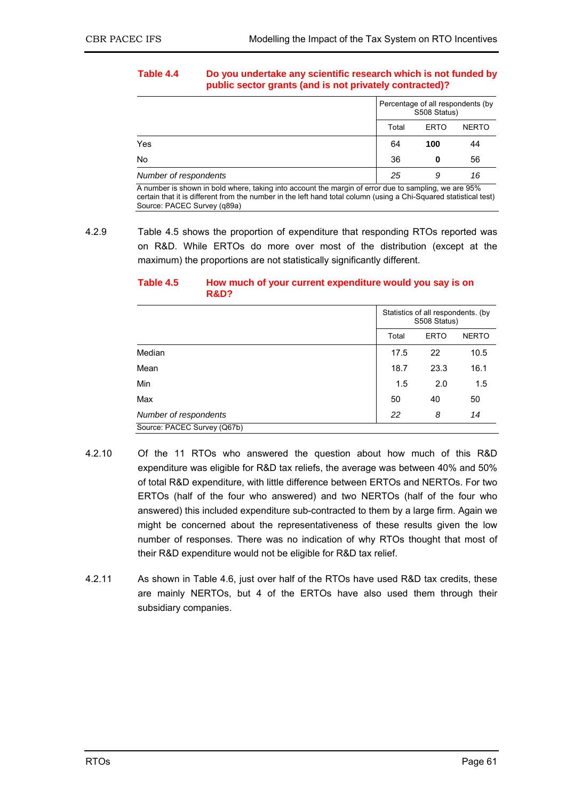#### **Table 4.4 Do you undertake any scientific research which is not funded by public sector grants (and is not privately contracted)?**

|                                                                                                      | Percentage of all respondents (by<br>S508 Status) |             |              |  |
|------------------------------------------------------------------------------------------------------|---------------------------------------------------|-------------|--------------|--|
|                                                                                                      |                                                   | <b>ERTO</b> | <b>NERTO</b> |  |
| Yes                                                                                                  | 64                                                | 100         | 44           |  |
| No.                                                                                                  | 36                                                | o           | 56           |  |
| Number of respondents                                                                                | 25                                                | 9           | 16           |  |
| A number is shown in bold where, taking into account the margin of error due to sampling, we are 95% |                                                   |             |              |  |

certain that it is different from the number in the left hand total column (using a Chi-Squared statistical test) Source: PACEC Survey (q89a)

#### **Table 4.5 How much of your current expenditure would you say is on R&D?**

|                             | Statistics of all respondents. (by<br>S508 Status) |      |      |
|-----------------------------|----------------------------------------------------|------|------|
|                             | <b>ERTO</b><br><b>NERTO</b><br>Total               |      |      |
| Median                      | 17.5                                               | 22   | 10.5 |
| Mean                        | 18.7                                               | 23.3 | 16.1 |
| Min                         | 1.5                                                | 2.0  | 1.5  |
| Max                         | 50                                                 | 40   | 50   |
| Number of respondents       | 22<br>14<br>8                                      |      |      |
| Source: PACEC Survey (Q67b) |                                                    |      |      |

- 4.2.10 Of the 11 RTOs who answered the question about how much of this R&D expenditure was eligible for R&D tax reliefs, the average was between 40% and 50% of total R&D expenditure, with little difference between ERTOs and NERTOs. For two ERTOs (half of the four who answered) and two NERTOs (half of the four who answered) this included expenditure sub-contracted to them by a large firm. Again we might be concerned about the representativeness of these results given the low number of responses. There was no indication of why RTOs thought that most of their R&D expenditure would not be eligible for R&D tax relief.
- 4.2.11 As shown in Table 4.6, just over half of the RTOs have used R&D tax credits, these are mainly NERTOs, but 4 of the ERTOs have also used them through their subsidiary companies.

<sup>4.2.9</sup> Table 4.5 shows the proportion of expenditure that responding RTOs reported was on R&D. While ERTOs do more over most of the distribution (except at the maximum) the proportions are not statistically significantly different.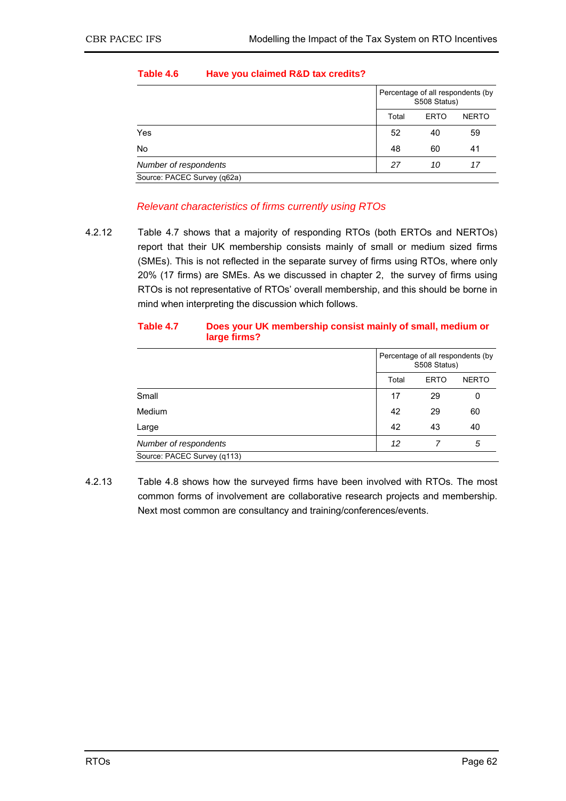|                             |  | Percentage of all respondents (by<br>S508 Status) |             |              |  |
|-----------------------------|--|---------------------------------------------------|-------------|--------------|--|
|                             |  |                                                   | <b>ERTO</b> | <b>NERTO</b> |  |
| Yes                         |  | 52                                                | 40          | 59           |  |
| No                          |  | 48                                                | 60          | 41           |  |
| Number of respondents       |  | 27                                                | 10          | 17           |  |
| Source: PACEC Survey (q62a) |  |                                                   |             |              |  |

### **Table 4.6 Have you claimed R&D tax credits?**

### *Relevant characteristics of firms currently using RTOs*

4.2.12 Table 4.7 shows that a majority of responding RTOs (both ERTOs and NERTOs) report that their UK membership consists mainly of small or medium sized firms (SMEs). This is not reflected in the separate survey of firms using RTOs, where only 20% (17 firms) are SMEs. As we discussed in chapter 2, the survey of firms using RTOs is not representative of RTOs' overall membership, and this should be borne in mind when interpreting the discussion which follows.

| Does your UK membership consist mainly of small, medium or<br>Table 4.7<br>large firms? |  |                                   |
|-----------------------------------------------------------------------------------------|--|-----------------------------------|
|                                                                                         |  | Percentage of all respondents (by |

|                             | Percentage of all respondents (by<br>S508 Status) |             |              |  |
|-----------------------------|---------------------------------------------------|-------------|--------------|--|
|                             | Total                                             | <b>ERTO</b> | <b>NERTO</b> |  |
| Small                       | 17                                                | 29          | 0            |  |
| Medium                      | 42                                                | 29          | 60           |  |
| Large                       | 42                                                | 43          | 40           |  |
| Number of respondents       | 12                                                |             | 5            |  |
| Source: PACEC Survey (q113) |                                                   |             |              |  |

4.2.13 Table 4.8 shows how the surveyed firms have been involved with RTOs. The most common forms of involvement are collaborative research projects and membership. Next most common are consultancy and training/conferences/events.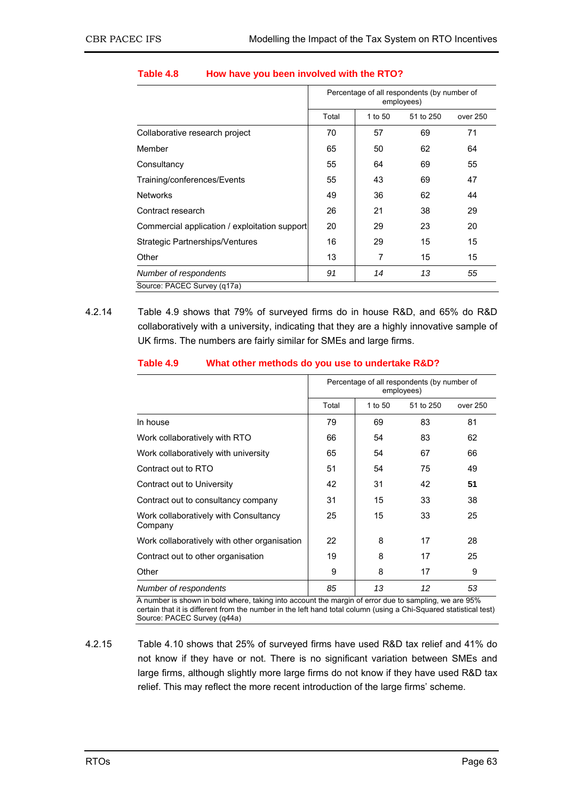|                                               | Percentage of all respondents (by number of<br>employees) |         |           |          |  |  |
|-----------------------------------------------|-----------------------------------------------------------|---------|-----------|----------|--|--|
|                                               | Total                                                     | 1 to 50 | 51 to 250 | over 250 |  |  |
| Collaborative research project                | 70                                                        | 57      | 69        | 71       |  |  |
| Member                                        | 65                                                        | 50      | 62        | 64       |  |  |
| Consultancy                                   | 55                                                        | 64      | 69        | 55       |  |  |
| Training/conferences/Events                   | 55                                                        | 43      | 69        | 47       |  |  |
| <b>Networks</b>                               | 49                                                        | 36      | 62        | 44       |  |  |
| Contract research                             | 26                                                        | 21      | 38        | 29       |  |  |
| Commercial application / exploitation support | 20                                                        | 29      | 23        | 20       |  |  |
| Strategic Partnerships/Ventures               | 16                                                        | 29      | 15        | 15       |  |  |
| Other                                         | 13                                                        | 7       | 15        | 15       |  |  |
| Number of respondents                         | 91                                                        | 14      | 13        | 55       |  |  |
| Source: PACEC Survey (q17a)                   |                                                           |         |           |          |  |  |

#### **Table 4.8 How have you been involved with the RTO?**

4.2.14 Table 4.9 shows that 79% of surveyed firms do in house R&D, and 65% do R&D collaboratively with a university, indicating that they are a highly innovative sample of UK firms. The numbers are fairly similar for SMEs and large firms.

#### **Table 4.9 What other methods do you use to undertake R&D?**

|                                                  | Percentage of all respondents (by number of<br>employees) |         |           |          |
|--------------------------------------------------|-----------------------------------------------------------|---------|-----------|----------|
|                                                  | Total                                                     | 1 to 50 | 51 to 250 | over 250 |
| In house                                         | 79                                                        | 69      | 83        | 81       |
| Work collaboratively with RTO                    | 66                                                        | 54      | 83        | 62       |
| Work collaboratively with university             | 65                                                        | 54      | 67        | 66       |
| Contract out to RTO                              | 51                                                        | 54      | 75        | 49       |
| Contract out to University                       | 42                                                        | 31      | 42        | 51       |
| Contract out to consultancy company              | 31                                                        | 15      | 33        | 38       |
| Work collaboratively with Consultancy<br>Company | 25                                                        | 15      | 33        | 25       |
| Work collaboratively with other organisation     | 22                                                        | 8       | 17        | 28       |
| Contract out to other organisation               | 19                                                        | 8       | 17        | 25       |
| Other                                            | 9                                                         | 8       | 17        | 9        |
| Number of respondents                            | 85                                                        | 13      | 12        | 53       |

A number is shown in bold where, taking into account the margin of error due to sampling, we are 95% certain that it is different from the number in the left hand total column (using a Chi-Squared statistical test) Source: PACEC Survey (q44a)

4.2.15 Table 4.10 shows that 25% of surveyed firms have used R&D tax relief and 41% do not know if they have or not. There is no significant variation between SMEs and large firms, although slightly more large firms do not know if they have used R&D tax relief. This may reflect the more recent introduction of the large firms' scheme.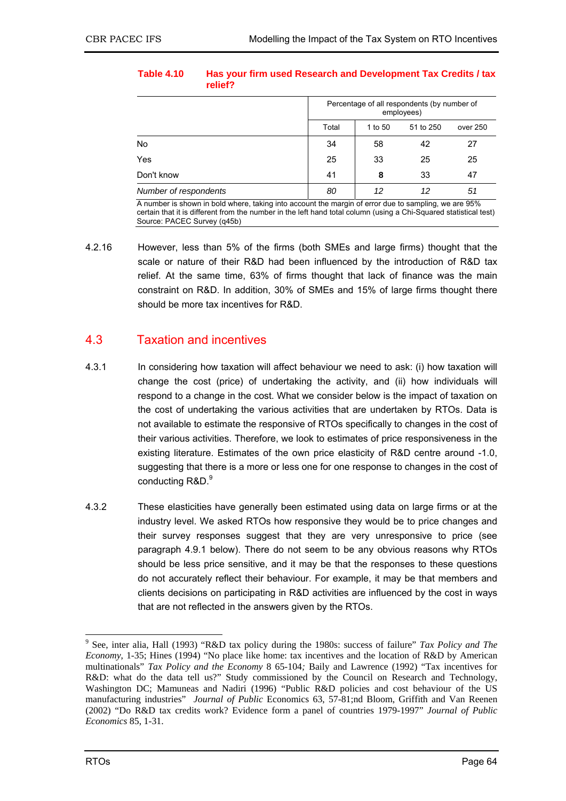| Table 4.10 | relief? | Has your firm used Research and Development Tax Credits / tax |
|------------|---------|---------------------------------------------------------------|
|            |         | Descended and of all according to the floor according of      |

|                       |       | Percentage of all respondents (by number of<br>employees) |           |          |  |  |  |
|-----------------------|-------|-----------------------------------------------------------|-----------|----------|--|--|--|
|                       | Total | 1 to 50                                                   | 51 to 250 | over 250 |  |  |  |
| No                    | 34    | 58                                                        | 42        | 27       |  |  |  |
| Yes                   | 25    | 33                                                        | 25        | 25       |  |  |  |
| Don't know            | 41    | 8                                                         | 33        | 47       |  |  |  |
| Number of respondents | 80    | 12<br>12                                                  |           |          |  |  |  |

A number is shown in bold where, taking into account the margin of error due to sampling, we are 95% certain that it is different from the number in the left hand total column (using a Chi-Squared statistical test) Source: PACEC Survey (q45b)

4.2.16 However, less than 5% of the firms (both SMEs and large firms) thought that the scale or nature of their R&D had been influenced by the introduction of R&D tax relief. At the same time, 63% of firms thought that lack of finance was the main constraint on R&D. In addition, 30% of SMEs and 15% of large firms thought there should be more tax incentives for R&D.

# 4.3 Taxation and incentives

- 4.3.1 In considering how taxation will affect behaviour we need to ask: (i) how taxation will change the cost (price) of undertaking the activity, and (ii) how individuals will respond to a change in the cost. What we consider below is the impact of taxation on the cost of undertaking the various activities that are undertaken by RTOs. Data is not available to estimate the responsive of RTOs specifically to changes in the cost of their various activities. Therefore, we look to estimates of price responsiveness in the existing literature. Estimates of the own price elasticity of R&D centre around -1.0, suggesting that there is a more or less one for one response to changes in the cost of conducting R&D.<sup>9</sup>
- 4.3.2 These elasticities have generally been estimated using data on large firms or at the industry level. We asked RTOs how responsive they would be to price changes and their survey responses suggest that they are very unresponsive to price (see paragraph 4.9.1 below). There do not seem to be any obvious reasons why RTOs should be less price sensitive, and it may be that the responses to these questions do not accurately reflect their behaviour. For example, it may be that members and clients decisions on participating in R&D activities are influenced by the cost in ways that are not reflected in the answers given by the RTOs.

 9 See, inter alia, Hall (1993) "R&D tax policy during the 1980s: success of failure" *Tax Policy and The Economy*, 1-35; Hines (1994) "No place like home: tax incentives and the location of R&D by American multinationals" *Tax Policy and the Economy* 8 65-104*;* Baily and Lawrence (1992) "Tax incentives for R&D: what do the data tell us?" Study commissioned by the Council on Research and Technology, Washington DC; Mamuneas and Nadiri (1996) "Public R&D policies and cost behaviour of the US manufacturing industries" *Journal of Public* Economics 63, 57-81;nd Bloom, Griffith and Van Reenen (2002) "Do R&D tax credits work? Evidence form a panel of countries 1979-1997" *Journal of Public Economics* 85, 1-31.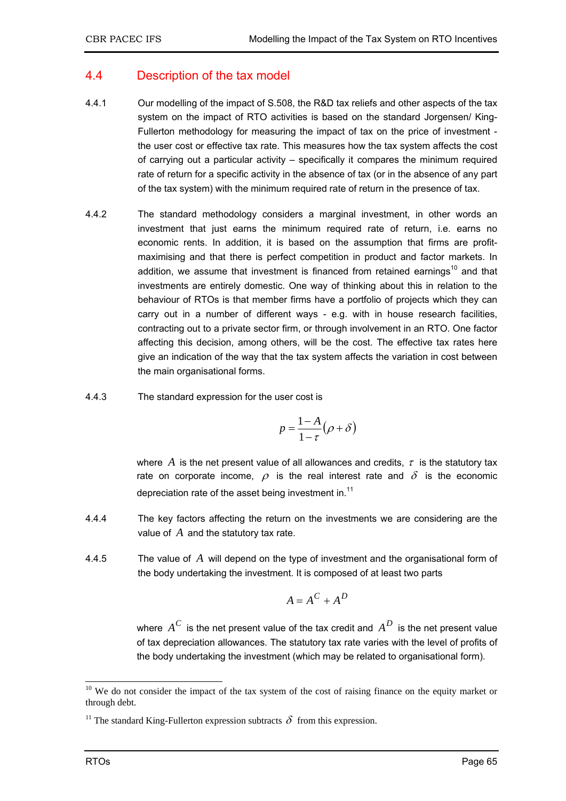# 4.4 Description of the tax model

- 4.4.1 Our modelling of the impact of S.508, the R&D tax reliefs and other aspects of the tax system on the impact of RTO activities is based on the standard Jorgensen/ King-Fullerton methodology for measuring the impact of tax on the price of investment the user cost or effective tax rate. This measures how the tax system affects the cost of carrying out a particular activity – specifically it compares the minimum required rate of return for a specific activity in the absence of tax (or in the absence of any part of the tax system) with the minimum required rate of return in the presence of tax.
- 4.4.2 The standard methodology considers a marginal investment, in other words an investment that just earns the minimum required rate of return, i.e. earns no economic rents. In addition, it is based on the assumption that firms are profitmaximising and that there is perfect competition in product and factor markets. In addition, we assume that investment is financed from retained earnings<sup>10</sup> and that investments are entirely domestic. One way of thinking about this in relation to the behaviour of RTOs is that member firms have a portfolio of projects which they can carry out in a number of different ways - e.g. with in house research facilities, contracting out to a private sector firm, or through involvement in an RTO. One factor affecting this decision, among others, will be the cost. The effective tax rates here give an indication of the way that the tax system affects the variation in cost between the main organisational forms.
- 4.4.3 The standard expression for the user cost is

$$
p = \frac{1-A}{1-\tau} \big( \rho + \delta \big)
$$

where  $A$  is the net present value of all allowances and credits,  $\tau$  is the statutory tax rate on corporate income,  $\rho$  is the real interest rate and  $\delta$  is the economic depreciation rate of the asset being investment in. $11$ 

- 4.4.4 The key factors affecting the return on the investments we are considering are the value of *A* and the statutory tax rate.
- 4.4.5 The value of *A* will depend on the type of investment and the organisational form of the body undertaking the investment. It is composed of at least two parts

$$
A = A^C + A^D
$$

where  $A^C$  is the net present value of the tax credit and  $A^D$  is the net present value of tax depreciation allowances. The statutory tax rate varies with the level of profits of the body undertaking the investment (which may be related to organisational form).

 $10$  We do not consider the impact of the tax system of the cost of raising finance on the equity market or through debt.

<sup>&</sup>lt;sup>11</sup> The standard King-Fullerton expression subtracts  $\delta$  from this expression.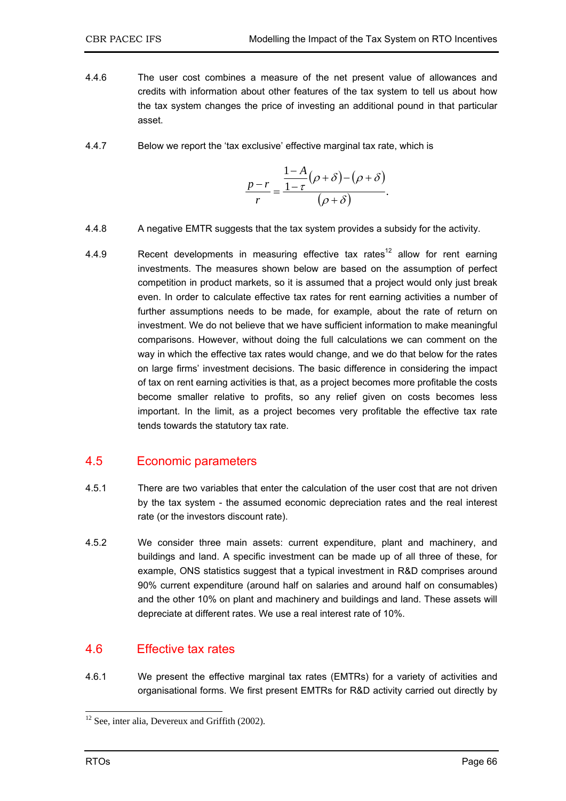- 4.4.6 The user cost combines a measure of the net present value of allowances and credits with information about other features of the tax system to tell us about how the tax system changes the price of investing an additional pound in that particular asset.
- 4.4.7 Below we report the 'tax exclusive' effective marginal tax rate, which is

$$
\frac{p-r}{r} = \frac{\frac{1-A}{1-\tau}(\rho+\delta)-(\rho+\delta)}{(\rho+\delta)}.
$$

- 4.4.8 A negative EMTR suggests that the tax system provides a subsidy for the activity.
- 4.4.9 Recent developments in measuring effective tax rates<sup>12</sup> allow for rent earning investments. The measures shown below are based on the assumption of perfect competition in product markets, so it is assumed that a project would only just break even. In order to calculate effective tax rates for rent earning activities a number of further assumptions needs to be made, for example, about the rate of return on investment. We do not believe that we have sufficient information to make meaningful comparisons. However, without doing the full calculations we can comment on the way in which the effective tax rates would change, and we do that below for the rates on large firms' investment decisions. The basic difference in considering the impact of tax on rent earning activities is that, as a project becomes more profitable the costs become smaller relative to profits, so any relief given on costs becomes less important. In the limit, as a project becomes very profitable the effective tax rate tends towards the statutory tax rate.

# 4.5 Economic parameters

- 4.5.1 There are two variables that enter the calculation of the user cost that are not driven by the tax system - the assumed economic depreciation rates and the real interest rate (or the investors discount rate).
- 4.5.2 We consider three main assets: current expenditure, plant and machinery, and buildings and land. A specific investment can be made up of all three of these, for example, ONS statistics suggest that a typical investment in R&D comprises around 90% current expenditure (around half on salaries and around half on consumables) and the other 10% on plant and machinery and buildings and land. These assets will depreciate at different rates. We use a real interest rate of 10%.

# 4.6 Effective tax rates

4.6.1 We present the effective marginal tax rates (EMTRs) for a variety of activities and organisational forms. We first present EMTRs for R&D activity carried out directly by

 $12$  See, inter alia, Devereux and Griffith (2002).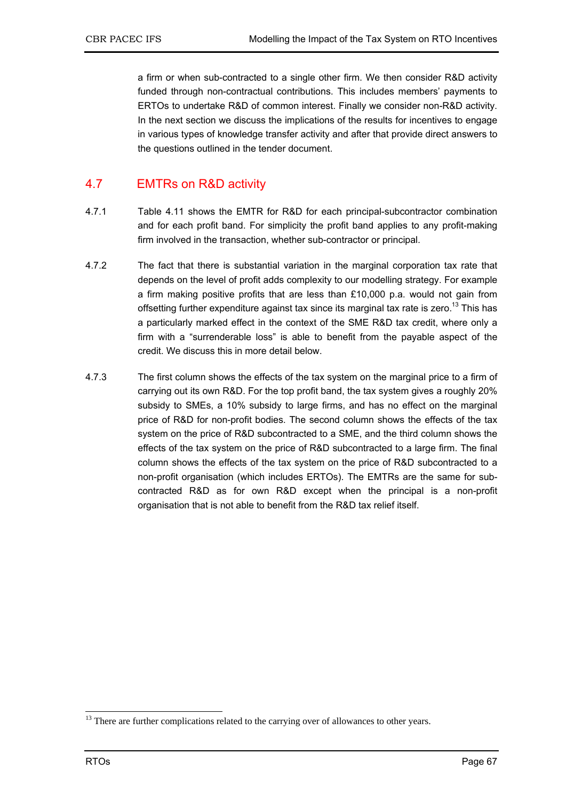a firm or when sub-contracted to a single other firm. We then consider R&D activity funded through non-contractual contributions. This includes members' payments to ERTOs to undertake R&D of common interest. Finally we consider non-R&D activity. In the next section we discuss the implications of the results for incentives to engage in various types of knowledge transfer activity and after that provide direct answers to the questions outlined in the tender document.

# 4.7 EMTRs on R&D activity

- 4.7.1 Table 4.11 shows the EMTR for R&D for each principal-subcontractor combination and for each profit band. For simplicity the profit band applies to any profit-making firm involved in the transaction, whether sub-contractor or principal.
- 4.7.2 The fact that there is substantial variation in the marginal corporation tax rate that depends on the level of profit adds complexity to our modelling strategy. For example a firm making positive profits that are less than £10,000 p.a. would not gain from offsetting further expenditure against tax since its marginal tax rate is zero.<sup>13</sup> This has a particularly marked effect in the context of the SME R&D tax credit, where only a firm with a "surrenderable loss" is able to benefit from the payable aspect of the credit. We discuss this in more detail below.
- 4.7.3 The first column shows the effects of the tax system on the marginal price to a firm of carrying out its own R&D. For the top profit band, the tax system gives a roughly 20% subsidy to SMEs, a 10% subsidy to large firms, and has no effect on the marginal price of R&D for non-profit bodies. The second column shows the effects of the tax system on the price of R&D subcontracted to a SME, and the third column shows the effects of the tax system on the price of R&D subcontracted to a large firm. The final column shows the effects of the tax system on the price of R&D subcontracted to a non-profit organisation (which includes ERTOs). The EMTRs are the same for subcontracted R&D as for own R&D except when the principal is a non-profit organisation that is not able to benefit from the R&D tax relief itself.

<sup>&</sup>lt;sup>13</sup> There are further complications related to the carrying over of allowances to other years.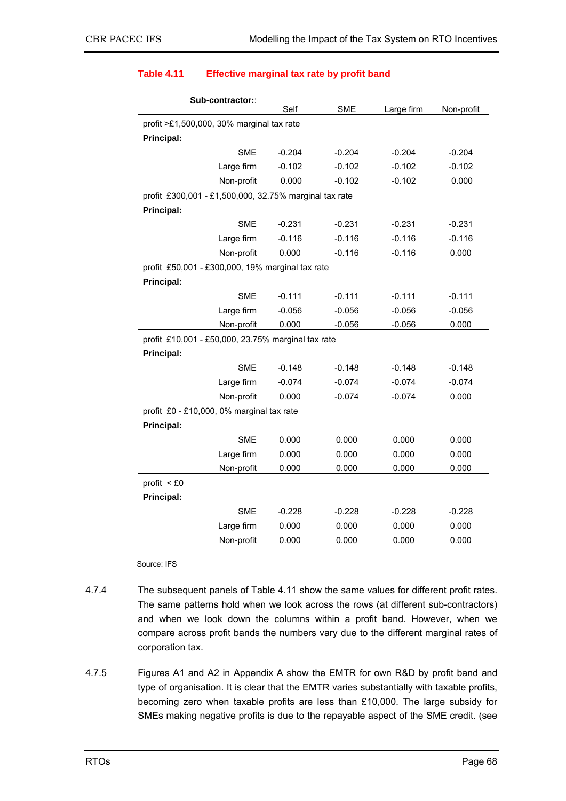| Sub-contractor::                                       | Self     | <b>SME</b> | Large firm | Non-profit |  |  |
|--------------------------------------------------------|----------|------------|------------|------------|--|--|
| profit >£1,500,000, 30% marginal tax rate              |          |            |            |            |  |  |
| <b>Principal:</b>                                      |          |            |            |            |  |  |
| <b>SME</b>                                             | $-0.204$ | $-0.204$   | $-0.204$   | $-0.204$   |  |  |
| Large firm                                             | $-0.102$ | $-0.102$   | $-0.102$   | $-0.102$   |  |  |
| Non-profit                                             | 0.000    | $-0.102$   | $-0.102$   | 0.000      |  |  |
| profit £300,001 - £1,500,000, 32.75% marginal tax rate |          |            |            |            |  |  |
| <b>Principal:</b>                                      |          |            |            |            |  |  |
| <b>SME</b>                                             | $-0.231$ | $-0.231$   | $-0.231$   | $-0.231$   |  |  |
| Large firm                                             | $-0.116$ | $-0.116$   | $-0.116$   | $-0.116$   |  |  |
| Non-profit                                             | 0.000    | $-0.116$   | $-0.116$   | 0.000      |  |  |
| profit £50,001 - £300,000, 19% marginal tax rate       |          |            |            |            |  |  |
| Principal:                                             |          |            |            |            |  |  |
| <b>SME</b>                                             | $-0.111$ | $-0.111$   | $-0.111$   | $-0.111$   |  |  |
| Large firm                                             | $-0.056$ | $-0.056$   | $-0.056$   | $-0.056$   |  |  |
| Non-profit                                             | 0.000    | $-0.056$   | $-0.056$   | 0.000      |  |  |
| profit £10,001 - £50,000, 23.75% marginal tax rate     |          |            |            |            |  |  |
| <b>Principal:</b>                                      |          |            |            |            |  |  |
| <b>SME</b>                                             | $-0.148$ | $-0.148$   | $-0.148$   | $-0.148$   |  |  |
| Large firm                                             | $-0.074$ | $-0.074$   | $-0.074$   | $-0.074$   |  |  |
| Non-profit                                             | 0.000    | $-0.074$   | $-0.074$   | 0.000      |  |  |
| profit £0 - £10,000, 0% marginal tax rate              |          |            |            |            |  |  |
| <b>Principal:</b>                                      |          |            |            |            |  |  |
| <b>SME</b>                                             | 0.000    | 0.000      | 0.000      | 0.000      |  |  |
| Large firm                                             | 0.000    | 0.000      | 0.000      | 0.000      |  |  |
| Non-profit                                             | 0.000    | 0.000      | 0.000      | 0.000      |  |  |
| profit $<$ £0                                          |          |            |            |            |  |  |
| <b>Principal:</b>                                      |          |            |            |            |  |  |
| <b>SME</b>                                             | $-0.228$ | $-0.228$   | $-0.228$   | $-0.228$   |  |  |
| Large firm                                             | 0.000    | 0.000      | 0.000      | 0.000      |  |  |
| Non-profit                                             | 0.000    | 0.000      | 0.000      | 0.000      |  |  |
| Source: IFS                                            |          |            |            |            |  |  |

### **Table 4.11 Effective marginal tax rate by profit band**

- 4.7.4 The subsequent panels of Table 4.11 show the same values for different profit rates. The same patterns hold when we look across the rows (at different sub-contractors) and when we look down the columns within a profit band. However, when we compare across profit bands the numbers vary due to the different marginal rates of corporation tax.
- 4.7.5 Figures A1 and A2 in Appendix A show the EMTR for own R&D by profit band and type of organisation. It is clear that the EMTR varies substantially with taxable profits, becoming zero when taxable profits are less than £10,000. The large subsidy for SMEs making negative profits is due to the repayable aspect of the SME credit. (see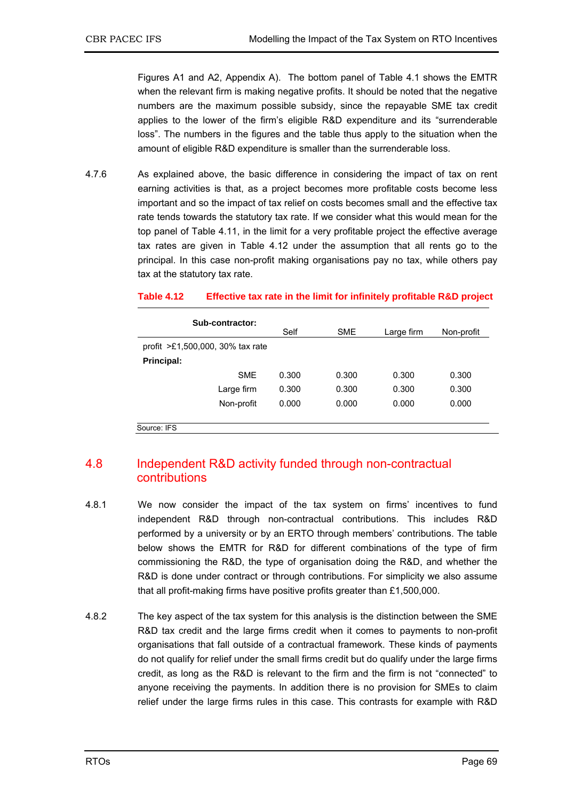Figures A1 and A2, Appendix A). The bottom panel of Table 4.1 shows the EMTR when the relevant firm is making negative profits. It should be noted that the negative numbers are the maximum possible subsidy, since the repayable SME tax credit applies to the lower of the firm's eligible R&D expenditure and its "surrenderable loss". The numbers in the figures and the table thus apply to the situation when the amount of eligible R&D expenditure is smaller than the surrenderable loss.

4.7.6 As explained above, the basic difference in considering the impact of tax on rent earning activities is that, as a project becomes more profitable costs become less important and so the impact of tax relief on costs becomes small and the effective tax rate tends towards the statutory tax rate. If we consider what this would mean for the top panel of Table 4.11, in the limit for a very profitable project the effective average tax rates are given in Table 4.12 under the assumption that all rents go to the principal. In this case non-profit making organisations pay no tax, while others pay tax at the statutory tax rate.

### **Table 4.12 Effective tax rate in the limit for infinitely profitable R&D project**

| Sub-contractor:                       | Self  | <b>SME</b> | Large firm | Non-profit |
|---------------------------------------|-------|------------|------------|------------|
| profit $\geq 1,500,000,30\%$ tax rate |       |            |            |            |
| Principal:                            |       |            |            |            |
| <b>SME</b>                            | 0.300 | 0.300      | 0.300      | 0.300      |
| Large firm                            | 0.300 | 0.300      | 0.300      | 0.300      |
| Non-profit                            | 0.000 | 0.000      | 0.000      | 0.000      |
| Source: IFS                           |       |            |            |            |

# 4.8 Independent R&D activity funded through non-contractual contributions

- 4.8.1 We now consider the impact of the tax system on firms' incentives to fund independent R&D through non-contractual contributions. This includes R&D performed by a university or by an ERTO through members' contributions. The table below shows the EMTR for R&D for different combinations of the type of firm commissioning the R&D, the type of organisation doing the R&D, and whether the R&D is done under contract or through contributions. For simplicity we also assume that all profit-making firms have positive profits greater than £1,500,000.
- 4.8.2 The key aspect of the tax system for this analysis is the distinction between the SME R&D tax credit and the large firms credit when it comes to payments to non-profit organisations that fall outside of a contractual framework. These kinds of payments do not qualify for relief under the small firms credit but do qualify under the large firms credit, as long as the R&D is relevant to the firm and the firm is not "connected" to anyone receiving the payments. In addition there is no provision for SMEs to claim relief under the large firms rules in this case. This contrasts for example with R&D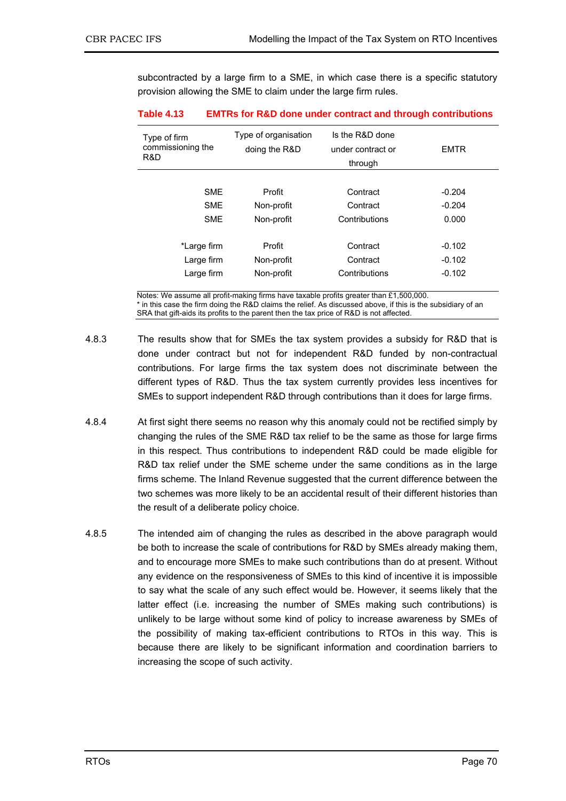subcontracted by a large firm to a SME, in which case there is a specific statutory provision allowing the SME to claim under the large firm rules.

| Type of firm<br>commissioning the<br>R&D | Type of organisation<br>doing the R&D | Is the R&D done<br>under contract or<br>through | <b>EMTR</b> |
|------------------------------------------|---------------------------------------|-------------------------------------------------|-------------|
|                                          |                                       |                                                 |             |
| <b>SME</b>                               | Profit                                | Contract                                        | $-0.204$    |
| <b>SME</b>                               | Non-profit                            | Contract                                        | $-0.204$    |
| <b>SME</b>                               | Non-profit                            | Contributions                                   | 0.000       |
| *Large firm                              | Profit                                | Contract                                        | $-0.102$    |
| Large firm                               | Non-profit                            | Contract                                        | $-0.102$    |
|                                          |                                       |                                                 |             |
| Large firm                               | Non-profit                            | Contributions                                   | $-0.102$    |

#### **Table 4.13 EMTRs for R&D done under contract and through contributions**

Notes: We assume all profit-making firms have taxable profits greater than £1,500,000. \* in this case the firm doing the R&D claims the relief. As discussed above, if this is the subsidiary of an SRA that gift-aids its profits to the parent then the tax price of R&D is not affected.

- 4.8.3 The results show that for SMEs the tax system provides a subsidy for R&D that is done under contract but not for independent R&D funded by non-contractual contributions. For large firms the tax system does not discriminate between the different types of R&D. Thus the tax system currently provides less incentives for SMEs to support independent R&D through contributions than it does for large firms.
- 4.8.4 At first sight there seems no reason why this anomaly could not be rectified simply by changing the rules of the SME R&D tax relief to be the same as those for large firms in this respect. Thus contributions to independent R&D could be made eligible for R&D tax relief under the SME scheme under the same conditions as in the large firms scheme. The Inland Revenue suggested that the current difference between the two schemes was more likely to be an accidental result of their different histories than the result of a deliberate policy choice.
- 4.8.5 The intended aim of changing the rules as described in the above paragraph would be both to increase the scale of contributions for R&D by SMEs already making them, and to encourage more SMEs to make such contributions than do at present. Without any evidence on the responsiveness of SMEs to this kind of incentive it is impossible to say what the scale of any such effect would be. However, it seems likely that the latter effect (i.e. increasing the number of SMEs making such contributions) is unlikely to be large without some kind of policy to increase awareness by SMEs of the possibility of making tax-efficient contributions to RTOs in this way. This is because there are likely to be significant information and coordination barriers to increasing the scope of such activity.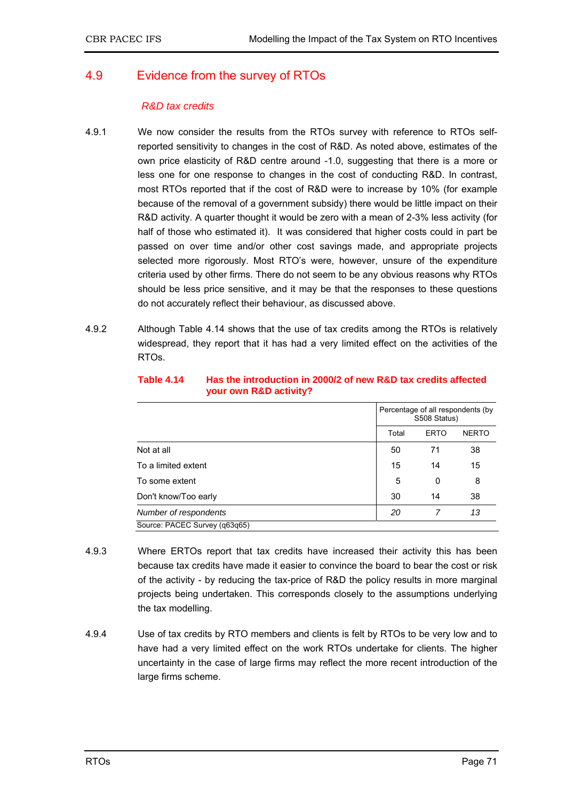### 4.9 Evidence from the survey of RTOs

### *R&D tax credits*

- 4.9.1 We now consider the results from the RTOs survey with reference to RTOs selfreported sensitivity to changes in the cost of R&D. As noted above, estimates of the own price elasticity of R&D centre around -1.0, suggesting that there is a more or less one for one response to changes in the cost of conducting R&D. In contrast, most RTOs reported that if the cost of R&D were to increase by 10% (for example because of the removal of a government subsidy) there would be little impact on their R&D activity. A quarter thought it would be zero with a mean of 2-3% less activity (for half of those who estimated it). It was considered that higher costs could in part be passed on over time and/or other cost savings made, and appropriate projects selected more rigorously. Most RTO's were, however, unsure of the expenditure criteria used by other firms. There do not seem to be any obvious reasons why RTOs should be less price sensitive, and it may be that the responses to these questions do not accurately reflect their behaviour, as discussed above.
- 4.9.2 Although Table 4.14 shows that the use of tax credits among the RTOs is relatively widespread, they report that it has had a very limited effect on the activities of the RTOs.

|                               | Percentage of all respondents (by<br>S508 Status) |             |              |
|-------------------------------|---------------------------------------------------|-------------|--------------|
|                               | Total                                             | <b>ERTO</b> | <b>NERTO</b> |
| Not at all                    | 50                                                | 71          | 38           |
| To a limited extent           | 15                                                | 14          | 15           |
| To some extent                | 5                                                 | 0           | 8            |
| Don't know/Too early          | 30                                                | 14          | 38           |
| Number of respondents         | 20                                                | 7           | 13           |
| Source: PACEC Survey (q63q65) |                                                   |             |              |

**Table 4.14 Has the introduction in 2000/2 of new R&D tax credits affected your own R&D activity?** 

- 4.9.3 Where ERTOs report that tax credits have increased their activity this has been because tax credits have made it easier to convince the board to bear the cost or risk of the activity - by reducing the tax-price of R&D the policy results in more marginal projects being undertaken. This corresponds closely to the assumptions underlying the tax modelling.
- 4.9.4 Use of tax credits by RTO members and clients is felt by RTOs to be very low and to have had a very limited effect on the work RTOs undertake for clients. The higher uncertainty in the case of large firms may reflect the more recent introduction of the large firms scheme.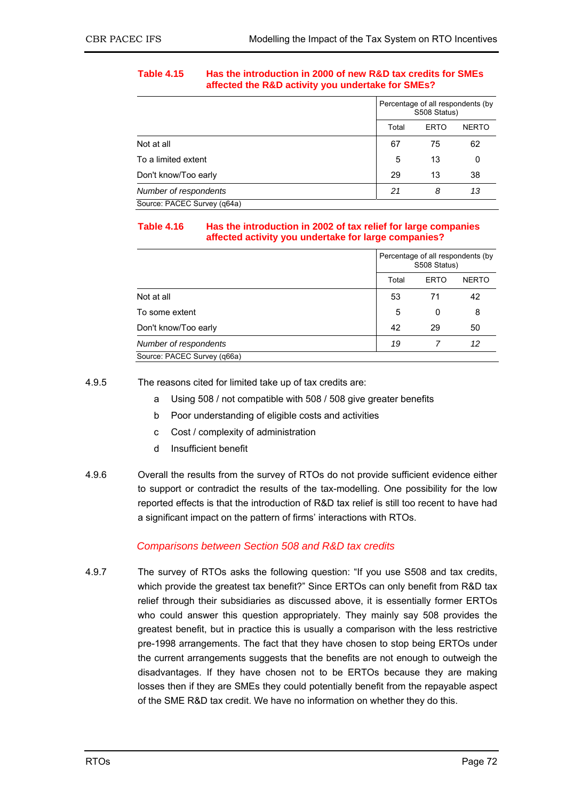#### **Table 4.15 Has the introduction in 2000 of new R&D tax credits for SMEs affected the R&D activity you undertake for SMEs?**

|                             | Percentage of all respondents (by<br>S508 Status) |             |              |
|-----------------------------|---------------------------------------------------|-------------|--------------|
|                             | Total                                             | <b>ERTO</b> | <b>NERTO</b> |
| Not at all                  | 67                                                | 75          | 62           |
| To a limited extent         | 5                                                 | 13          | 0            |
| Don't know/Too early        | 29                                                | 13          | 38           |
| Number of respondents       | 21                                                | 8           | 13           |
| Source: PACEC Survey (q64a) |                                                   |             |              |

#### **Table 4.16 Has the introduction in 2002 of tax relief for large companies affected activity you undertake for large companies?**

|                             | Percentage of all respondents (by<br>S508 Status) |             |              |
|-----------------------------|---------------------------------------------------|-------------|--------------|
|                             | Total                                             | <b>ERTO</b> | <b>NERTO</b> |
| Not at all                  | 53                                                | 71          | 42           |
| To some extent              | 5                                                 | 0           | 8            |
| Don't know/Too early        | 42                                                | 29          | 50           |
| Number of respondents       | 19                                                |             | 12           |
| Source: PACEC Survey (q66a) |                                                   |             |              |

4.9.5 The reasons cited for limited take up of tax credits are:

- a Using 508 / not compatible with 508 / 508 give greater benefits
- b Poor understanding of eligible costs and activities
- c Cost / complexity of administration
- d Insufficient benefit
- 4.9.6 Overall the results from the survey of RTOs do not provide sufficient evidence either to support or contradict the results of the tax-modelling. One possibility for the low reported effects is that the introduction of R&D tax relief is still too recent to have had a significant impact on the pattern of firms' interactions with RTOs.

### *Comparisons between Section 508 and R&D tax credits*

4.9.7 The survey of RTOs asks the following question: "If you use S508 and tax credits, which provide the greatest tax benefit?" Since ERTOs can only benefit from R&D tax relief through their subsidiaries as discussed above, it is essentially former ERTOs who could answer this question appropriately. They mainly say 508 provides the greatest benefit, but in practice this is usually a comparison with the less restrictive pre-1998 arrangements. The fact that they have chosen to stop being ERTOs under the current arrangements suggests that the benefits are not enough to outweigh the disadvantages. If they have chosen not to be ERTOs because they are making losses then if they are SMEs they could potentially benefit from the repayable aspect of the SME R&D tax credit. We have no information on whether they do this.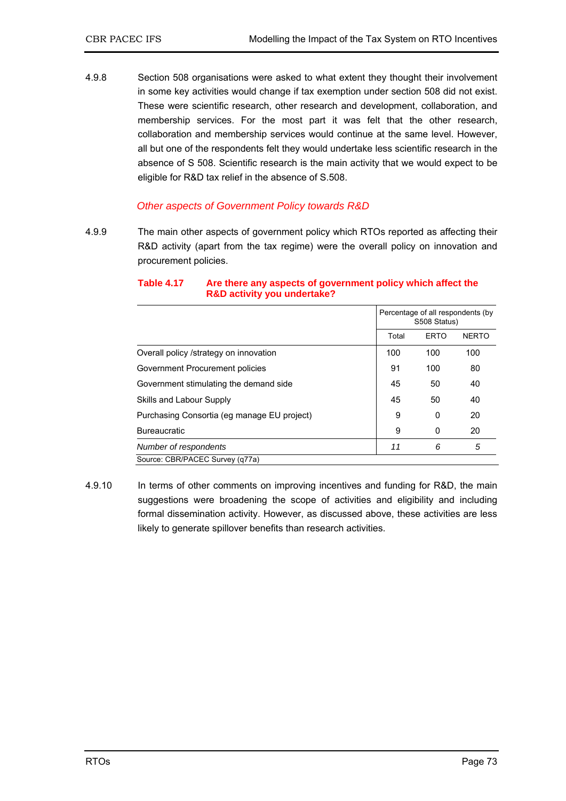4.9.8 Section 508 organisations were asked to what extent they thought their involvement in some key activities would change if tax exemption under section 508 did not exist. These were scientific research, other research and development, collaboration, and membership services. For the most part it was felt that the other research, collaboration and membership services would continue at the same level. However, all but one of the respondents felt they would undertake less scientific research in the absence of S 508. Scientific research is the main activity that we would expect to be eligible for R&D tax relief in the absence of S.508.

### *Other aspects of Government Policy towards R&D*

4.9.9 The main other aspects of government policy which RTOs reported as affecting their R&D activity (apart from the tax regime) were the overall policy on innovation and procurement policies.

|                                             |       | Percentage of all respondents (by<br>S508 Status) |              |  |
|---------------------------------------------|-------|---------------------------------------------------|--------------|--|
|                                             | Total | <b>ERTO</b>                                       | <b>NERTO</b> |  |
| Overall policy /strategy on innovation      | 100   | 100                                               | 100          |  |
| Government Procurement policies             | 91    | 100                                               | 80           |  |
| Government stimulating the demand side      |       | 45<br>50                                          | 40           |  |
| Skills and Labour Supply                    | 45    | 50                                                | 40           |  |
| Purchasing Consortia (eg manage EU project) | 9     | 0                                                 | 20           |  |
| <b>Bureaucratic</b>                         | 9     | 0                                                 | 20           |  |
| Number of respondents                       |       | 6<br>11                                           | 5            |  |
| Source: CBR/PACEC Survey (q77a)             |       |                                                   |              |  |

#### **Table 4.17 Are there any aspects of government policy which affect the R&D activity you undertake?**

4.9.10 In terms of other comments on improving incentives and funding for R&D, the main suggestions were broadening the scope of activities and eligibility and including formal dissemination activity. However, as discussed above, these activities are less likely to generate spillover benefits than research activities.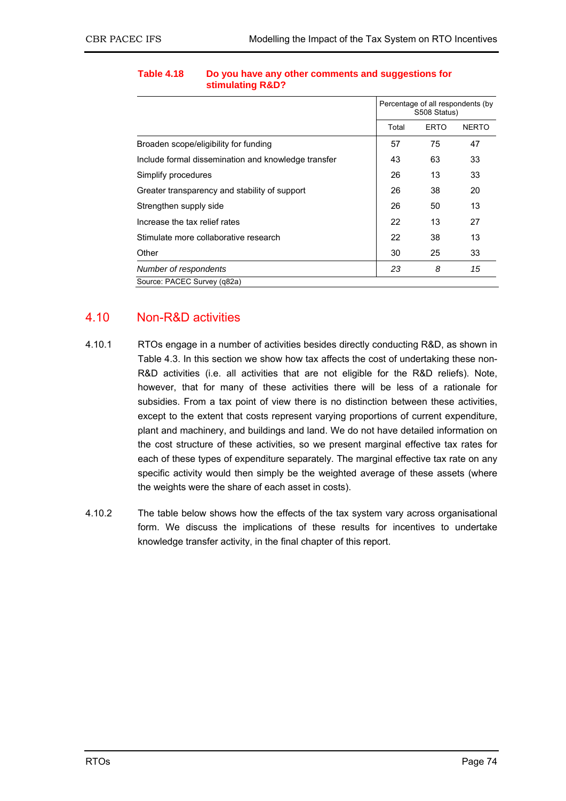|                                                     |       | Percentage of all respondents (by<br>S508 Status) |              |
|-----------------------------------------------------|-------|---------------------------------------------------|--------------|
|                                                     | Total | <b>ERTO</b>                                       | <b>NERTO</b> |
| Broaden scope/eligibility for funding               | 57    | 75                                                | 47           |
| Include formal dissemination and knowledge transfer |       | 63                                                | 33           |
| Simplify procedures                                 | 26    | 13                                                | 33           |
| Greater transparency and stability of support       | 26    | 38                                                | 20           |
| Strengthen supply side                              | 26    | 50                                                | 13           |
| Increase the tax relief rates                       | 22    | 13                                                | 27           |
| Stimulate more collaborative research               | 22    | 38                                                | 13           |
| Other                                               | 30    | 25                                                | 33           |
| Number of respondents                               | 23    | 8                                                 | 15           |
| Source: PACEC Survey (q82a)                         |       |                                                   |              |

#### **Table 4.18 Do you have any other comments and suggestions for stimulating R&D?**

### 4.10 Non-R&D activities

- 4.10.1 RTOs engage in a number of activities besides directly conducting R&D, as shown in Table 4.3. In this section we show how tax affects the cost of undertaking these non-R&D activities (i.e. all activities that are not eligible for the R&D reliefs). Note, however, that for many of these activities there will be less of a rationale for subsidies. From a tax point of view there is no distinction between these activities, except to the extent that costs represent varying proportions of current expenditure, plant and machinery, and buildings and land. We do not have detailed information on the cost structure of these activities, so we present marginal effective tax rates for each of these types of expenditure separately. The marginal effective tax rate on any specific activity would then simply be the weighted average of these assets (where the weights were the share of each asset in costs).
- 4.10.2 The table below shows how the effects of the tax system vary across organisational form. We discuss the implications of these results for incentives to undertake knowledge transfer activity, in the final chapter of this report.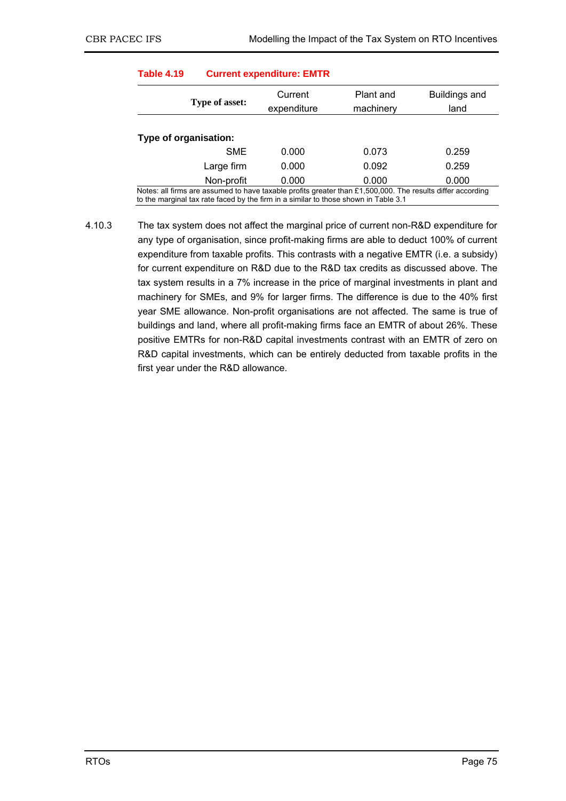| Table 4.19<br><b>Current expenditure: EMTR</b> |            |                                                                                                                                                                                                   |           |               |  |  |
|------------------------------------------------|------------|---------------------------------------------------------------------------------------------------------------------------------------------------------------------------------------------------|-----------|---------------|--|--|
|                                                |            | Current                                                                                                                                                                                           | Plant and | Buildings and |  |  |
| <b>Type of asset:</b>                          |            | expenditure                                                                                                                                                                                       | machinery | land          |  |  |
|                                                |            |                                                                                                                                                                                                   |           |               |  |  |
| Type of organisation:                          |            |                                                                                                                                                                                                   |           |               |  |  |
|                                                | <b>SME</b> | 0.000                                                                                                                                                                                             | 0.073     | 0.259         |  |  |
|                                                | Large firm | 0.000                                                                                                                                                                                             | 0.092     | 0.259         |  |  |
|                                                | Non-profit | 0.000                                                                                                                                                                                             | 0.000     | 0.000         |  |  |
|                                                |            | Notes: all firms are assumed to have taxable profits greater than £1,500,000. The results differ according<br>to the marginal tax rate faced by the firm in a similar to those shown in Table 3.1 |           |               |  |  |

## **Table 4.19 Current expenditure: EMTR**

4.10.3 The tax system does not affect the marginal price of current non-R&D expenditure for any type of organisation, since profit-making firms are able to deduct 100% of current expenditure from taxable profits. This contrasts with a negative EMTR (i.e. a subsidy) for current expenditure on R&D due to the R&D tax credits as discussed above. The tax system results in a 7% increase in the price of marginal investments in plant and machinery for SMEs, and 9% for larger firms. The difference is due to the 40% first year SME allowance. Non-profit organisations are not affected. The same is true of buildings and land, where all profit-making firms face an EMTR of about 26%. These positive EMTRs for non-R&D capital investments contrast with an EMTR of zero on R&D capital investments, which can be entirely deducted from taxable profits in the first year under the R&D allowance.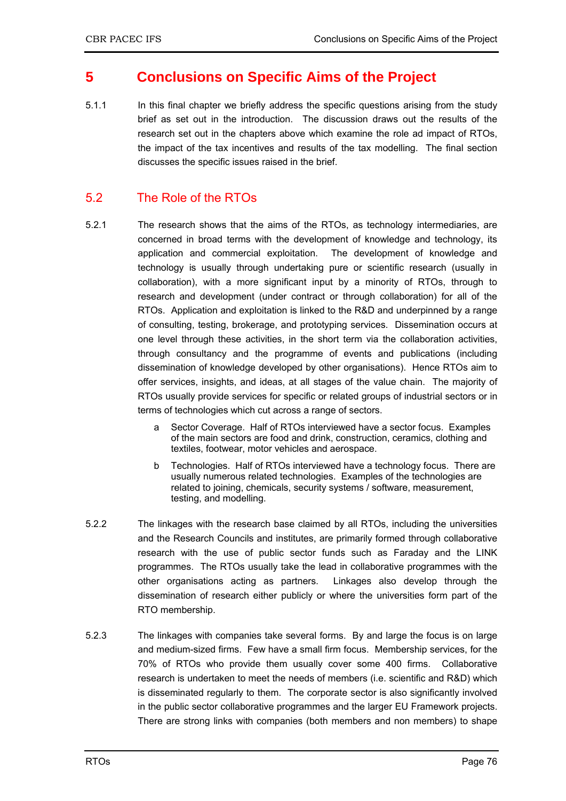## **5 Conclusions on Specific Aims of the Project**

5.1.1 In this final chapter we briefly address the specific questions arising from the study brief as set out in the introduction. The discussion draws out the results of the research set out in the chapters above which examine the role ad impact of RTOs, the impact of the tax incentives and results of the tax modelling. The final section discusses the specific issues raised in the brief.

### 5.2 The Role of the RTOs

- 5.2.1 The research shows that the aims of the RTOs, as technology intermediaries, are concerned in broad terms with the development of knowledge and technology, its application and commercial exploitation. The development of knowledge and technology is usually through undertaking pure or scientific research (usually in collaboration), with a more significant input by a minority of RTOs, through to research and development (under contract or through collaboration) for all of the RTOs. Application and exploitation is linked to the R&D and underpinned by a range of consulting, testing, brokerage, and prototyping services. Dissemination occurs at one level through these activities, in the short term via the collaboration activities, through consultancy and the programme of events and publications (including dissemination of knowledge developed by other organisations). Hence RTOs aim to offer services, insights, and ideas, at all stages of the value chain. The majority of RTOs usually provide services for specific or related groups of industrial sectors or in terms of technologies which cut across a range of sectors.
	- a Sector Coverage. Half of RTOs interviewed have a sector focus. Examples of the main sectors are food and drink, construction, ceramics, clothing and textiles, footwear, motor vehicles and aerospace.
	- b Technologies. Half of RTOs interviewed have a technology focus. There are usually numerous related technologies. Examples of the technologies are related to joining, chemicals, security systems / software, measurement, testing, and modelling.
- 5.2.2 The linkages with the research base claimed by all RTOs, including the universities and the Research Councils and institutes, are primarily formed through collaborative research with the use of public sector funds such as Faraday and the LINK programmes. The RTOs usually take the lead in collaborative programmes with the other organisations acting as partners. Linkages also develop through the dissemination of research either publicly or where the universities form part of the RTO membership.
- 5.2.3 The linkages with companies take several forms. By and large the focus is on large and medium-sized firms. Few have a small firm focus. Membership services, for the 70% of RTOs who provide them usually cover some 400 firms. Collaborative research is undertaken to meet the needs of members (i.e. scientific and R&D) which is disseminated regularly to them. The corporate sector is also significantly involved in the public sector collaborative programmes and the larger EU Framework projects. There are strong links with companies (both members and non members) to shape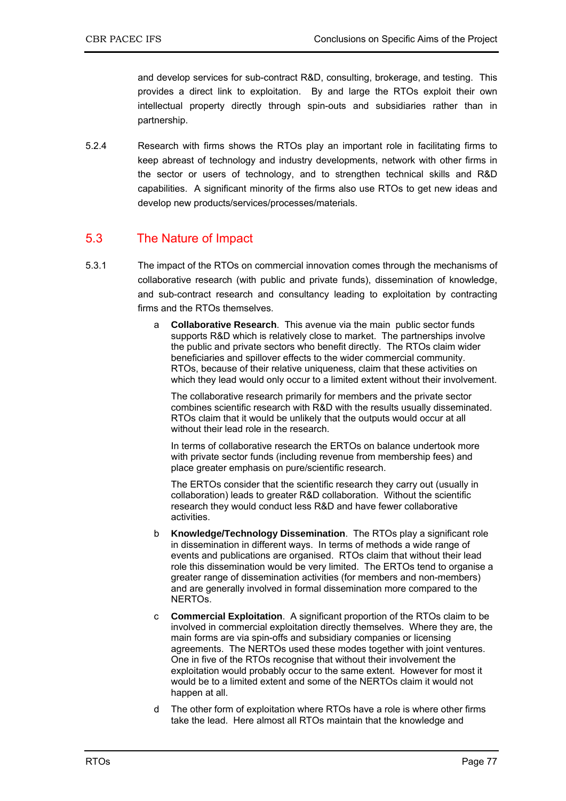and develop services for sub-contract R&D, consulting, brokerage, and testing. This provides a direct link to exploitation. By and large the RTOs exploit their own intellectual property directly through spin-outs and subsidiaries rather than in partnership.

5.2.4 Research with firms shows the RTOs play an important role in facilitating firms to keep abreast of technology and industry developments, network with other firms in the sector or users of technology, and to strengthen technical skills and R&D capabilities. A significant minority of the firms also use RTOs to get new ideas and develop new products/services/processes/materials.

### 5.3 The Nature of Impact

- 5.3.1 The impact of the RTOs on commercial innovation comes through the mechanisms of collaborative research (with public and private funds), dissemination of knowledge, and sub-contract research and consultancy leading to exploitation by contracting firms and the RTOs themselves.
	- a **Collaborative Research**. This avenue via the main public sector funds supports R&D which is relatively close to market. The partnerships involve the public and private sectors who benefit directly. The RTOs claim wider beneficiaries and spillover effects to the wider commercial community. RTOs, because of their relative uniqueness, claim that these activities on which they lead would only occur to a limited extent without their involvement.

The collaborative research primarily for members and the private sector combines scientific research with R&D with the results usually disseminated. RTOs claim that it would be unlikely that the outputs would occur at all without their lead role in the research.

In terms of collaborative research the ERTOs on balance undertook more with private sector funds (including revenue from membership fees) and place greater emphasis on pure/scientific research.

The ERTOs consider that the scientific research they carry out (usually in collaboration) leads to greater R&D collaboration. Without the scientific research they would conduct less R&D and have fewer collaborative activities.

- b **Knowledge/Technology Dissemination**. The RTOs play a significant role in dissemination in different ways. In terms of methods a wide range of events and publications are organised. RTOs claim that without their lead role this dissemination would be very limited. The ERTOs tend to organise a greater range of dissemination activities (for members and non-members) and are generally involved in formal dissemination more compared to the NERTOs.
- c **Commercial Exploitation**. A significant proportion of the RTOs claim to be involved in commercial exploitation directly themselves. Where they are, the main forms are via spin-offs and subsidiary companies or licensing agreements. The NERTOs used these modes together with joint ventures. One in five of the RTOs recognise that without their involvement the exploitation would probably occur to the same extent. However for most it would be to a limited extent and some of the NERTOs claim it would not happen at all.
- d The other form of exploitation where RTOs have a role is where other firms take the lead. Here almost all RTOs maintain that the knowledge and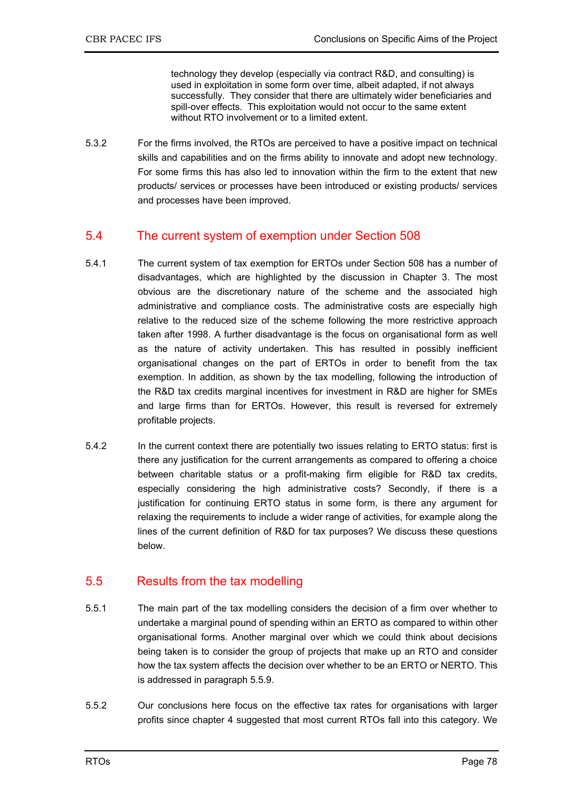technology they develop (especially via contract R&D, and consulting) is used in exploitation in some form over time, albeit adapted, if not always successfully. They consider that there are ultimately wider beneficiaries and spill-over effects. This exploitation would not occur to the same extent without RTO involvement or to a limited extent.

5.3.2 For the firms involved, the RTOs are perceived to have a positive impact on technical skills and capabilities and on the firms ability to innovate and adopt new technology. For some firms this has also led to innovation within the firm to the extent that new products/ services or processes have been introduced or existing products/ services and processes have been improved.

### 5.4 The current system of exemption under Section 508

- 5.4.1 The current system of tax exemption for ERTOs under Section 508 has a number of disadvantages, which are highlighted by the discussion in Chapter 3. The most obvious are the discretionary nature of the scheme and the associated high administrative and compliance costs. The administrative costs are especially high relative to the reduced size of the scheme following the more restrictive approach taken after 1998. A further disadvantage is the focus on organisational form as well as the nature of activity undertaken. This has resulted in possibly inefficient organisational changes on the part of ERTOs in order to benefit from the tax exemption. In addition, as shown by the tax modelling, following the introduction of the R&D tax credits marginal incentives for investment in R&D are higher for SMEs and large firms than for ERTOs. However, this result is reversed for extremely profitable projects.
- 5.4.2 In the current context there are potentially two issues relating to ERTO status: first is there any justification for the current arrangements as compared to offering a choice between charitable status or a profit-making firm eligible for R&D tax credits, especially considering the high administrative costs? Secondly, if there is a justification for continuing ERTO status in some form, is there any argument for relaxing the requirements to include a wider range of activities, for example along the lines of the current definition of R&D for tax purposes? We discuss these questions below.

### 5.5 Results from the tax modelling

- 5.5.1 The main part of the tax modelling considers the decision of a firm over whether to undertake a marginal pound of spending within an ERTO as compared to within other organisational forms. Another marginal over which we could think about decisions being taken is to consider the group of projects that make up an RTO and consider how the tax system affects the decision over whether to be an ERTO or NERTO. This is addressed in paragraph 5.5.9.
- 5.5.2 Our conclusions here focus on the effective tax rates for organisations with larger profits since chapter 4 suggested that most current RTOs fall into this category. We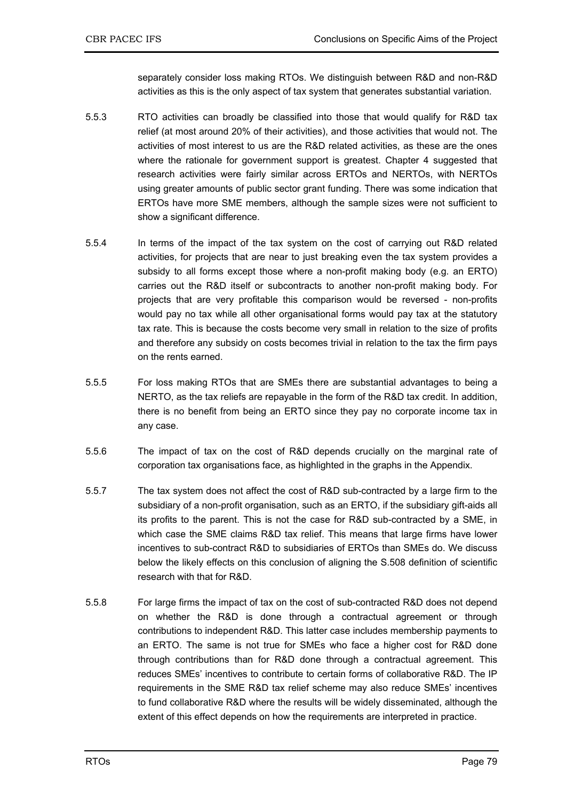separately consider loss making RTOs. We distinguish between R&D and non-R&D activities as this is the only aspect of tax system that generates substantial variation.

- 5.5.3 RTO activities can broadly be classified into those that would qualify for R&D tax relief (at most around 20% of their activities), and those activities that would not. The activities of most interest to us are the R&D related activities, as these are the ones where the rationale for government support is greatest. Chapter 4 suggested that research activities were fairly similar across ERTOs and NERTOs, with NERTOs using greater amounts of public sector grant funding. There was some indication that ERTOs have more SME members, although the sample sizes were not sufficient to show a significant difference.
- 5.5.4 In terms of the impact of the tax system on the cost of carrying out R&D related activities, for projects that are near to just breaking even the tax system provides a subsidy to all forms except those where a non-profit making body (e.g. an ERTO) carries out the R&D itself or subcontracts to another non-profit making body. For projects that are very profitable this comparison would be reversed - non-profits would pay no tax while all other organisational forms would pay tax at the statutory tax rate. This is because the costs become very small in relation to the size of profits and therefore any subsidy on costs becomes trivial in relation to the tax the firm pays on the rents earned.
- 5.5.5 For loss making RTOs that are SMEs there are substantial advantages to being a NERTO, as the tax reliefs are repayable in the form of the R&D tax credit. In addition, there is no benefit from being an ERTO since they pay no corporate income tax in any case.
- 5.5.6 The impact of tax on the cost of R&D depends crucially on the marginal rate of corporation tax organisations face, as highlighted in the graphs in the Appendix.
- 5.5.7 The tax system does not affect the cost of R&D sub-contracted by a large firm to the subsidiary of a non-profit organisation, such as an ERTO, if the subsidiary gift-aids all its profits to the parent. This is not the case for R&D sub-contracted by a SME, in which case the SME claims R&D tax relief. This means that large firms have lower incentives to sub-contract R&D to subsidiaries of ERTOs than SMEs do. We discuss below the likely effects on this conclusion of aligning the S.508 definition of scientific research with that for R&D.
- 5.5.8 For large firms the impact of tax on the cost of sub-contracted R&D does not depend on whether the R&D is done through a contractual agreement or through contributions to independent R&D. This latter case includes membership payments to an ERTO. The same is not true for SMEs who face a higher cost for R&D done through contributions than for R&D done through a contractual agreement. This reduces SMEs' incentives to contribute to certain forms of collaborative R&D. The IP requirements in the SME R&D tax relief scheme may also reduce SMEs' incentives to fund collaborative R&D where the results will be widely disseminated, although the extent of this effect depends on how the requirements are interpreted in practice.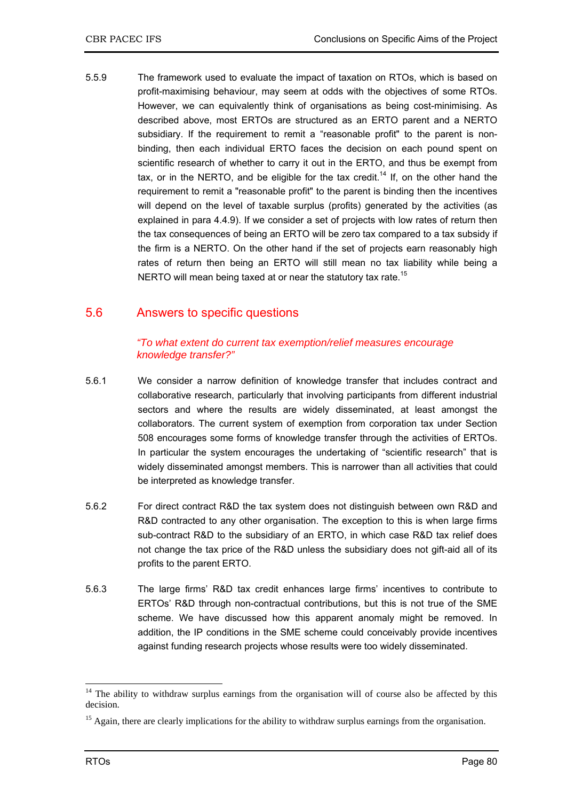5.5.9 The framework used to evaluate the impact of taxation on RTOs, which is based on profit-maximising behaviour, may seem at odds with the objectives of some RTOs. However, we can equivalently think of organisations as being cost-minimising. As described above, most ERTOs are structured as an ERTO parent and a NERTO subsidiary. If the requirement to remit a "reasonable profit" to the parent is nonbinding, then each individual ERTO faces the decision on each pound spent on scientific research of whether to carry it out in the ERTO, and thus be exempt from tax, or in the NERTO, and be eligible for the tax credit.<sup>14</sup> If, on the other hand the requirement to remit a "reasonable profit" to the parent is binding then the incentives will depend on the level of taxable surplus (profits) generated by the activities (as explained in para 4.4.9). If we consider a set of projects with low rates of return then the tax consequences of being an ERTO will be zero tax compared to a tax subsidy if the firm is a NERTO. On the other hand if the set of projects earn reasonably high rates of return then being an ERTO will still mean no tax liability while being a NERTO will mean being taxed at or near the statutory tax rate.<sup>15</sup>

### 5.6 Answers to specific questions

### *"To what extent do current tax exemption/relief measures encourage knowledge transfer?"*

- 5.6.1 We consider a narrow definition of knowledge transfer that includes contract and collaborative research, particularly that involving participants from different industrial sectors and where the results are widely disseminated, at least amongst the collaborators. The current system of exemption from corporation tax under Section 508 encourages some forms of knowledge transfer through the activities of ERTOs. In particular the system encourages the undertaking of "scientific research" that is widely disseminated amongst members. This is narrower than all activities that could be interpreted as knowledge transfer.
- 5.6.2 For direct contract R&D the tax system does not distinguish between own R&D and R&D contracted to any other organisation. The exception to this is when large firms sub-contract R&D to the subsidiary of an ERTO, in which case R&D tax relief does not change the tax price of the R&D unless the subsidiary does not gift-aid all of its profits to the parent ERTO.
- 5.6.3 The large firms' R&D tax credit enhances large firms' incentives to contribute to ERTOs' R&D through non-contractual contributions, but this is not true of the SME scheme. We have discussed how this apparent anomaly might be removed. In addition, the IP conditions in the SME scheme could conceivably provide incentives against funding research projects whose results were too widely disseminated.

-

 $14$  The ability to withdraw surplus earnings from the organisation will of course also be affected by this decision.

<sup>&</sup>lt;sup>15</sup> Again, there are clearly implications for the ability to withdraw surplus earnings from the organisation.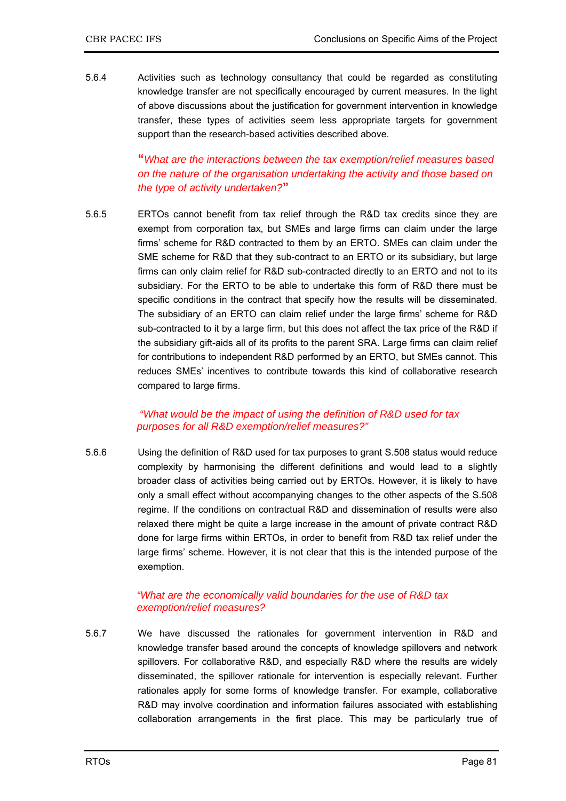5.6.4 Activities such as technology consultancy that could be regarded as constituting knowledge transfer are not specifically encouraged by current measures. In the light of above discussions about the justification for government intervention in knowledge transfer, these types of activities seem less appropriate targets for government support than the research-based activities described above.

> **"***What are the interactions between the tax exemption/relief measures based on the nature of the organisation undertaking the activity and those based on the type of activity undertaken?***"**

5.6.5 ERTOs cannot benefit from tax relief through the R&D tax credits since they are exempt from corporation tax, but SMEs and large firms can claim under the large firms' scheme for R&D contracted to them by an ERTO. SMEs can claim under the SME scheme for R&D that they sub-contract to an ERTO or its subsidiary, but large firms can only claim relief for R&D sub-contracted directly to an ERTO and not to its subsidiary. For the ERTO to be able to undertake this form of R&D there must be specific conditions in the contract that specify how the results will be disseminated. The subsidiary of an ERTO can claim relief under the large firms' scheme for R&D sub-contracted to it by a large firm, but this does not affect the tax price of the R&D if the subsidiary gift-aids all of its profits to the parent SRA. Large firms can claim relief for contributions to independent R&D performed by an ERTO, but SMEs cannot. This reduces SMEs' incentives to contribute towards this kind of collaborative research compared to large firms.

### *"What would be the impact of using the definition of R&D used for tax purposes for all R&D exemption/relief measures?"*

5.6.6 Using the definition of R&D used for tax purposes to grant S.508 status would reduce complexity by harmonising the different definitions and would lead to a slightly broader class of activities being carried out by ERTOs. However, it is likely to have only a small effect without accompanying changes to the other aspects of the S.508 regime. If the conditions on contractual R&D and dissemination of results were also relaxed there might be quite a large increase in the amount of private contract R&D done for large firms within ERTOs, in order to benefit from R&D tax relief under the large firms' scheme. However, it is not clear that this is the intended purpose of the exemption.

#### *"What are the economically valid boundaries for the use of R&D tax exemption/relief measures?*

5.6.7 We have discussed the rationales for government intervention in R&D and knowledge transfer based around the concepts of knowledge spillovers and network spillovers. For collaborative R&D, and especially R&D where the results are widely disseminated, the spillover rationale for intervention is especially relevant. Further rationales apply for some forms of knowledge transfer. For example, collaborative R&D may involve coordination and information failures associated with establishing collaboration arrangements in the first place. This may be particularly true of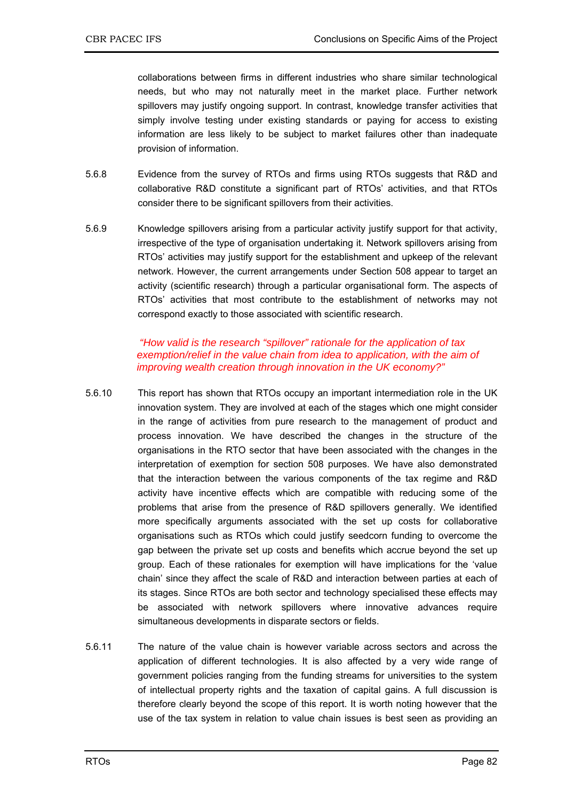collaborations between firms in different industries who share similar technological needs, but who may not naturally meet in the market place. Further network spillovers may justify ongoing support. In contrast, knowledge transfer activities that simply involve testing under existing standards or paying for access to existing information are less likely to be subject to market failures other than inadequate provision of information.

- 5.6.8 Evidence from the survey of RTOs and firms using RTOs suggests that R&D and collaborative R&D constitute a significant part of RTOs' activities, and that RTOs consider there to be significant spillovers from their activities.
- 5.6.9 Knowledge spillovers arising from a particular activity justify support for that activity, irrespective of the type of organisation undertaking it. Network spillovers arising from RTOs' activities may justify support for the establishment and upkeep of the relevant network. However, the current arrangements under Section 508 appear to target an activity (scientific research) through a particular organisational form. The aspects of RTOs' activities that most contribute to the establishment of networks may not correspond exactly to those associated with scientific research.

### *"How valid is the research "spillover" rationale for the application of tax*  exemption/relief in the value chain from idea to application, with the aim of *improving wealth creation through innovation in the UK economy?"*

- 5.6.10 This report has shown that RTOs occupy an important intermediation role in the UK innovation system. They are involved at each of the stages which one might consider in the range of activities from pure research to the management of product and process innovation. We have described the changes in the structure of the organisations in the RTO sector that have been associated with the changes in the interpretation of exemption for section 508 purposes. We have also demonstrated that the interaction between the various components of the tax regime and R&D activity have incentive effects which are compatible with reducing some of the problems that arise from the presence of R&D spillovers generally. We identified more specifically arguments associated with the set up costs for collaborative organisations such as RTOs which could justify seedcorn funding to overcome the gap between the private set up costs and benefits which accrue beyond the set up group. Each of these rationales for exemption will have implications for the 'value chain' since they affect the scale of R&D and interaction between parties at each of its stages. Since RTOs are both sector and technology specialised these effects may be associated with network spillovers where innovative advances require simultaneous developments in disparate sectors or fields.
- 5.6.11 The nature of the value chain is however variable across sectors and across the application of different technologies. It is also affected by a very wide range of government policies ranging from the funding streams for universities to the system of intellectual property rights and the taxation of capital gains. A full discussion is therefore clearly beyond the scope of this report. It is worth noting however that the use of the tax system in relation to value chain issues is best seen as providing an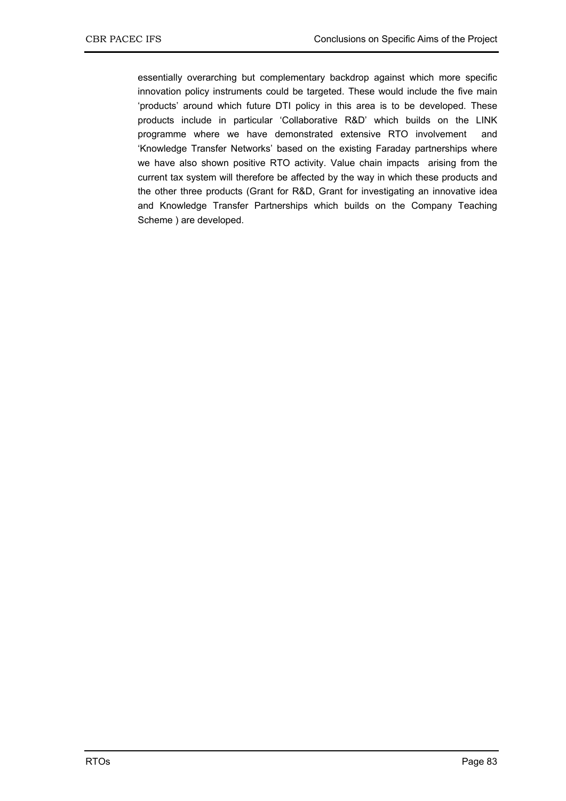essentially overarching but complementary backdrop against which more specific innovation policy instruments could be targeted. These would include the five main 'products' around which future DTI policy in this area is to be developed. These products include in particular 'Collaborative R&D' which builds on the LINK programme where we have demonstrated extensive RTO involvement and 'Knowledge Transfer Networks' based on the existing Faraday partnerships where we have also shown positive RTO activity. Value chain impacts arising from the current tax system will therefore be affected by the way in which these products and the other three products (Grant for R&D, Grant for investigating an innovative idea and Knowledge Transfer Partnerships which builds on the Company Teaching Scheme ) are developed.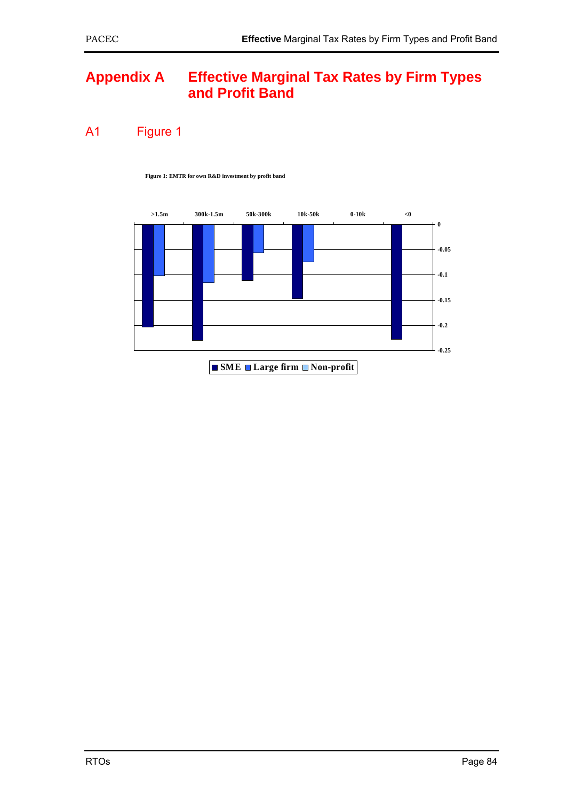## **Appendix A Effective Marginal Tax Rates by Firm Types and Profit Band**

A1 Figure 1

**Figure 1: EMTR for own R&D investment by profit band**



**SME** Large firm **Non-profit**